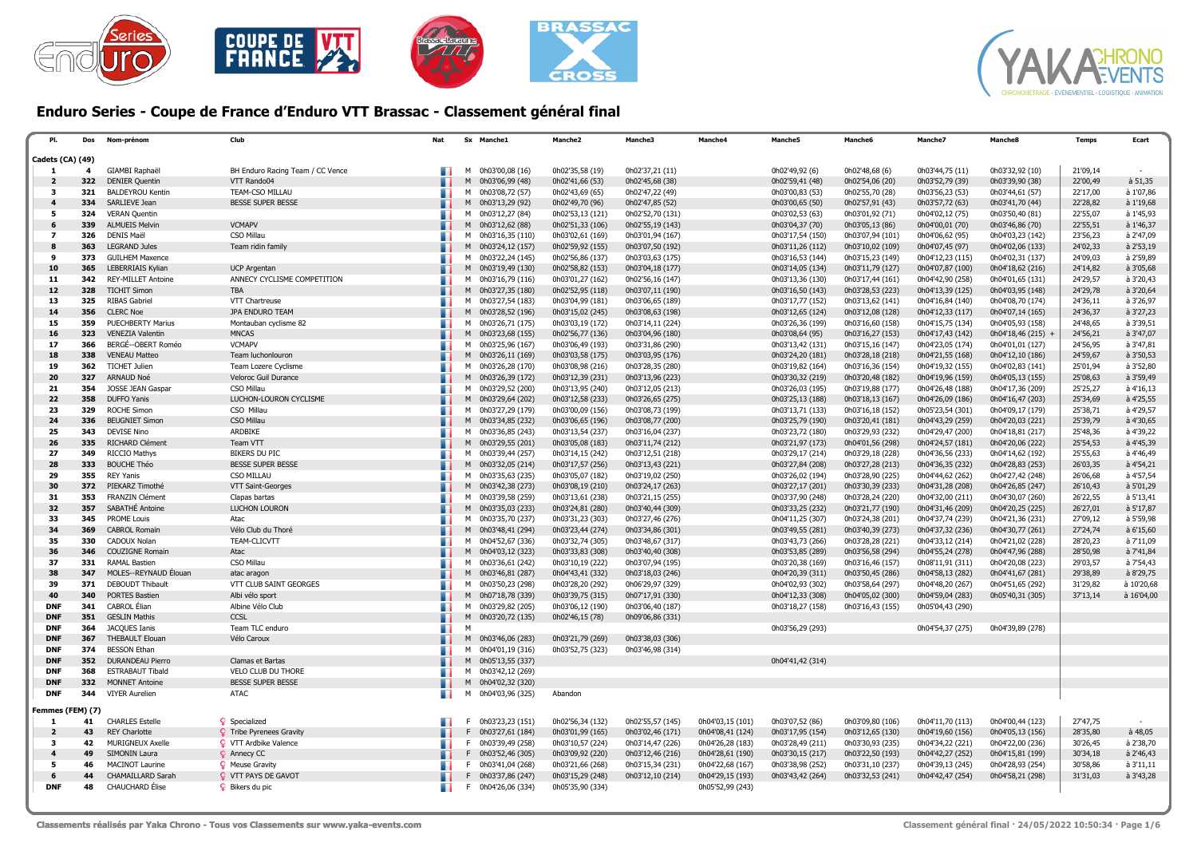



## Enduro Series - Coupe de France d'Enduro VTT Brassac - Classement général final

| Cadets (CA) (49)<br>0h02'49,92 (6)<br>GIAMBI Raphaël<br>BH Enduro Racing Team / CC Vence<br>0h03'00,08 (16)<br>0h02'35,58 (19)<br>0h02'37,21 (11)<br>0h02'48,68 (6)<br>0h03'44,75 (11)<br>0h03'32,92 (10)<br>-1<br>4<br>м<br>322<br><b>DENIER Quentin</b><br>0h02'41,66 (53)<br>0h02'45,68 (38)<br>0h02'59,41 (48)<br>0h02'54,06 (20)<br>0h03'52,79 (39)<br>$\overline{2}$<br>VTT Rando04<br>M<br>0h03'06,99 (48)<br>0h03'39,90 (38)<br>321<br><b>BALDEYROU Kentin</b><br>TEAM-CSO MILLAU<br>M 0h03'08,72 (57)<br>0h02'43,69 (65)<br>0h02'47,22 (49)<br>0h03'00,83 (53)<br>0h02'55,70 (28)<br>0h03'56,23 (53)<br>0h03'44,61 (57)<br>3<br>334<br>SARLIEVE Jean<br><b>BESSE SUPER BESSE</b><br>M 0h03'13,29 (92)<br>0h02'49,70 (96)<br>0h02'47,85 (52)<br>0h03'00,65 (50)<br>0h02'57,91 (43)<br>0h03'57,72 (63)<br>0h03'41,70 (44)<br>324<br><b>VERAN Quentin</b><br>M 0h03'12,27 (84)<br>0h02'53,13 (121)<br>0h02'52,70 (131)<br>0h03'02,53 (63)<br>0h03'01,92 (71)<br>0h04'02,12 (75)<br>0h03'50,40 (81)<br>5<br>339<br><b>VCMAPV</b><br><b>ALMUEIS Melvin</b><br>M 0h03'12,62 (88)<br>0h02'51,33 (106)<br>0h02'55,19 (143)<br>0h03'04,37 (70)<br>0h03'05,13 (86)<br>0h04'00,01 (70)<br>0h03'46,86 (70)<br>6<br>326<br><b>DENIS Maël</b><br>CSO Millau<br>M 0h03'16,35 (110)<br>0h03'02,61 (169)<br>0h03'01,94 (167)<br>0h03'17,54 (150)<br>0h03'07,94 (101)<br>0h04'06,62 (95)<br>0h04'03,23 (142)<br>$\overline{\phantom{a}}$<br>363<br><b>LEGRAND Jules</b><br>Team ridin family<br>M 0h03'24,12 (157)<br>0h02'59,92 (155)<br>0h03'07,50 (192)<br>0h03'11,26 (112)<br>0h03'10,02 (109)<br>0h04'07,45 (97)<br>0h04'02,06 (133)<br>373<br><b>GUILHEM Maxence</b><br>M 0h03'22,24 (145)<br>0h02'56,86 (137)<br>0h03'03,63 (175)<br>0h03'16,53 (144)<br>0h03'15,23 (149)<br>0h04'12,23 (115)<br>0h04'02,31 (137)<br>9<br>0h04'07,87 (100)<br>10<br>365<br>LEBERRIAIS Kylian<br>0h03'19,49 (130)<br>0h02'58,82 (153)<br>0h03'04,18 (177)<br>0h03'14,05 (134)<br>0h03'11,79 (127)<br>0h04'18,62 (216)<br><b>UCP Argentan</b><br>M<br>11<br>342<br><b>REY-MILLET Antoine</b><br>ANNECY CYCLISME COMPETITION<br>0h03'01,27 (162)<br>0h03'13,36 (130)<br>0h03'17,44 (161)<br>0h04'42,90 (258)<br>M 0h03'16,79 (116)<br>0h02'56,16 (147)<br>0h04'01,65 (131)<br>$12$<br>328<br><b>TICHIT Simon</b><br><b>TBA</b><br>M 0h03'27,35 (180)<br>0h02'52,95 (118)<br>0h03'16,50 (143)<br>0h03'28,53 (223)<br>0h04'13,39 (125)<br>0h03'07,11 (190)<br>0h04'03,95 (148)<br>13<br>325<br><b>RIBAS Gabriel</b><br>0h03'13,62 (141)<br>VTT Chartreuse<br>M 0h03'27,54 (183)<br>0h03'04,99 (181)<br>0h03'06,65 (189)<br>0h03'17,77 (152)<br>0h04'16,84 (140)<br>0h04'08,70 (174)<br>356<br><b>CLERC Noe</b><br>JPA ENDURO TEAM<br>0h03'15,02 (245)<br>0h03'12,65 (124)<br>0h03'12,08 (128)<br>0h04'12,33 (117)<br>14<br>M 0h03'28,52 (196)<br>0h03'08,63 (198)<br>0h04'07,14 (165)<br>359<br><b>PUECHBERTY Marius</b><br>15<br>M 0h03'26,71 (175)<br>0h03'03,19 (172)<br>0h03'14,11 (224)<br>0h03'26,36 (199)<br>0h03'16,60 (158)<br>0h04'15,75 (134)<br>0h04'05,93 (158)<br>Montauban cyclisme 82<br>323<br>VENEZIA Valentin<br><b>MNCAS</b><br>M 0h03'23,68 (155)<br>0h02'56,77 (136)<br>0h03'04,96 (180)<br>0h03'08,64 (95)<br>0h03'16,27 (153)<br>0h04'17,43 (142)<br>0h04'18,46 (215) +<br>16<br>17<br>366<br>BERGÉ--OBERT Roméo<br><b>VCMAPV</b><br>M 0h03'25,96 (167)<br>0h03'06,49 (193)<br>0h03'13,42 (131)<br>0h03'15,16 (147)<br>0h04'23,05 (174)<br>0h04'01,01 (127)<br>0h03'31,86 (290)<br>338<br>0h03'24,20 (181)<br>0h04'21,55 (168)<br>18<br><b>VENEAU Matteo</b><br>Team luchonlouron<br>M 0h03'26,11 (169)<br>0h03'03,58 (175)<br>0h03'03,95 (176)<br>0h03'28,18 (218)<br>0h04'12,10 (186)<br>362<br>19<br><b>TICHET Julien</b><br>M 0h03'26,28 (170)<br>0h03'08,98 (216)<br>0h03'28,35 (280)<br>0h03'19,82 (164)<br>0h03'16,36 (154)<br>0h04'19,32 (155)<br>0h04'02,83 (141)<br>Team Lozere Cyclisme<br>327<br>ARNAUD Noé<br>M 0h03'26,39 (172)<br>0h03'12,39 (231)<br>0h03'13,96 (223)<br>0h03'30,32 (219)<br>0h03'20,48 (182)<br>0h04'19,96 (159)<br>0h04'05,13 (155)<br>20<br>Veloroc Guil Durance<br>354<br><b>JOSSE JEAN Gaspar</b><br>CSO Millau<br>M 0h03'29,52 (200)<br>0h03'13,95 (240)<br>0h03'12,05 (213)<br>0h03'26,03 (195)<br>0h03'19,88 (177)<br>0h04'26,48 (188)<br>0h04'17,36 (209)<br>21<br>22<br>358<br><b>DUFFO</b> Yanis<br>LUCHON-LOURON CYCLISME<br>M 0h03'29,64 (202)<br>0h03'12,58 (233)<br>0h03'26,65 (275)<br>0h03'25,13 (188)<br>0h03'18,13 (167)<br>0h04'26,09 (186)<br>0h04'16,47 (203)<br>329<br>23<br><b>ROCHE Simon</b><br>CSO Millau<br>M 0h03'27,29 (179)<br>0h03'00,09 (156)<br>0h03'13,71 (133)<br>0h03'16,18 (152)<br>0h05'23,54 (301)<br>0h04'09,17 (179)<br>0h03'08,73 (199)<br>CSO Millau<br>24<br>336<br><b>BEUGNIET Simon</b><br>M 0h03'34,85 (232)<br>0h03'06,65 (196)<br>0h03'25,79 (190)<br>0h03'20,41 (181)<br>0h04'43,29 (259)<br>0h04'20,03 (221)<br>0h03'08,77 (200)<br>343<br>25<br><b>DEVISE Nino</b><br>ARDBIKE<br>0h03'13,54 (237)<br>0h03'29,93 (232)<br>0h04'29,47 (200)<br>M 0h03'36,85 (243)<br>0h03'16,04 (237)<br>0h03'23,72 (180)<br>0h04'18,81 (217)<br>26<br>335<br>RICHARD Clément<br>Team VTT<br>M 0h03'29,55 (201)<br>0h03'05,08 (183)<br>0h03'21,97 (173)<br>0h04'01,56 (298)<br>0h04'24,57 (181)<br>0h03'11,74 (212)<br>0h04'20,06 (222)<br>349<br><b>BIKERS DU PIC</b><br>0h03'29,18 (228)<br>0h04'36,56 (233)<br>27<br>RICCIO Mathys<br>M 0h03'39,44 (257)<br>0h03'14,15 (242)<br>0h03'12,51 (218)<br>0h03'29,17 (214)<br>0h04'14,62 (192)<br>333<br><b>BOUCHE Théo</b><br><b>BESSE SUPER BESSE</b><br>0h03'17,57 (256)<br>0h03'27,84 (208)<br>0h03'27,28 (213)<br>0h04'36,35 (232)<br>28<br>M 0h03'32,05 (214)<br>0h03'13,43 (221)<br>0h04'28,83 (253)<br>355<br><b>REY Yanis</b><br><b>CSO MILLAU</b><br>M 0h03'35,63 (235)<br>0h03'05,07 (182)<br>0h03'19,02 (250)<br>0h03'26,02 (194)<br>0h03'28,90 (225)<br>0h04'44,62 (262)<br>0h04'27,42 (248)<br>29<br>30<br>372<br>PIEKARZ Timothé<br>VTT Saint-Georges<br>M 0h03'42,38 (273)<br>0h03'08,19 (210)<br>0h03'24,17 (263)<br>0h03'27,17 (201)<br>0h03'30,39 (233)<br>0h04'31,28 (208)<br>0h04'26,85 (247) | 21'09,14<br>à 51,35<br>22'00,49<br>22'17,00<br>à 1'07,86<br>à 1'19,68<br>22'28,82<br>à 1'45,93<br>22'55,07 |
|-------------------------------------------------------------------------------------------------------------------------------------------------------------------------------------------------------------------------------------------------------------------------------------------------------------------------------------------------------------------------------------------------------------------------------------------------------------------------------------------------------------------------------------------------------------------------------------------------------------------------------------------------------------------------------------------------------------------------------------------------------------------------------------------------------------------------------------------------------------------------------------------------------------------------------------------------------------------------------------------------------------------------------------------------------------------------------------------------------------------------------------------------------------------------------------------------------------------------------------------------------------------------------------------------------------------------------------------------------------------------------------------------------------------------------------------------------------------------------------------------------------------------------------------------------------------------------------------------------------------------------------------------------------------------------------------------------------------------------------------------------------------------------------------------------------------------------------------------------------------------------------------------------------------------------------------------------------------------------------------------------------------------------------------------------------------------------------------------------------------------------------------------------------------------------------------------------------------------------------------------------------------------------------------------------------------------------------------------------------------------------------------------------------------------------------------------------------------------------------------------------------------------------------------------------------------------------------------------------------------------------------------------------------------------------------------------------------------------------------------------------------------------------------------------------------------------------------------------------------------------------------------------------------------------------------------------------------------------------------------------------------------------------------------------------------------------------------------------------------------------------------------------------------------------------------------------------------------------------------------------------------------------------------------------------------------------------------------------------------------------------------------------------------------------------------------------------------------------------------------------------------------------------------------------------------------------------------------------------------------------------------------------------------------------------------------------------------------------------------------------------------------------------------------------------------------------------------------------------------------------------------------------------------------------------------------------------------------------------------------------------------------------------------------------------------------------------------------------------------------------------------------------------------------------------------------------------------------------------------------------------------------------------------------------------------------------------------------------------------------------------------------------------------------------------------------------------------------------------------------------------------------------------------------------------------------------------------------------------------------------------------------------------------------------------------------------------------------------------------------------------------------------------------------------------------------------------------------------------------------------------------------------------------------------------------------------------------------------------------------------------------------------------------------------------------------------------------------------------------------------------------------------------------------------------------------------------------------------------------------------------------------------------------------------------------------------------------------------------------------------------------------------------------------------------------------------------------------------------------------------------------------------------------------------------------------------------------------------------------------------------------------------------------------------------------------------------------------------------------------------------------------------------------------------------------------------------------------------------------------------------------------------------------------------------------------------------------------------------------------------------------------------------------------------------------------------------------------------------------------------------------|------------------------------------------------------------------------------------------------------------|
|                                                                                                                                                                                                                                                                                                                                                                                                                                                                                                                                                                                                                                                                                                                                                                                                                                                                                                                                                                                                                                                                                                                                                                                                                                                                                                                                                                                                                                                                                                                                                                                                                                                                                                                                                                                                                                                                                                                                                                                                                                                                                                                                                                                                                                                                                                                                                                                                                                                                                                                                                                                                                                                                                                                                                                                                                                                                                                                                                                                                                                                                                                                                                                                                                                                                                                                                                                                                                                                                                                                                                                                                                                                                                                                                                                                                                                                                                                                                                                                                                                                                                                                                                                                                                                                                                                                                                                                                                                                                                                                                                                                                                                                                                                                                                                                                                                                                                                                                                                                                                                                                                                                                                                                                                                                                                                                                                                                                                                                                                                                                                                                                                                                                                                                                                                                                                                                                                                                                                                                                                                                                                                                                     |                                                                                                            |
|                                                                                                                                                                                                                                                                                                                                                                                                                                                                                                                                                                                                                                                                                                                                                                                                                                                                                                                                                                                                                                                                                                                                                                                                                                                                                                                                                                                                                                                                                                                                                                                                                                                                                                                                                                                                                                                                                                                                                                                                                                                                                                                                                                                                                                                                                                                                                                                                                                                                                                                                                                                                                                                                                                                                                                                                                                                                                                                                                                                                                                                                                                                                                                                                                                                                                                                                                                                                                                                                                                                                                                                                                                                                                                                                                                                                                                                                                                                                                                                                                                                                                                                                                                                                                                                                                                                                                                                                                                                                                                                                                                                                                                                                                                                                                                                                                                                                                                                                                                                                                                                                                                                                                                                                                                                                                                                                                                                                                                                                                                                                                                                                                                                                                                                                                                                                                                                                                                                                                                                                                                                                                                                                     |                                                                                                            |
|                                                                                                                                                                                                                                                                                                                                                                                                                                                                                                                                                                                                                                                                                                                                                                                                                                                                                                                                                                                                                                                                                                                                                                                                                                                                                                                                                                                                                                                                                                                                                                                                                                                                                                                                                                                                                                                                                                                                                                                                                                                                                                                                                                                                                                                                                                                                                                                                                                                                                                                                                                                                                                                                                                                                                                                                                                                                                                                                                                                                                                                                                                                                                                                                                                                                                                                                                                                                                                                                                                                                                                                                                                                                                                                                                                                                                                                                                                                                                                                                                                                                                                                                                                                                                                                                                                                                                                                                                                                                                                                                                                                                                                                                                                                                                                                                                                                                                                                                                                                                                                                                                                                                                                                                                                                                                                                                                                                                                                                                                                                                                                                                                                                                                                                                                                                                                                                                                                                                                                                                                                                                                                                                     |                                                                                                            |
|                                                                                                                                                                                                                                                                                                                                                                                                                                                                                                                                                                                                                                                                                                                                                                                                                                                                                                                                                                                                                                                                                                                                                                                                                                                                                                                                                                                                                                                                                                                                                                                                                                                                                                                                                                                                                                                                                                                                                                                                                                                                                                                                                                                                                                                                                                                                                                                                                                                                                                                                                                                                                                                                                                                                                                                                                                                                                                                                                                                                                                                                                                                                                                                                                                                                                                                                                                                                                                                                                                                                                                                                                                                                                                                                                                                                                                                                                                                                                                                                                                                                                                                                                                                                                                                                                                                                                                                                                                                                                                                                                                                                                                                                                                                                                                                                                                                                                                                                                                                                                                                                                                                                                                                                                                                                                                                                                                                                                                                                                                                                                                                                                                                                                                                                                                                                                                                                                                                                                                                                                                                                                                                                     |                                                                                                            |
|                                                                                                                                                                                                                                                                                                                                                                                                                                                                                                                                                                                                                                                                                                                                                                                                                                                                                                                                                                                                                                                                                                                                                                                                                                                                                                                                                                                                                                                                                                                                                                                                                                                                                                                                                                                                                                                                                                                                                                                                                                                                                                                                                                                                                                                                                                                                                                                                                                                                                                                                                                                                                                                                                                                                                                                                                                                                                                                                                                                                                                                                                                                                                                                                                                                                                                                                                                                                                                                                                                                                                                                                                                                                                                                                                                                                                                                                                                                                                                                                                                                                                                                                                                                                                                                                                                                                                                                                                                                                                                                                                                                                                                                                                                                                                                                                                                                                                                                                                                                                                                                                                                                                                                                                                                                                                                                                                                                                                                                                                                                                                                                                                                                                                                                                                                                                                                                                                                                                                                                                                                                                                                                                     |                                                                                                            |
|                                                                                                                                                                                                                                                                                                                                                                                                                                                                                                                                                                                                                                                                                                                                                                                                                                                                                                                                                                                                                                                                                                                                                                                                                                                                                                                                                                                                                                                                                                                                                                                                                                                                                                                                                                                                                                                                                                                                                                                                                                                                                                                                                                                                                                                                                                                                                                                                                                                                                                                                                                                                                                                                                                                                                                                                                                                                                                                                                                                                                                                                                                                                                                                                                                                                                                                                                                                                                                                                                                                                                                                                                                                                                                                                                                                                                                                                                                                                                                                                                                                                                                                                                                                                                                                                                                                                                                                                                                                                                                                                                                                                                                                                                                                                                                                                                                                                                                                                                                                                                                                                                                                                                                                                                                                                                                                                                                                                                                                                                                                                                                                                                                                                                                                                                                                                                                                                                                                                                                                                                                                                                                                                     |                                                                                                            |
|                                                                                                                                                                                                                                                                                                                                                                                                                                                                                                                                                                                                                                                                                                                                                                                                                                                                                                                                                                                                                                                                                                                                                                                                                                                                                                                                                                                                                                                                                                                                                                                                                                                                                                                                                                                                                                                                                                                                                                                                                                                                                                                                                                                                                                                                                                                                                                                                                                                                                                                                                                                                                                                                                                                                                                                                                                                                                                                                                                                                                                                                                                                                                                                                                                                                                                                                                                                                                                                                                                                                                                                                                                                                                                                                                                                                                                                                                                                                                                                                                                                                                                                                                                                                                                                                                                                                                                                                                                                                                                                                                                                                                                                                                                                                                                                                                                                                                                                                                                                                                                                                                                                                                                                                                                                                                                                                                                                                                                                                                                                                                                                                                                                                                                                                                                                                                                                                                                                                                                                                                                                                                                                                     | 22'55,51<br>à 1'46,37                                                                                      |
|                                                                                                                                                                                                                                                                                                                                                                                                                                                                                                                                                                                                                                                                                                                                                                                                                                                                                                                                                                                                                                                                                                                                                                                                                                                                                                                                                                                                                                                                                                                                                                                                                                                                                                                                                                                                                                                                                                                                                                                                                                                                                                                                                                                                                                                                                                                                                                                                                                                                                                                                                                                                                                                                                                                                                                                                                                                                                                                                                                                                                                                                                                                                                                                                                                                                                                                                                                                                                                                                                                                                                                                                                                                                                                                                                                                                                                                                                                                                                                                                                                                                                                                                                                                                                                                                                                                                                                                                                                                                                                                                                                                                                                                                                                                                                                                                                                                                                                                                                                                                                                                                                                                                                                                                                                                                                                                                                                                                                                                                                                                                                                                                                                                                                                                                                                                                                                                                                                                                                                                                                                                                                                                                     | 23'56,23<br>à 2'47,09                                                                                      |
|                                                                                                                                                                                                                                                                                                                                                                                                                                                                                                                                                                                                                                                                                                                                                                                                                                                                                                                                                                                                                                                                                                                                                                                                                                                                                                                                                                                                                                                                                                                                                                                                                                                                                                                                                                                                                                                                                                                                                                                                                                                                                                                                                                                                                                                                                                                                                                                                                                                                                                                                                                                                                                                                                                                                                                                                                                                                                                                                                                                                                                                                                                                                                                                                                                                                                                                                                                                                                                                                                                                                                                                                                                                                                                                                                                                                                                                                                                                                                                                                                                                                                                                                                                                                                                                                                                                                                                                                                                                                                                                                                                                                                                                                                                                                                                                                                                                                                                                                                                                                                                                                                                                                                                                                                                                                                                                                                                                                                                                                                                                                                                                                                                                                                                                                                                                                                                                                                                                                                                                                                                                                                                                                     | à 2'53,19<br>24'02,33                                                                                      |
|                                                                                                                                                                                                                                                                                                                                                                                                                                                                                                                                                                                                                                                                                                                                                                                                                                                                                                                                                                                                                                                                                                                                                                                                                                                                                                                                                                                                                                                                                                                                                                                                                                                                                                                                                                                                                                                                                                                                                                                                                                                                                                                                                                                                                                                                                                                                                                                                                                                                                                                                                                                                                                                                                                                                                                                                                                                                                                                                                                                                                                                                                                                                                                                                                                                                                                                                                                                                                                                                                                                                                                                                                                                                                                                                                                                                                                                                                                                                                                                                                                                                                                                                                                                                                                                                                                                                                                                                                                                                                                                                                                                                                                                                                                                                                                                                                                                                                                                                                                                                                                                                                                                                                                                                                                                                                                                                                                                                                                                                                                                                                                                                                                                                                                                                                                                                                                                                                                                                                                                                                                                                                                                                     | à 2'59,89<br>24'09,03                                                                                      |
|                                                                                                                                                                                                                                                                                                                                                                                                                                                                                                                                                                                                                                                                                                                                                                                                                                                                                                                                                                                                                                                                                                                                                                                                                                                                                                                                                                                                                                                                                                                                                                                                                                                                                                                                                                                                                                                                                                                                                                                                                                                                                                                                                                                                                                                                                                                                                                                                                                                                                                                                                                                                                                                                                                                                                                                                                                                                                                                                                                                                                                                                                                                                                                                                                                                                                                                                                                                                                                                                                                                                                                                                                                                                                                                                                                                                                                                                                                                                                                                                                                                                                                                                                                                                                                                                                                                                                                                                                                                                                                                                                                                                                                                                                                                                                                                                                                                                                                                                                                                                                                                                                                                                                                                                                                                                                                                                                                                                                                                                                                                                                                                                                                                                                                                                                                                                                                                                                                                                                                                                                                                                                                                                     | à 3'05,68<br>24'14,82                                                                                      |
|                                                                                                                                                                                                                                                                                                                                                                                                                                                                                                                                                                                                                                                                                                                                                                                                                                                                                                                                                                                                                                                                                                                                                                                                                                                                                                                                                                                                                                                                                                                                                                                                                                                                                                                                                                                                                                                                                                                                                                                                                                                                                                                                                                                                                                                                                                                                                                                                                                                                                                                                                                                                                                                                                                                                                                                                                                                                                                                                                                                                                                                                                                                                                                                                                                                                                                                                                                                                                                                                                                                                                                                                                                                                                                                                                                                                                                                                                                                                                                                                                                                                                                                                                                                                                                                                                                                                                                                                                                                                                                                                                                                                                                                                                                                                                                                                                                                                                                                                                                                                                                                                                                                                                                                                                                                                                                                                                                                                                                                                                                                                                                                                                                                                                                                                                                                                                                                                                                                                                                                                                                                                                                                                     | à 3'20,43<br>24'29,57                                                                                      |
|                                                                                                                                                                                                                                                                                                                                                                                                                                                                                                                                                                                                                                                                                                                                                                                                                                                                                                                                                                                                                                                                                                                                                                                                                                                                                                                                                                                                                                                                                                                                                                                                                                                                                                                                                                                                                                                                                                                                                                                                                                                                                                                                                                                                                                                                                                                                                                                                                                                                                                                                                                                                                                                                                                                                                                                                                                                                                                                                                                                                                                                                                                                                                                                                                                                                                                                                                                                                                                                                                                                                                                                                                                                                                                                                                                                                                                                                                                                                                                                                                                                                                                                                                                                                                                                                                                                                                                                                                                                                                                                                                                                                                                                                                                                                                                                                                                                                                                                                                                                                                                                                                                                                                                                                                                                                                                                                                                                                                                                                                                                                                                                                                                                                                                                                                                                                                                                                                                                                                                                                                                                                                                                                     | à 3'20,64<br>24'29,78                                                                                      |
|                                                                                                                                                                                                                                                                                                                                                                                                                                                                                                                                                                                                                                                                                                                                                                                                                                                                                                                                                                                                                                                                                                                                                                                                                                                                                                                                                                                                                                                                                                                                                                                                                                                                                                                                                                                                                                                                                                                                                                                                                                                                                                                                                                                                                                                                                                                                                                                                                                                                                                                                                                                                                                                                                                                                                                                                                                                                                                                                                                                                                                                                                                                                                                                                                                                                                                                                                                                                                                                                                                                                                                                                                                                                                                                                                                                                                                                                                                                                                                                                                                                                                                                                                                                                                                                                                                                                                                                                                                                                                                                                                                                                                                                                                                                                                                                                                                                                                                                                                                                                                                                                                                                                                                                                                                                                                                                                                                                                                                                                                                                                                                                                                                                                                                                                                                                                                                                                                                                                                                                                                                                                                                                                     | à 3'26,97<br>24'36,11                                                                                      |
|                                                                                                                                                                                                                                                                                                                                                                                                                                                                                                                                                                                                                                                                                                                                                                                                                                                                                                                                                                                                                                                                                                                                                                                                                                                                                                                                                                                                                                                                                                                                                                                                                                                                                                                                                                                                                                                                                                                                                                                                                                                                                                                                                                                                                                                                                                                                                                                                                                                                                                                                                                                                                                                                                                                                                                                                                                                                                                                                                                                                                                                                                                                                                                                                                                                                                                                                                                                                                                                                                                                                                                                                                                                                                                                                                                                                                                                                                                                                                                                                                                                                                                                                                                                                                                                                                                                                                                                                                                                                                                                                                                                                                                                                                                                                                                                                                                                                                                                                                                                                                                                                                                                                                                                                                                                                                                                                                                                                                                                                                                                                                                                                                                                                                                                                                                                                                                                                                                                                                                                                                                                                                                                                     | à 3'27,23<br>24'36,37                                                                                      |
|                                                                                                                                                                                                                                                                                                                                                                                                                                                                                                                                                                                                                                                                                                                                                                                                                                                                                                                                                                                                                                                                                                                                                                                                                                                                                                                                                                                                                                                                                                                                                                                                                                                                                                                                                                                                                                                                                                                                                                                                                                                                                                                                                                                                                                                                                                                                                                                                                                                                                                                                                                                                                                                                                                                                                                                                                                                                                                                                                                                                                                                                                                                                                                                                                                                                                                                                                                                                                                                                                                                                                                                                                                                                                                                                                                                                                                                                                                                                                                                                                                                                                                                                                                                                                                                                                                                                                                                                                                                                                                                                                                                                                                                                                                                                                                                                                                                                                                                                                                                                                                                                                                                                                                                                                                                                                                                                                                                                                                                                                                                                                                                                                                                                                                                                                                                                                                                                                                                                                                                                                                                                                                                                     | 24'48,65<br>à 3'39,51                                                                                      |
|                                                                                                                                                                                                                                                                                                                                                                                                                                                                                                                                                                                                                                                                                                                                                                                                                                                                                                                                                                                                                                                                                                                                                                                                                                                                                                                                                                                                                                                                                                                                                                                                                                                                                                                                                                                                                                                                                                                                                                                                                                                                                                                                                                                                                                                                                                                                                                                                                                                                                                                                                                                                                                                                                                                                                                                                                                                                                                                                                                                                                                                                                                                                                                                                                                                                                                                                                                                                                                                                                                                                                                                                                                                                                                                                                                                                                                                                                                                                                                                                                                                                                                                                                                                                                                                                                                                                                                                                                                                                                                                                                                                                                                                                                                                                                                                                                                                                                                                                                                                                                                                                                                                                                                                                                                                                                                                                                                                                                                                                                                                                                                                                                                                                                                                                                                                                                                                                                                                                                                                                                                                                                                                                     | à 3'47,07<br>24'56,21                                                                                      |
|                                                                                                                                                                                                                                                                                                                                                                                                                                                                                                                                                                                                                                                                                                                                                                                                                                                                                                                                                                                                                                                                                                                                                                                                                                                                                                                                                                                                                                                                                                                                                                                                                                                                                                                                                                                                                                                                                                                                                                                                                                                                                                                                                                                                                                                                                                                                                                                                                                                                                                                                                                                                                                                                                                                                                                                                                                                                                                                                                                                                                                                                                                                                                                                                                                                                                                                                                                                                                                                                                                                                                                                                                                                                                                                                                                                                                                                                                                                                                                                                                                                                                                                                                                                                                                                                                                                                                                                                                                                                                                                                                                                                                                                                                                                                                                                                                                                                                                                                                                                                                                                                                                                                                                                                                                                                                                                                                                                                                                                                                                                                                                                                                                                                                                                                                                                                                                                                                                                                                                                                                                                                                                                                     | à 3'47,81<br>24'56,95                                                                                      |
|                                                                                                                                                                                                                                                                                                                                                                                                                                                                                                                                                                                                                                                                                                                                                                                                                                                                                                                                                                                                                                                                                                                                                                                                                                                                                                                                                                                                                                                                                                                                                                                                                                                                                                                                                                                                                                                                                                                                                                                                                                                                                                                                                                                                                                                                                                                                                                                                                                                                                                                                                                                                                                                                                                                                                                                                                                                                                                                                                                                                                                                                                                                                                                                                                                                                                                                                                                                                                                                                                                                                                                                                                                                                                                                                                                                                                                                                                                                                                                                                                                                                                                                                                                                                                                                                                                                                                                                                                                                                                                                                                                                                                                                                                                                                                                                                                                                                                                                                                                                                                                                                                                                                                                                                                                                                                                                                                                                                                                                                                                                                                                                                                                                                                                                                                                                                                                                                                                                                                                                                                                                                                                                                     | 24'59,67<br>à 3'50,53                                                                                      |
|                                                                                                                                                                                                                                                                                                                                                                                                                                                                                                                                                                                                                                                                                                                                                                                                                                                                                                                                                                                                                                                                                                                                                                                                                                                                                                                                                                                                                                                                                                                                                                                                                                                                                                                                                                                                                                                                                                                                                                                                                                                                                                                                                                                                                                                                                                                                                                                                                                                                                                                                                                                                                                                                                                                                                                                                                                                                                                                                                                                                                                                                                                                                                                                                                                                                                                                                                                                                                                                                                                                                                                                                                                                                                                                                                                                                                                                                                                                                                                                                                                                                                                                                                                                                                                                                                                                                                                                                                                                                                                                                                                                                                                                                                                                                                                                                                                                                                                                                                                                                                                                                                                                                                                                                                                                                                                                                                                                                                                                                                                                                                                                                                                                                                                                                                                                                                                                                                                                                                                                                                                                                                                                                     | à 3'52,80<br>25'01,94                                                                                      |
|                                                                                                                                                                                                                                                                                                                                                                                                                                                                                                                                                                                                                                                                                                                                                                                                                                                                                                                                                                                                                                                                                                                                                                                                                                                                                                                                                                                                                                                                                                                                                                                                                                                                                                                                                                                                                                                                                                                                                                                                                                                                                                                                                                                                                                                                                                                                                                                                                                                                                                                                                                                                                                                                                                                                                                                                                                                                                                                                                                                                                                                                                                                                                                                                                                                                                                                                                                                                                                                                                                                                                                                                                                                                                                                                                                                                                                                                                                                                                                                                                                                                                                                                                                                                                                                                                                                                                                                                                                                                                                                                                                                                                                                                                                                                                                                                                                                                                                                                                                                                                                                                                                                                                                                                                                                                                                                                                                                                                                                                                                                                                                                                                                                                                                                                                                                                                                                                                                                                                                                                                                                                                                                                     | à 3'59,49<br>25'08,63                                                                                      |
|                                                                                                                                                                                                                                                                                                                                                                                                                                                                                                                                                                                                                                                                                                                                                                                                                                                                                                                                                                                                                                                                                                                                                                                                                                                                                                                                                                                                                                                                                                                                                                                                                                                                                                                                                                                                                                                                                                                                                                                                                                                                                                                                                                                                                                                                                                                                                                                                                                                                                                                                                                                                                                                                                                                                                                                                                                                                                                                                                                                                                                                                                                                                                                                                                                                                                                                                                                                                                                                                                                                                                                                                                                                                                                                                                                                                                                                                                                                                                                                                                                                                                                                                                                                                                                                                                                                                                                                                                                                                                                                                                                                                                                                                                                                                                                                                                                                                                                                                                                                                                                                                                                                                                                                                                                                                                                                                                                                                                                                                                                                                                                                                                                                                                                                                                                                                                                                                                                                                                                                                                                                                                                                                     | 25'25,27<br>à 4'16.13                                                                                      |
|                                                                                                                                                                                                                                                                                                                                                                                                                                                                                                                                                                                                                                                                                                                                                                                                                                                                                                                                                                                                                                                                                                                                                                                                                                                                                                                                                                                                                                                                                                                                                                                                                                                                                                                                                                                                                                                                                                                                                                                                                                                                                                                                                                                                                                                                                                                                                                                                                                                                                                                                                                                                                                                                                                                                                                                                                                                                                                                                                                                                                                                                                                                                                                                                                                                                                                                                                                                                                                                                                                                                                                                                                                                                                                                                                                                                                                                                                                                                                                                                                                                                                                                                                                                                                                                                                                                                                                                                                                                                                                                                                                                                                                                                                                                                                                                                                                                                                                                                                                                                                                                                                                                                                                                                                                                                                                                                                                                                                                                                                                                                                                                                                                                                                                                                                                                                                                                                                                                                                                                                                                                                                                                                     | à 4'25,55<br>25'34,69                                                                                      |
|                                                                                                                                                                                                                                                                                                                                                                                                                                                                                                                                                                                                                                                                                                                                                                                                                                                                                                                                                                                                                                                                                                                                                                                                                                                                                                                                                                                                                                                                                                                                                                                                                                                                                                                                                                                                                                                                                                                                                                                                                                                                                                                                                                                                                                                                                                                                                                                                                                                                                                                                                                                                                                                                                                                                                                                                                                                                                                                                                                                                                                                                                                                                                                                                                                                                                                                                                                                                                                                                                                                                                                                                                                                                                                                                                                                                                                                                                                                                                                                                                                                                                                                                                                                                                                                                                                                                                                                                                                                                                                                                                                                                                                                                                                                                                                                                                                                                                                                                                                                                                                                                                                                                                                                                                                                                                                                                                                                                                                                                                                                                                                                                                                                                                                                                                                                                                                                                                                                                                                                                                                                                                                                                     | à 4'29,57<br>25'38,71                                                                                      |
|                                                                                                                                                                                                                                                                                                                                                                                                                                                                                                                                                                                                                                                                                                                                                                                                                                                                                                                                                                                                                                                                                                                                                                                                                                                                                                                                                                                                                                                                                                                                                                                                                                                                                                                                                                                                                                                                                                                                                                                                                                                                                                                                                                                                                                                                                                                                                                                                                                                                                                                                                                                                                                                                                                                                                                                                                                                                                                                                                                                                                                                                                                                                                                                                                                                                                                                                                                                                                                                                                                                                                                                                                                                                                                                                                                                                                                                                                                                                                                                                                                                                                                                                                                                                                                                                                                                                                                                                                                                                                                                                                                                                                                                                                                                                                                                                                                                                                                                                                                                                                                                                                                                                                                                                                                                                                                                                                                                                                                                                                                                                                                                                                                                                                                                                                                                                                                                                                                                                                                                                                                                                                                                                     | à 4'30,65<br>25'39,79                                                                                      |
|                                                                                                                                                                                                                                                                                                                                                                                                                                                                                                                                                                                                                                                                                                                                                                                                                                                                                                                                                                                                                                                                                                                                                                                                                                                                                                                                                                                                                                                                                                                                                                                                                                                                                                                                                                                                                                                                                                                                                                                                                                                                                                                                                                                                                                                                                                                                                                                                                                                                                                                                                                                                                                                                                                                                                                                                                                                                                                                                                                                                                                                                                                                                                                                                                                                                                                                                                                                                                                                                                                                                                                                                                                                                                                                                                                                                                                                                                                                                                                                                                                                                                                                                                                                                                                                                                                                                                                                                                                                                                                                                                                                                                                                                                                                                                                                                                                                                                                                                                                                                                                                                                                                                                                                                                                                                                                                                                                                                                                                                                                                                                                                                                                                                                                                                                                                                                                                                                                                                                                                                                                                                                                                                     | à 4'39,22<br>25'48,36                                                                                      |
|                                                                                                                                                                                                                                                                                                                                                                                                                                                                                                                                                                                                                                                                                                                                                                                                                                                                                                                                                                                                                                                                                                                                                                                                                                                                                                                                                                                                                                                                                                                                                                                                                                                                                                                                                                                                                                                                                                                                                                                                                                                                                                                                                                                                                                                                                                                                                                                                                                                                                                                                                                                                                                                                                                                                                                                                                                                                                                                                                                                                                                                                                                                                                                                                                                                                                                                                                                                                                                                                                                                                                                                                                                                                                                                                                                                                                                                                                                                                                                                                                                                                                                                                                                                                                                                                                                                                                                                                                                                                                                                                                                                                                                                                                                                                                                                                                                                                                                                                                                                                                                                                                                                                                                                                                                                                                                                                                                                                                                                                                                                                                                                                                                                                                                                                                                                                                                                                                                                                                                                                                                                                                                                                     | à 4'45,39<br>25'54,53                                                                                      |
|                                                                                                                                                                                                                                                                                                                                                                                                                                                                                                                                                                                                                                                                                                                                                                                                                                                                                                                                                                                                                                                                                                                                                                                                                                                                                                                                                                                                                                                                                                                                                                                                                                                                                                                                                                                                                                                                                                                                                                                                                                                                                                                                                                                                                                                                                                                                                                                                                                                                                                                                                                                                                                                                                                                                                                                                                                                                                                                                                                                                                                                                                                                                                                                                                                                                                                                                                                                                                                                                                                                                                                                                                                                                                                                                                                                                                                                                                                                                                                                                                                                                                                                                                                                                                                                                                                                                                                                                                                                                                                                                                                                                                                                                                                                                                                                                                                                                                                                                                                                                                                                                                                                                                                                                                                                                                                                                                                                                                                                                                                                                                                                                                                                                                                                                                                                                                                                                                                                                                                                                                                                                                                                                     | 25'55,63<br>à 4'46,49                                                                                      |
|                                                                                                                                                                                                                                                                                                                                                                                                                                                                                                                                                                                                                                                                                                                                                                                                                                                                                                                                                                                                                                                                                                                                                                                                                                                                                                                                                                                                                                                                                                                                                                                                                                                                                                                                                                                                                                                                                                                                                                                                                                                                                                                                                                                                                                                                                                                                                                                                                                                                                                                                                                                                                                                                                                                                                                                                                                                                                                                                                                                                                                                                                                                                                                                                                                                                                                                                                                                                                                                                                                                                                                                                                                                                                                                                                                                                                                                                                                                                                                                                                                                                                                                                                                                                                                                                                                                                                                                                                                                                                                                                                                                                                                                                                                                                                                                                                                                                                                                                                                                                                                                                                                                                                                                                                                                                                                                                                                                                                                                                                                                                                                                                                                                                                                                                                                                                                                                                                                                                                                                                                                                                                                                                     | 26'03,35<br>à 4'54,21                                                                                      |
|                                                                                                                                                                                                                                                                                                                                                                                                                                                                                                                                                                                                                                                                                                                                                                                                                                                                                                                                                                                                                                                                                                                                                                                                                                                                                                                                                                                                                                                                                                                                                                                                                                                                                                                                                                                                                                                                                                                                                                                                                                                                                                                                                                                                                                                                                                                                                                                                                                                                                                                                                                                                                                                                                                                                                                                                                                                                                                                                                                                                                                                                                                                                                                                                                                                                                                                                                                                                                                                                                                                                                                                                                                                                                                                                                                                                                                                                                                                                                                                                                                                                                                                                                                                                                                                                                                                                                                                                                                                                                                                                                                                                                                                                                                                                                                                                                                                                                                                                                                                                                                                                                                                                                                                                                                                                                                                                                                                                                                                                                                                                                                                                                                                                                                                                                                                                                                                                                                                                                                                                                                                                                                                                     | 26'06,68<br>à 4'57,54                                                                                      |
|                                                                                                                                                                                                                                                                                                                                                                                                                                                                                                                                                                                                                                                                                                                                                                                                                                                                                                                                                                                                                                                                                                                                                                                                                                                                                                                                                                                                                                                                                                                                                                                                                                                                                                                                                                                                                                                                                                                                                                                                                                                                                                                                                                                                                                                                                                                                                                                                                                                                                                                                                                                                                                                                                                                                                                                                                                                                                                                                                                                                                                                                                                                                                                                                                                                                                                                                                                                                                                                                                                                                                                                                                                                                                                                                                                                                                                                                                                                                                                                                                                                                                                                                                                                                                                                                                                                                                                                                                                                                                                                                                                                                                                                                                                                                                                                                                                                                                                                                                                                                                                                                                                                                                                                                                                                                                                                                                                                                                                                                                                                                                                                                                                                                                                                                                                                                                                                                                                                                                                                                                                                                                                                                     | à 5'01,29<br>26'10,43                                                                                      |
| 0h04'32,00 (211)<br>31<br>353<br>FRANZIN Clément<br>M 0h03'39,58 (259)<br>0h03'13,61 (238)<br>0h03'21,15 (255)<br>0h03'37,90 (248)<br>0h03'28,24 (220)<br>0h04'30,07 (260)<br>Clapas bartas                                                                                                                                                                                                                                                                                                                                                                                                                                                                                                                                                                                                                                                                                                                                                                                                                                                                                                                                                                                                                                                                                                                                                                                                                                                                                                                                                                                                                                                                                                                                                                                                                                                                                                                                                                                                                                                                                                                                                                                                                                                                                                                                                                                                                                                                                                                                                                                                                                                                                                                                                                                                                                                                                                                                                                                                                                                                                                                                                                                                                                                                                                                                                                                                                                                                                                                                                                                                                                                                                                                                                                                                                                                                                                                                                                                                                                                                                                                                                                                                                                                                                                                                                                                                                                                                                                                                                                                                                                                                                                                                                                                                                                                                                                                                                                                                                                                                                                                                                                                                                                                                                                                                                                                                                                                                                                                                                                                                                                                                                                                                                                                                                                                                                                                                                                                                                                                                                                                                         | 26'22,55<br>à 5'13,41                                                                                      |
| 32<br>357<br>SABATHÉ Antoine<br><b>LUCHON LOURON</b><br>M 0h03'35,03 (233)<br>0h03'24,81 (280)<br>0h03'40,44 (309)<br>0h03'33,25 (232)<br>0h03'21,77 (190)<br>0h04'31,46 (209)<br>0h04'20,25 (225)                                                                                                                                                                                                                                                                                                                                                                                                                                                                                                                                                                                                                                                                                                                                                                                                                                                                                                                                                                                                                                                                                                                                                                                                                                                                                                                                                                                                                                                                                                                                                                                                                                                                                                                                                                                                                                                                                                                                                                                                                                                                                                                                                                                                                                                                                                                                                                                                                                                                                                                                                                                                                                                                                                                                                                                                                                                                                                                                                                                                                                                                                                                                                                                                                                                                                                                                                                                                                                                                                                                                                                                                                                                                                                                                                                                                                                                                                                                                                                                                                                                                                                                                                                                                                                                                                                                                                                                                                                                                                                                                                                                                                                                                                                                                                                                                                                                                                                                                                                                                                                                                                                                                                                                                                                                                                                                                                                                                                                                                                                                                                                                                                                                                                                                                                                                                                                                                                                                                  | à 5'17,87<br>26'27,01                                                                                      |
| 345<br>PROME Louis<br>M 0h03'35,70 (237)<br>0h03'31,23 (303)<br>0h03'27,46 (276)<br>0h04'11,25 (307)<br>0h03'24,38 (201)<br>0h04'37,74 (239)<br>0h04'21,36 (231)<br>33<br>Atac                                                                                                                                                                                                                                                                                                                                                                                                                                                                                                                                                                                                                                                                                                                                                                                                                                                                                                                                                                                                                                                                                                                                                                                                                                                                                                                                                                                                                                                                                                                                                                                                                                                                                                                                                                                                                                                                                                                                                                                                                                                                                                                                                                                                                                                                                                                                                                                                                                                                                                                                                                                                                                                                                                                                                                                                                                                                                                                                                                                                                                                                                                                                                                                                                                                                                                                                                                                                                                                                                                                                                                                                                                                                                                                                                                                                                                                                                                                                                                                                                                                                                                                                                                                                                                                                                                                                                                                                                                                                                                                                                                                                                                                                                                                                                                                                                                                                                                                                                                                                                                                                                                                                                                                                                                                                                                                                                                                                                                                                                                                                                                                                                                                                                                                                                                                                                                                                                                                                                      | 27'09,12<br>à 5'59.98                                                                                      |
| 369<br>34<br><b>CABROL Romain</b><br>Vélo Club du Thoré<br>M 0h03'48,41 (294)<br>0h03'23,44 (274)<br>0h03'34,86 (301)<br>0h03'49,55 (281)<br>0h03'40,39 (273)<br>0h04'37,32 (236)<br>0h04'30,77 (261)                                                                                                                                                                                                                                                                                                                                                                                                                                                                                                                                                                                                                                                                                                                                                                                                                                                                                                                                                                                                                                                                                                                                                                                                                                                                                                                                                                                                                                                                                                                                                                                                                                                                                                                                                                                                                                                                                                                                                                                                                                                                                                                                                                                                                                                                                                                                                                                                                                                                                                                                                                                                                                                                                                                                                                                                                                                                                                                                                                                                                                                                                                                                                                                                                                                                                                                                                                                                                                                                                                                                                                                                                                                                                                                                                                                                                                                                                                                                                                                                                                                                                                                                                                                                                                                                                                                                                                                                                                                                                                                                                                                                                                                                                                                                                                                                                                                                                                                                                                                                                                                                                                                                                                                                                                                                                                                                                                                                                                                                                                                                                                                                                                                                                                                                                                                                                                                                                                                               | à 6'15,60<br>27'24,74                                                                                      |
| 35<br>330<br>CADOUX Nolan<br>TEAM-CLICVTT<br>M 0h04'52,67 (336)<br>0h03'32,74 (305)<br>0h03'48,67 (317)<br>0h03'43,73 (266)<br>0h03'28,28 (221)<br>0h04'33,12 (214)<br>0h04'21,02 (228)                                                                                                                                                                                                                                                                                                                                                                                                                                                                                                                                                                                                                                                                                                                                                                                                                                                                                                                                                                                                                                                                                                                                                                                                                                                                                                                                                                                                                                                                                                                                                                                                                                                                                                                                                                                                                                                                                                                                                                                                                                                                                                                                                                                                                                                                                                                                                                                                                                                                                                                                                                                                                                                                                                                                                                                                                                                                                                                                                                                                                                                                                                                                                                                                                                                                                                                                                                                                                                                                                                                                                                                                                                                                                                                                                                                                                                                                                                                                                                                                                                                                                                                                                                                                                                                                                                                                                                                                                                                                                                                                                                                                                                                                                                                                                                                                                                                                                                                                                                                                                                                                                                                                                                                                                                                                                                                                                                                                                                                                                                                                                                                                                                                                                                                                                                                                                                                                                                                                             | à 7'11,09<br>28'20,23                                                                                      |
| 36<br>346<br><b>COUZIGNE Romain</b><br>M 0h04'03,12 (323)<br>0h03'33,83 (308)<br>0h03'53,85 (289)<br>0h03'56,58 (294)<br>0h04'55,24 (278)<br>0h04'47,96 (288)<br>Atac<br>0h03'40,40 (308)                                                                                                                                                                                                                                                                                                                                                                                                                                                                                                                                                                                                                                                                                                                                                                                                                                                                                                                                                                                                                                                                                                                                                                                                                                                                                                                                                                                                                                                                                                                                                                                                                                                                                                                                                                                                                                                                                                                                                                                                                                                                                                                                                                                                                                                                                                                                                                                                                                                                                                                                                                                                                                                                                                                                                                                                                                                                                                                                                                                                                                                                                                                                                                                                                                                                                                                                                                                                                                                                                                                                                                                                                                                                                                                                                                                                                                                                                                                                                                                                                                                                                                                                                                                                                                                                                                                                                                                                                                                                                                                                                                                                                                                                                                                                                                                                                                                                                                                                                                                                                                                                                                                                                                                                                                                                                                                                                                                                                                                                                                                                                                                                                                                                                                                                                                                                                                                                                                                                           | à 7'41,84<br>28'50,98                                                                                      |
| 37<br>331<br>CSO Millau<br>0h03'20,38 (169)<br><b>RAMAL Bastien</b><br>M 0h03'36,61 (242)<br>0h03'10,19 (222)<br>0h03'07,94 (195)<br>0h03'16,46 (157)<br>0h08'11,91 (311)<br>0h04'20,08 (223)                                                                                                                                                                                                                                                                                                                                                                                                                                                                                                                                                                                                                                                                                                                                                                                                                                                                                                                                                                                                                                                                                                                                                                                                                                                                                                                                                                                                                                                                                                                                                                                                                                                                                                                                                                                                                                                                                                                                                                                                                                                                                                                                                                                                                                                                                                                                                                                                                                                                                                                                                                                                                                                                                                                                                                                                                                                                                                                                                                                                                                                                                                                                                                                                                                                                                                                                                                                                                                                                                                                                                                                                                                                                                                                                                                                                                                                                                                                                                                                                                                                                                                                                                                                                                                                                                                                                                                                                                                                                                                                                                                                                                                                                                                                                                                                                                                                                                                                                                                                                                                                                                                                                                                                                                                                                                                                                                                                                                                                                                                                                                                                                                                                                                                                                                                                                                                                                                                                                       | à 7'54,43<br>29'03,57                                                                                      |
| 347<br>MOLES--REYNAUD Élouan<br>0h04'58,13 (282)<br>38<br>M 0h03'46,81 (287)<br>0h04'43,41 (332)<br>0h03'18,03 (246)<br>0h04'20,39 (311)<br>0h03'50,45 (286)<br>0h04'41,67 (281)<br>atac aragon                                                                                                                                                                                                                                                                                                                                                                                                                                                                                                                                                                                                                                                                                                                                                                                                                                                                                                                                                                                                                                                                                                                                                                                                                                                                                                                                                                                                                                                                                                                                                                                                                                                                                                                                                                                                                                                                                                                                                                                                                                                                                                                                                                                                                                                                                                                                                                                                                                                                                                                                                                                                                                                                                                                                                                                                                                                                                                                                                                                                                                                                                                                                                                                                                                                                                                                                                                                                                                                                                                                                                                                                                                                                                                                                                                                                                                                                                                                                                                                                                                                                                                                                                                                                                                                                                                                                                                                                                                                                                                                                                                                                                                                                                                                                                                                                                                                                                                                                                                                                                                                                                                                                                                                                                                                                                                                                                                                                                                                                                                                                                                                                                                                                                                                                                                                                                                                                                                                                     | à 8'29,75<br>29'38,89                                                                                      |
| DEBOUDT Thibault<br>39<br>371<br>VTT CLUB SAINT GEORGES<br>M 0h03'50,23 (298)<br>0h03'28,20 (292)<br>0h06'29,97 (329)<br>0h04'02,93 (302)<br>0h03'58,64 (297)<br>0h04'48,20 (267)<br>0h04'51,65 (292)                                                                                                                                                                                                                                                                                                                                                                                                                                                                                                                                                                                                                                                                                                                                                                                                                                                                                                                                                                                                                                                                                                                                                                                                                                                                                                                                                                                                                                                                                                                                                                                                                                                                                                                                                                                                                                                                                                                                                                                                                                                                                                                                                                                                                                                                                                                                                                                                                                                                                                                                                                                                                                                                                                                                                                                                                                                                                                                                                                                                                                                                                                                                                                                                                                                                                                                                                                                                                                                                                                                                                                                                                                                                                                                                                                                                                                                                                                                                                                                                                                                                                                                                                                                                                                                                                                                                                                                                                                                                                                                                                                                                                                                                                                                                                                                                                                                                                                                                                                                                                                                                                                                                                                                                                                                                                                                                                                                                                                                                                                                                                                                                                                                                                                                                                                                                                                                                                                                               | à 10'20,68<br>31'29,82                                                                                     |
| 340<br>40<br>PORTES Bastien<br>Albi vélo sport<br>M 0h07'18,78 (339)<br>0h03'39,75 (315)<br>0h07'17,91 (330)<br>0h04'12,33 (308)<br>0h04'05,02 (300)<br>0h04'59,04 (283)<br>0h05'40,31 (305)                                                                                                                                                                                                                                                                                                                                                                                                                                                                                                                                                                                                                                                                                                                                                                                                                                                                                                                                                                                                                                                                                                                                                                                                                                                                                                                                                                                                                                                                                                                                                                                                                                                                                                                                                                                                                                                                                                                                                                                                                                                                                                                                                                                                                                                                                                                                                                                                                                                                                                                                                                                                                                                                                                                                                                                                                                                                                                                                                                                                                                                                                                                                                                                                                                                                                                                                                                                                                                                                                                                                                                                                                                                                                                                                                                                                                                                                                                                                                                                                                                                                                                                                                                                                                                                                                                                                                                                                                                                                                                                                                                                                                                                                                                                                                                                                                                                                                                                                                                                                                                                                                                                                                                                                                                                                                                                                                                                                                                                                                                                                                                                                                                                                                                                                                                                                                                                                                                                                        | 37'13,14<br>à 16'04,00                                                                                     |
| <b>DNF</b><br>341<br>CABROL Élian<br>Albine Vélo Club<br>0h03'06,12 (190)<br>0h03'18,27 (158)<br>0h03'16,43 (155)<br>0h05'04,43 (290)<br>M 0h03'29,82 (205)<br>0h03'06,40 (187)                                                                                                                                                                                                                                                                                                                                                                                                                                                                                                                                                                                                                                                                                                                                                                                                                                                                                                                                                                                                                                                                                                                                                                                                                                                                                                                                                                                                                                                                                                                                                                                                                                                                                                                                                                                                                                                                                                                                                                                                                                                                                                                                                                                                                                                                                                                                                                                                                                                                                                                                                                                                                                                                                                                                                                                                                                                                                                                                                                                                                                                                                                                                                                                                                                                                                                                                                                                                                                                                                                                                                                                                                                                                                                                                                                                                                                                                                                                                                                                                                                                                                                                                                                                                                                                                                                                                                                                                                                                                                                                                                                                                                                                                                                                                                                                                                                                                                                                                                                                                                                                                                                                                                                                                                                                                                                                                                                                                                                                                                                                                                                                                                                                                                                                                                                                                                                                                                                                                                     |                                                                                                            |
| <b>DNF</b><br>351<br><b>GESLIN Mathis</b><br>CCSL<br>M 0h03'20,72 (135)<br>0h02'46,15 (78)<br>0h09'06,86 (331)                                                                                                                                                                                                                                                                                                                                                                                                                                                                                                                                                                                                                                                                                                                                                                                                                                                                                                                                                                                                                                                                                                                                                                                                                                                                                                                                                                                                                                                                                                                                                                                                                                                                                                                                                                                                                                                                                                                                                                                                                                                                                                                                                                                                                                                                                                                                                                                                                                                                                                                                                                                                                                                                                                                                                                                                                                                                                                                                                                                                                                                                                                                                                                                                                                                                                                                                                                                                                                                                                                                                                                                                                                                                                                                                                                                                                                                                                                                                                                                                                                                                                                                                                                                                                                                                                                                                                                                                                                                                                                                                                                                                                                                                                                                                                                                                                                                                                                                                                                                                                                                                                                                                                                                                                                                                                                                                                                                                                                                                                                                                                                                                                                                                                                                                                                                                                                                                                                                                                                                                                      |                                                                                                            |
| <b>DNF</b><br>364<br>JACQUES Ianis<br>Team TLC enduro<br>м<br>0h03'56,29 (293)<br>0h04'54,37 (275)<br>0h04'39,89 (278)                                                                                                                                                                                                                                                                                                                                                                                                                                                                                                                                                                                                                                                                                                                                                                                                                                                                                                                                                                                                                                                                                                                                                                                                                                                                                                                                                                                                                                                                                                                                                                                                                                                                                                                                                                                                                                                                                                                                                                                                                                                                                                                                                                                                                                                                                                                                                                                                                                                                                                                                                                                                                                                                                                                                                                                                                                                                                                                                                                                                                                                                                                                                                                                                                                                                                                                                                                                                                                                                                                                                                                                                                                                                                                                                                                                                                                                                                                                                                                                                                                                                                                                                                                                                                                                                                                                                                                                                                                                                                                                                                                                                                                                                                                                                                                                                                                                                                                                                                                                                                                                                                                                                                                                                                                                                                                                                                                                                                                                                                                                                                                                                                                                                                                                                                                                                                                                                                                                                                                                                              |                                                                                                            |
| <b>DNF</b><br>367<br><b>THEBAULT Elouan</b><br>Vélo Caroux<br>M 0h03'46,06 (283)<br>0h03'21,79 (269)<br>0h03'38,03 (306)                                                                                                                                                                                                                                                                                                                                                                                                                                                                                                                                                                                                                                                                                                                                                                                                                                                                                                                                                                                                                                                                                                                                                                                                                                                                                                                                                                                                                                                                                                                                                                                                                                                                                                                                                                                                                                                                                                                                                                                                                                                                                                                                                                                                                                                                                                                                                                                                                                                                                                                                                                                                                                                                                                                                                                                                                                                                                                                                                                                                                                                                                                                                                                                                                                                                                                                                                                                                                                                                                                                                                                                                                                                                                                                                                                                                                                                                                                                                                                                                                                                                                                                                                                                                                                                                                                                                                                                                                                                                                                                                                                                                                                                                                                                                                                                                                                                                                                                                                                                                                                                                                                                                                                                                                                                                                                                                                                                                                                                                                                                                                                                                                                                                                                                                                                                                                                                                                                                                                                                                            |                                                                                                            |
| <b>DNF</b><br>374<br><b>BESSON Ethan</b><br>0h03'52,75 (323)<br>M 0h04'01,19 (316)<br>0h03'46,98 (314)                                                                                                                                                                                                                                                                                                                                                                                                                                                                                                                                                                                                                                                                                                                                                                                                                                                                                                                                                                                                                                                                                                                                                                                                                                                                                                                                                                                                                                                                                                                                                                                                                                                                                                                                                                                                                                                                                                                                                                                                                                                                                                                                                                                                                                                                                                                                                                                                                                                                                                                                                                                                                                                                                                                                                                                                                                                                                                                                                                                                                                                                                                                                                                                                                                                                                                                                                                                                                                                                                                                                                                                                                                                                                                                                                                                                                                                                                                                                                                                                                                                                                                                                                                                                                                                                                                                                                                                                                                                                                                                                                                                                                                                                                                                                                                                                                                                                                                                                                                                                                                                                                                                                                                                                                                                                                                                                                                                                                                                                                                                                                                                                                                                                                                                                                                                                                                                                                                                                                                                                                              |                                                                                                            |
| 352<br><b>DURANDEAU Pierro</b><br>Clamas et Bartas<br>M 0h05'13,55 (337)<br>0h04'41,42 (314)<br><b>DNF</b>                                                                                                                                                                                                                                                                                                                                                                                                                                                                                                                                                                                                                                                                                                                                                                                                                                                                                                                                                                                                                                                                                                                                                                                                                                                                                                                                                                                                                                                                                                                                                                                                                                                                                                                                                                                                                                                                                                                                                                                                                                                                                                                                                                                                                                                                                                                                                                                                                                                                                                                                                                                                                                                                                                                                                                                                                                                                                                                                                                                                                                                                                                                                                                                                                                                                                                                                                                                                                                                                                                                                                                                                                                                                                                                                                                                                                                                                                                                                                                                                                                                                                                                                                                                                                                                                                                                                                                                                                                                                                                                                                                                                                                                                                                                                                                                                                                                                                                                                                                                                                                                                                                                                                                                                                                                                                                                                                                                                                                                                                                                                                                                                                                                                                                                                                                                                                                                                                                                                                                                                                          |                                                                                                            |
| VELO CLUB DU THORE<br><b>DNF</b><br>368<br><b>ESTRABAUT Tibald</b><br>M 0h03'42,12 (269)                                                                                                                                                                                                                                                                                                                                                                                                                                                                                                                                                                                                                                                                                                                                                                                                                                                                                                                                                                                                                                                                                                                                                                                                                                                                                                                                                                                                                                                                                                                                                                                                                                                                                                                                                                                                                                                                                                                                                                                                                                                                                                                                                                                                                                                                                                                                                                                                                                                                                                                                                                                                                                                                                                                                                                                                                                                                                                                                                                                                                                                                                                                                                                                                                                                                                                                                                                                                                                                                                                                                                                                                                                                                                                                                                                                                                                                                                                                                                                                                                                                                                                                                                                                                                                                                                                                                                                                                                                                                                                                                                                                                                                                                                                                                                                                                                                                                                                                                                                                                                                                                                                                                                                                                                                                                                                                                                                                                                                                                                                                                                                                                                                                                                                                                                                                                                                                                                                                                                                                                                                            |                                                                                                            |
| BESSE SUPER BESSE<br><b>DNF</b><br>332<br><b>MONNET Antoine</b><br>M 0h04'02,32 (320)                                                                                                                                                                                                                                                                                                                                                                                                                                                                                                                                                                                                                                                                                                                                                                                                                                                                                                                                                                                                                                                                                                                                                                                                                                                                                                                                                                                                                                                                                                                                                                                                                                                                                                                                                                                                                                                                                                                                                                                                                                                                                                                                                                                                                                                                                                                                                                                                                                                                                                                                                                                                                                                                                                                                                                                                                                                                                                                                                                                                                                                                                                                                                                                                                                                                                                                                                                                                                                                                                                                                                                                                                                                                                                                                                                                                                                                                                                                                                                                                                                                                                                                                                                                                                                                                                                                                                                                                                                                                                                                                                                                                                                                                                                                                                                                                                                                                                                                                                                                                                                                                                                                                                                                                                                                                                                                                                                                                                                                                                                                                                                                                                                                                                                                                                                                                                                                                                                                                                                                                                                               |                                                                                                            |
| <b>DNF</b><br>344<br><b>ATAC</b><br><b>VIYER Aurelien</b><br>M 0h04'03,96 (325)<br>Abandon<br>. .                                                                                                                                                                                                                                                                                                                                                                                                                                                                                                                                                                                                                                                                                                                                                                                                                                                                                                                                                                                                                                                                                                                                                                                                                                                                                                                                                                                                                                                                                                                                                                                                                                                                                                                                                                                                                                                                                                                                                                                                                                                                                                                                                                                                                                                                                                                                                                                                                                                                                                                                                                                                                                                                                                                                                                                                                                                                                                                                                                                                                                                                                                                                                                                                                                                                                                                                                                                                                                                                                                                                                                                                                                                                                                                                                                                                                                                                                                                                                                                                                                                                                                                                                                                                                                                                                                                                                                                                                                                                                                                                                                                                                                                                                                                                                                                                                                                                                                                                                                                                                                                                                                                                                                                                                                                                                                                                                                                                                                                                                                                                                                                                                                                                                                                                                                                                                                                                                                                                                                                                                                   |                                                                                                            |
| Femmes (FEM) (7)                                                                                                                                                                                                                                                                                                                                                                                                                                                                                                                                                                                                                                                                                                                                                                                                                                                                                                                                                                                                                                                                                                                                                                                                                                                                                                                                                                                                                                                                                                                                                                                                                                                                                                                                                                                                                                                                                                                                                                                                                                                                                                                                                                                                                                                                                                                                                                                                                                                                                                                                                                                                                                                                                                                                                                                                                                                                                                                                                                                                                                                                                                                                                                                                                                                                                                                                                                                                                                                                                                                                                                                                                                                                                                                                                                                                                                                                                                                                                                                                                                                                                                                                                                                                                                                                                                                                                                                                                                                                                                                                                                                                                                                                                                                                                                                                                                                                                                                                                                                                                                                                                                                                                                                                                                                                                                                                                                                                                                                                                                                                                                                                                                                                                                                                                                                                                                                                                                                                                                                                                                                                                                                    |                                                                                                            |
| 41<br><b>CHARLES Estelle</b><br>0h03'23,23 (151)<br>0h02'56,34 (132)<br>0h02'55,57 (145)<br>0h04'03,15 (101)<br>0h03'07,52 (86)<br>0h03'09,80 (106)<br>0h04'11,70 (113)<br>0h04'00,44 (123)<br><b>Q</b> Specialized<br>-1<br>F.                                                                                                                                                                                                                                                                                                                                                                                                                                                                                                                                                                                                                                                                                                                                                                                                                                                                                                                                                                                                                                                                                                                                                                                                                                                                                                                                                                                                                                                                                                                                                                                                                                                                                                                                                                                                                                                                                                                                                                                                                                                                                                                                                                                                                                                                                                                                                                                                                                                                                                                                                                                                                                                                                                                                                                                                                                                                                                                                                                                                                                                                                                                                                                                                                                                                                                                                                                                                                                                                                                                                                                                                                                                                                                                                                                                                                                                                                                                                                                                                                                                                                                                                                                                                                                                                                                                                                                                                                                                                                                                                                                                                                                                                                                                                                                                                                                                                                                                                                                                                                                                                                                                                                                                                                                                                                                                                                                                                                                                                                                                                                                                                                                                                                                                                                                                                                                                                                                     | 27'47.75                                                                                                   |
| 43<br><b>REY Charlotte</b><br>0h03'02,46 (171)<br>0h04'08,41 (124)<br>0h03'17,95 (154)<br>0h03'12,65 (130)<br>0h04'19,60 (156)<br><b>Q</b> Tribe Pyrenees Gravity<br>F 0h03'27,61 (184)<br>0h03'01,99 (165)<br>0h04'05,13 (156)<br>$\overline{2}$                                                                                                                                                                                                                                                                                                                                                                                                                                                                                                                                                                                                                                                                                                                                                                                                                                                                                                                                                                                                                                                                                                                                                                                                                                                                                                                                                                                                                                                                                                                                                                                                                                                                                                                                                                                                                                                                                                                                                                                                                                                                                                                                                                                                                                                                                                                                                                                                                                                                                                                                                                                                                                                                                                                                                                                                                                                                                                                                                                                                                                                                                                                                                                                                                                                                                                                                                                                                                                                                                                                                                                                                                                                                                                                                                                                                                                                                                                                                                                                                                                                                                                                                                                                                                                                                                                                                                                                                                                                                                                                                                                                                                                                                                                                                                                                                                                                                                                                                                                                                                                                                                                                                                                                                                                                                                                                                                                                                                                                                                                                                                                                                                                                                                                                                                                                                                                                                                   | 28'35,80<br>$\hat{a}$ 48,05                                                                                |
| 42<br>MURIGNEUX Axelle<br><b>Q</b> VTT Ardbike Valence<br>F 0h03'39,49 (258)<br>0h03'10,57 (224)<br>0h03'14,47 (226)<br>0h04'26,28 (183)<br>0h03'28,49 (211)<br>0h03'30,93 (235)<br>0h04'34,22 (221)<br>0h04'22,00 (236)<br>3                                                                                                                                                                                                                                                                                                                                                                                                                                                                                                                                                                                                                                                                                                                                                                                                                                                                                                                                                                                                                                                                                                                                                                                                                                                                                                                                                                                                                                                                                                                                                                                                                                                                                                                                                                                                                                                                                                                                                                                                                                                                                                                                                                                                                                                                                                                                                                                                                                                                                                                                                                                                                                                                                                                                                                                                                                                                                                                                                                                                                                                                                                                                                                                                                                                                                                                                                                                                                                                                                                                                                                                                                                                                                                                                                                                                                                                                                                                                                                                                                                                                                                                                                                                                                                                                                                                                                                                                                                                                                                                                                                                                                                                                                                                                                                                                                                                                                                                                                                                                                                                                                                                                                                                                                                                                                                                                                                                                                                                                                                                                                                                                                                                                                                                                                                                                                                                                                                       | à 2'38,70<br>30'26,45                                                                                      |
| 49<br>SIMONIN Laura<br>0h03'09,92 (220)<br>0h03'12,46 (216)<br>0h04'28,61 (190)<br>0h03'30,15 (217)<br>0h03'22,50 (193)<br>0h04'42,27 (252)<br>0h04'15,81 (199)<br><b>Q</b> Annecy CC<br>F 0h03'52,46 (305)                                                                                                                                                                                                                                                                                                                                                                                                                                                                                                                                                                                                                                                                                                                                                                                                                                                                                                                                                                                                                                                                                                                                                                                                                                                                                                                                                                                                                                                                                                                                                                                                                                                                                                                                                                                                                                                                                                                                                                                                                                                                                                                                                                                                                                                                                                                                                                                                                                                                                                                                                                                                                                                                                                                                                                                                                                                                                                                                                                                                                                                                                                                                                                                                                                                                                                                                                                                                                                                                                                                                                                                                                                                                                                                                                                                                                                                                                                                                                                                                                                                                                                                                                                                                                                                                                                                                                                                                                                                                                                                                                                                                                                                                                                                                                                                                                                                                                                                                                                                                                                                                                                                                                                                                                                                                                                                                                                                                                                                                                                                                                                                                                                                                                                                                                                                                                                                                                                                         | à 2'46,43<br>30'34,18                                                                                      |
| <b>MACINOT Laurine</b><br>0h03'21,66 (268)<br>0h03'15,34 (231)<br>0h04'22,68 (167)<br>0h03'38,98 (252)<br>0h03'31,10 (237)<br>0h04'39,13 (245)<br>46<br><b>Q</b> Meuse Gravity<br>F.<br>0h03'41,04 (268)<br>0h04'28,93 (254)<br>-5                                                                                                                                                                                                                                                                                                                                                                                                                                                                                                                                                                                                                                                                                                                                                                                                                                                                                                                                                                                                                                                                                                                                                                                                                                                                                                                                                                                                                                                                                                                                                                                                                                                                                                                                                                                                                                                                                                                                                                                                                                                                                                                                                                                                                                                                                                                                                                                                                                                                                                                                                                                                                                                                                                                                                                                                                                                                                                                                                                                                                                                                                                                                                                                                                                                                                                                                                                                                                                                                                                                                                                                                                                                                                                                                                                                                                                                                                                                                                                                                                                                                                                                                                                                                                                                                                                                                                                                                                                                                                                                                                                                                                                                                                                                                                                                                                                                                                                                                                                                                                                                                                                                                                                                                                                                                                                                                                                                                                                                                                                                                                                                                                                                                                                                                                                                                                                                                                                  | 30'58.86<br>à 3'11.11                                                                                      |
| 44<br><b>CHAMAILLARD Sarah</b><br><b>Q</b> VTT PAYS DE GAVOT<br>F 0h03'37,86 (247)<br>0h03'15,29 (248)<br>0h03'12,10 (214)<br>0h04'29,15 (193)<br>0h03'43,42 (264)<br>0h03'32,53 (241)<br>0h04'42,47 (254)<br>0h04'58,21 (298)                                                                                                                                                                                                                                                                                                                                                                                                                                                                                                                                                                                                                                                                                                                                                                                                                                                                                                                                                                                                                                                                                                                                                                                                                                                                                                                                                                                                                                                                                                                                                                                                                                                                                                                                                                                                                                                                                                                                                                                                                                                                                                                                                                                                                                                                                                                                                                                                                                                                                                                                                                                                                                                                                                                                                                                                                                                                                                                                                                                                                                                                                                                                                                                                                                                                                                                                                                                                                                                                                                                                                                                                                                                                                                                                                                                                                                                                                                                                                                                                                                                                                                                                                                                                                                                                                                                                                                                                                                                                                                                                                                                                                                                                                                                                                                                                                                                                                                                                                                                                                                                                                                                                                                                                                                                                                                                                                                                                                                                                                                                                                                                                                                                                                                                                                                                                                                                                                                      | à 3'43,28<br>31'31,03                                                                                      |
| CHAUCHARD Élise<br><b>DNF</b><br>48<br><b>Q</b> Bikers du pic<br>F 0h04'26,06 (334)<br>0h05'35,90 (334)<br>0h05'52,99 (243)<br>. .                                                                                                                                                                                                                                                                                                                                                                                                                                                                                                                                                                                                                                                                                                                                                                                                                                                                                                                                                                                                                                                                                                                                                                                                                                                                                                                                                                                                                                                                                                                                                                                                                                                                                                                                                                                                                                                                                                                                                                                                                                                                                                                                                                                                                                                                                                                                                                                                                                                                                                                                                                                                                                                                                                                                                                                                                                                                                                                                                                                                                                                                                                                                                                                                                                                                                                                                                                                                                                                                                                                                                                                                                                                                                                                                                                                                                                                                                                                                                                                                                                                                                                                                                                                                                                                                                                                                                                                                                                                                                                                                                                                                                                                                                                                                                                                                                                                                                                                                                                                                                                                                                                                                                                                                                                                                                                                                                                                                                                                                                                                                                                                                                                                                                                                                                                                                                                                                                                                                                                                                  |                                                                                                            |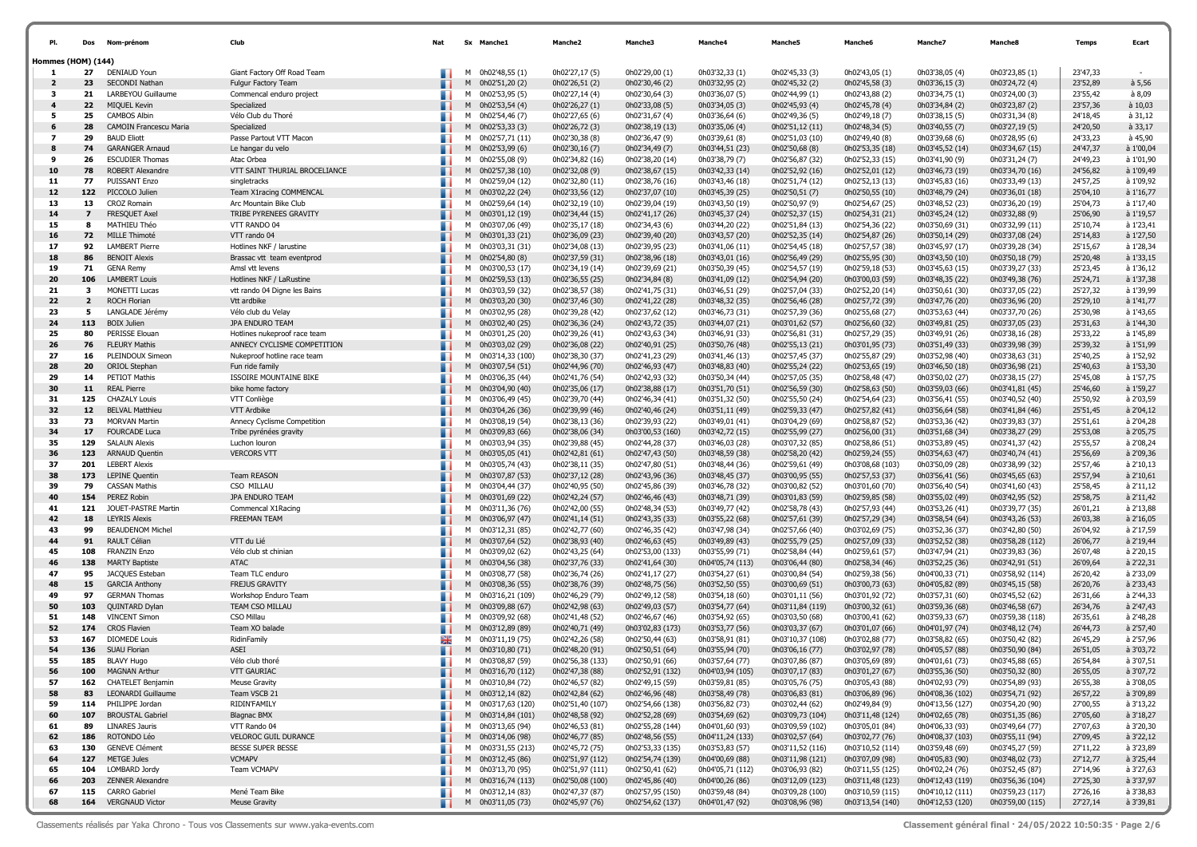|                           |                | Nom-prénom                                      | Club                                        | Nat | <b>Sx</b> | <b>Manche1</b>                          | Manche <sub>2</sub>                | Manche3                             | Manche4                            | Manche5                            | Manche6                            | Manchez                              | Manche8                            | <b>Temps</b>         | Ecart                  |
|---------------------------|----------------|-------------------------------------------------|---------------------------------------------|-----|-----------|-----------------------------------------|------------------------------------|-------------------------------------|------------------------------------|------------------------------------|------------------------------------|--------------------------------------|------------------------------------|----------------------|------------------------|
| <b>Hommes (HOM) (144)</b> |                |                                                 |                                             |     |           |                                         |                                    |                                     |                                    |                                    |                                    |                                      |                                    |                      |                        |
| -1                        | 27             | DENIAUD Youn                                    | Giant Factory Off Road Team                 |     | м         | 0h02'48,55 (1)                          | 0h02'27.17 (5)                     | 0h02'29,00 (1)                      | 0h03'32,33 (1)                     | 0h02'45,33 (3)                     | 0h02'43,05 (1)                     | 0h03'38,05 (4)                       | 0h03'23,85 (1)                     | 23'47,33             |                        |
| $\overline{2}$<br>3       | 23<br>21       | SECONDI Nathan<br>LARBEYOU Guillaume            | Fulgur Factory Team                         |     | M<br>м    | 0h02'51,20 (2)<br>0h02'53,95 (5)        | 0h02'26,51 (2)<br>0h02'27,14 (4)   | 0h02'30,46 (2)                      | 0h03'32,95 (2)<br>0h03'36,07 (5)   | 0h02'45,32 (2)                     | 0h02'45,58 (3)<br>0h02'43,88 (2)   | 0h03'36,15 (3)<br>0h03'34,75 (1)     | 0h03'24,72 (4)<br>0h03'24,00 (3)   | 23'52,89<br>23'55,42 | $a$ 5,56<br>à 8,09     |
| 4                         | 22             | MIQUEL Kevin                                    | Commencal enduro project<br>Specialized     |     |           | M 0h02'53,54 (4)                        | 0h02'26,27(1)                      | 0h02'30,64 (3)<br>0h02'33,08 (5)    | 0h03'34,05 (3)                     | 0h02'44,99 (1)<br>0h02'45,93 (4)   | 0h02'45,78 (4)                     | 0h03'34,84 (2)                       | 0h03'23,87 (2)                     | 23'57,36             | $\dot{a}$ 10,03        |
| 5                         | 25             | <b>CAMBOS Albin</b>                             | Vélo Club du Thoré                          |     |           | M 0h02'54,46 (7)                        | 0h02'27,65 (6)                     | 0h02'31,67 (4)                      | 0h03'36,64 (6)                     | 0h02'49,36 (5)                     | 0h02'49,18 (7)                     | 0h03'38,15 (5)                       | 0h03'31,34 (8)                     | 24'18,45             | à 31,12                |
| 6                         | 28             | CAMOIN Francescu Maria                          | Specialized                                 |     | M         | 0h02'53,33 (3)                          | 0h02'26,72 (3)                     | 0h02'38,19 (13)                     | 0h03'35,06 (4)                     | 0h02'51,12 (11)                    | 0h02'48,34 (5)                     | 0h03'40,55 (7)                       | 0h03'27,19 (5)                     | 24'20,50             | $a$ 33,17              |
| $\overline{\mathbf{z}}$   | 29             | <b>BAUD Eliott</b>                              | Passe Partout VTT Macon                     |     | M         | 0h02'57,71 (11)                         | 0h02'30,38 (8)                     | 0h02'36,47 (9)                      | 0h03'39,61 (8)                     | 0h02'51,03 (10)                    | 0h02'49,40 (8)                     | 0h03'39,68 (6)                       | 0h03'28,95 (6)                     | 24'33,23             | à 45,90                |
| 8                         | 74             | <b>GARANGER Arnaud</b>                          | Le hangar du velo                           |     |           | M 0h02'53,99 (6)                        | 0h02'30,16 (7)                     | 0h02'34,49 (7)                      | 0h03'44,51 (23)                    | 0h02'50,68 (8)                     | 0h02'53,35 (18)                    | 0h03'45,52 (14)                      | 0h03'34,67 (15)                    | 24'47,37             | à 1'00,04              |
| 9                         | 26             | <b>ESCUDIER Thomas</b>                          | Atac Orbea                                  |     |           | M 0h02'55,08 (9)                        | 0h02'34,82 (16)                    | 0h02'38,20 (14)                     | 0h03'38,79 (7)                     | 0h02'56,87 (32)                    | 0h02'52,33 (15)                    | 0h03'41,90 (9)                       | 0h03'31,24 (7)                     | 24'49,23             | à 1'01,90              |
| 10                        | 78             | <b>ROBERT Alexandre</b><br><b>PUISSANT Enzo</b> | VTT SAINT THURIAL BROCELIANCE               |     | M         | 0h02'57,38 (10)                         | 0h02'32,08 (9)                     | 0h02'38,67 (15)                     | 0h03'42,33 (14)                    | 0h02'52,92 (16)                    | 0h02'52,01 (12)                    | 0h03'46,73 (19)                      | 0h03'34,70 (16)                    | 24'56,82             | à 1'09,49              |
| -11<br>12                 | 77<br>122      | PICCOLO Julien                                  | singletracks<br>Team X1racing COMMENCAL     |     |           | M 0h02'59,04 (12)<br>M 0h03'02,22 (24)  | 0h02'32,80 (11)<br>0h02'33,56 (12) | 0h02'38,76 (16)<br>0h02'37,07 (10)  | 0h03'43,46 (18)<br>0h03'45,39 (25) | 0h02'51,74 (12)<br>0h02'50,51 (7)  | 0h02'52,13 (13)<br>0h02'50,55 (10) | 0h03'45,83 (16)<br>0h03'48,79 (24)   | 0h03'33,49 (13)<br>0h03'36,01 (18) | 24'57,25<br>25'04,10 | à 1'09,92<br>à 1'16,77 |
| 13                        | 13             | <b>CROZ Romain</b>                              | Arc Mountain Bike Club                      |     |           | M 0h02'59,64 (14)                       | 0h02'32,19 (10)                    | 0h02'39,04 (19)                     | 0h03'43,50 (19)                    | 0h02'50,97 (9)                     | 0h02'54,67 (25)                    | 0h03'48,52 (23)                      | 0h03'36,20 (19)                    | 25'04,73             | à 1'17,40              |
| 14                        | $\overline{ }$ | FRESQUET Axel                                   | TRIBE PYRENEES GRAVITY                      |     | M         | 0h03'01,12 (19)                         | 0h02'34,44 (15)                    | 0h02'41,17 (26)                     | 0h03'45,37 (24)                    | 0h02'52,37 (15)                    | 0h02'54,31 (21)                    | 0h03'45,24 (12)                      | 0h03'32,88 (9)                     | 25'06,90             | à 1'19,57              |
| 15                        | 8              | MATHIEU Théo                                    | VTT RANDO 04                                |     |           | M 0h03'07,06 (49)                       | 0h02'35,17 (18)                    | 0h02'34,43 (6)                      | 0h03'44,20 (22)                    | 0h02'51,84 (13)                    | 0h02'54,36 (22)                    | 0h03'50,69 (31)                      | 0h03'32,99 (11)                    | 25'10,74             | à 1'23,41              |
| 16                        | 72             | MILLE Thimoté                                   | VTT rando 04                                |     |           | M 0h03'01,33 (21)                       | 0h02'36,09 (23)                    | 0h02'39,40 (20)                     | 0h03'43,57 (20)                    | 0h02'52,35 (14)                    | 0h02'54,87 (26)                    | 0h03'50,14 (29)                      | 0h03'37,08 (24)                    | 25'14,83             | à 1'27,50              |
| 17                        | 92             | <b>LAMBERT Pierre</b>                           | Hotlines NKF / larustine                    |     | м         | 0h03'03,31 (31)                         | 0h02'34,08 (13)                    | 0h02'39,95 (23)                     | 0h03'41,06 (11)                    | 0h02'54,45 (18)                    | 0h02'57,57 (38)                    | 0h03'45,97 (17)                      | 0h03'39,28 (34)                    | 25'15,67             | à 1'28,34              |
| 18                        | 86             | <b>BENOIT Alexis</b>                            | Brassac vtt team eventprod                  |     |           | M 0h02'54,80 (8)                        | 0h02'37,59 (31)                    | 0h02'38,96 (18)                     | 0h03'43,01 (16)                    | 0h02'56,49 (29)                    | 0h02'55,95 (30)                    | 0h03'43,50 (10)                      | 0h03'50,18 (79)                    | 25'20,48             | à 1'33,15              |
| 19                        | 71             | <b>GENA Remy</b>                                | Amsl vtt levens                             |     |           | M 0h03'00,53 (17)                       | 0h02'34,19 (14)                    | 0h02'39,69 (21)                     | 0h03'50,39 (45)                    | 0h02'54,57 (19)                    | 0h02'59,18 (53)                    | 0h03'45,63 (15)                      | 0h03'39,27 (33)                    | 25'23,45             | à 1'36,12              |
| 20<br>21                  | 106<br>3       | <b>LAMBERT Louis</b>                            | Hotlines NKF / LaRustine                    |     |           | M 0h02'59,53 (13)                       | 0h02'36,55 (25)                    | 0h02'34,84 (8)                      | 0h03'41,09 (12)                    | 0h02'54,94 (20)                    | 0h03'00,03 (59)                    | 0h03'48,35 (22)                      | 0h03'49,38 (76)                    | 25'24,71<br>25'27,32 | à 1'37,38              |
| 22                        | $\overline{2}$ | <b>MONETTI Lucas</b><br>ROCH Florian            | vtt rando 04 Digne les Bains<br>Vtt ardbike |     |           | M 0h03'03,59 (32)<br>M 0h03'03,20 (30)  | 0h02'38,57 (38)<br>0h02'37,46 (30) | 0h02'41,75 (31)<br>0h02'41,22 (28)  | 0h03'46,51 (29)<br>0h03'48,32 (35) | 0h02'57,04 (33)<br>0h02'56,46 (28) | 0h02'52,20 (14)<br>0h02'57,72 (39) | 0h03'50,61 (30)<br>0h03'47,76 (20)   | 0h03'37,05 (22)<br>0h03'36,96 (20) | 25'29,10             | à 1'39,99<br>à 1'41,77 |
| 23                        | 5              | LANGLADE Jérémy                                 | Vélo club du Velay                          |     |           | M 0h03'02,95 (28)                       | 0h02'39,28 (42)                    | 0h02'37,62 (12)                     | 0h03'46,73 (31)                    | 0h02'57,39 (36)                    | 0h02'55,68 (27)                    | 0h03'53,63 (44)                      | 0h03'37,70 (26)                    | 25'30,98             | à 1'43,65              |
| 24                        | 113            | <b>BOIX Julien</b>                              | JPA ENDURO TEAM                             |     |           | M 0h03'02,40 (25)                       | 0h02'36,36 (24)                    | 0h02'43,72 (35)                     | 0h03'44,07 (21)                    | 0h03'01,62 (57)                    | 0h02'56,60 (32)                    | 0h03'49,81 (25)                      | 0h03'37,05 (23)                    | 25'31,63             | à 1'44,30              |
| 25                        | 80             | PERISSE Elouan                                  | Hotlines nukeproof race team                |     | M         | 0h03'01,25 (20)                         | 0h02'39,26 (41)                    | 0h02'43,63 (34)                     | 0h03'46,91 (33)                    | 0h02'56,81 (31)                    | 0h02'57,29 (35)                    | 0h03'49,91 (26)                      | 0h03'38,16 (28)                    | 25'33,22             | à 1'45,89              |
| 26                        | 76             | <b>FLEURY Mathis</b>                            | ANNECY CYCLISME COMPETITION                 |     |           | M 0h03'03,02 (29)                       | 0h02'36,08 (22)                    | 0h02'40,91 (25)                     | 0h03'50,76 (48)                    | 0h02'55,13 (21)                    | 0h03'01,95 (73)                    | 0h03'51,49 (33)                      | 0h03'39,98 (39)                    | 25'39,32             | à 1'51,99              |
| 27                        | 16             | PLEINDOUX Simeon                                | Nukeproof hotline race team                 |     | м         | 0h03'14,33 (100)                        | 0h02'38,30 (37)                    | 0h02'41,23 (29)                     | 0h03'41,46 (13)                    | 0h02'57,45 (37)                    | 0h02'55,87 (29)                    | 0h03'52,98 (40)                      | 0h03'38,63 (31)                    | 25'40,25             | à 1'52,92              |
| 28                        | 20             | <b>ORIOL Stephan</b>                            | Fun ride family                             |     | M         | 0h03'07,54 (51)                         | 0h02'44,96 (70)                    | 0h02'46,93 (47)                     | 0h03'48,83 (40)                    | 0h02'55,24 (22)                    | 0h02'53,65 (19)                    | 0h03'46,50 (18)                      | 0h03'36,98 (21)                    | 25'40,63             | à 1'53,30              |
| 29                        | 14             | PETIOT Mathis                                   | <b>ISSOIRE MOUNTAINE BIKE</b>               |     |           | M 0h03'06,35 (44)                       | 0h02'41,76 (54)                    | 0h02'42,93 (32)                     | 0h03'50,34 (44)                    | 0h02'57,05 (35)                    | 0h02'58,48 (47)                    | 0h03'50,02 (27)                      | 0h03'38,15 (27)                    | 25'45,08             | à 1'57,75              |
| 30<br>31                  | 11<br>125      | <b>REAL Pierre</b><br><b>CHAZALY Louis</b>      | bike home factory<br>VTT Conliège           |     | M<br>M    | 0h03'04,90 (40)<br>0h03'06,49 (45)      | 0h02'35,06 (17)                    | 0h02'38,88 (17)                     | 0h03'51,70 (51)<br>0h03'51,32 (50) | 0h02'56,59 (30)                    | 0h02'58,63 (50)                    | 0h03'59,03 (66)<br>0h03'56,41 (55)   | 0h03'41,81 (45)<br>0h03'40,52 (40) | 25'46,60<br>25'50,92 | à 1'59,27<br>à 2'03,59 |
| 32                        | 12             | <b>BELVAL Matthieu</b>                          | VTT Ardbike                                 | ٠   | M         | 0h03'04,26 (36)                         | 0h02'39,70 (44)<br>0h02'39,99 (46) | 0h02'46,34 (41)<br>0h02'40,46 (24)  | 0h03'51,11 (49)                    | 0h02'55,50 (24)<br>0h02'59,33 (47) | 0h02'54,64 (23)<br>0h02'57,82 (41) | 0h03'56,64 (58)                      | 0h03'41,84 (46)                    | 25'51,45             | à 2'04,12              |
| 33                        | 73             | <b>MORVAN Martin</b>                            | Annecy Cyclisme Competition                 |     |           | M 0h03'08,19 (54)                       | 0h02'38,13 (36)                    | 0h02'39,93 (22)                     | 0h03'49,01 (41)                    | 0h03'04,29 (69)                    | 0h02'58,87 (52)                    | 0h03'53,36 (42)                      | 0h03'39,83 (37)                    | 25'51,61             | à 2'04,28              |
| 34                        | 17             | <b>FOURCADE Luca</b>                            | Tribe pyrénées gravity                      |     | M         | 0h03'09,83 (66)                         | 0h02'38,06 (34)                    | 0h03'00,53 (160)                    | 0h03'42,72 (15)                    | 0h02'55,99 (27)                    | 0h02'56,00 (31)                    | 0h03'51,68 (34)                      | 0h03'38,27 (29)                    | 25'53,08             | à 2'05,75              |
| 35                        | 129            | <b>SALAUN Alexis</b>                            | Luchon louron                               |     | м         | 0h03'03,94 (35)                         | 0h02'39,88 (45)                    | 0h02'44,28 (37)                     | 0h03'46,03 (28)                    | 0h03'07,32 (85)                    | 0h02'58,86 (51)                    | 0h03'53,89 (45)                      | 0h03'41,37 (42)                    | 25'55,57             | à 2'08,24              |
| 36                        | 123            | ARNAUD Quentin                                  | <b>VERCORS VTT</b>                          |     | M         | 0h03'05,05 (41)                         | 0h02'42,81 (61)                    | 0h02'47,43 (50)                     | 0h03'48,59 (38)                    | 0h02'58,20 (42)                    | 0h02'59,24 (55)                    | 0h03'54,63 (47)                      | 0h03'40,74 (41)                    | 25'56,69             | à 2'09,36              |
| 37                        | 201            | <b>LEBERT Alexis</b>                            |                                             |     | M         | 0h03'05,74 (43)                         | 0h02'38,11 (35)                    | 0h02'47,80 (51)                     | 0h03'48,44 (36)                    | 0h02'59,61 (49)                    | 0h03'08,68 (103)                   | 0h03'50,09 (28)                      | 0h03'38,99 (32)                    | 25'57,46             | à 2'10,13              |
| 38                        | 173            | <b>LEPINE Quentin</b>                           | <b>Team REASON</b>                          |     | M         | 0h03'07,87 (53)                         | 0h02'37,12 (28)                    | 0h02'43,96 (36)                     | 0h03'48,45 (37)                    | 0h03'00,95 (55)                    | 0h02'57,53 (37)                    | 0h03'56,41 (56)                      | 0h03'45,65 (63)                    | 25'57,94             | à 2'10,61              |
| 39<br>40                  | 79<br>154      | <b>CASSAN Mathis</b><br>PEREZ Robin             | CSO MILLAU<br>JPA ENDURO TEAM               |     | M         | 0h03'04,44 (37)                         | 0h02'40,95 (50)                    | 0h02'45,86 (39)                     | 0h03'46,78 (32)<br>0h03'48,71 (39) | 0h03'00,82 (52)                    | 0h03'01,60 (70)                    | 0h03'56,40 (54)                      | 0h03'41,60 (43)                    | 25'58,45<br>25'58,75 | à 2'11,12<br>à 2'11,42 |
| 41                        | 121            | JOUET-PASTRE Martin                             | Commencal X1Racing                          |     | M         | M 0h03'01,69 (22)<br>0h03'11,36 (76)    | 0h02'42,24 (57)<br>0h02'42,00 (55) | 0h02'46,46 (43)<br>0h02'48,34 (53)  | 0h03'49,77 (42)                    | 0h03'01,83 (59)<br>0h02'58,78 (43) | 0h02'59,85 (58)<br>0h02'57,93 (44) | 0h03'55,02 (49)<br>0h03'53,26 (41)   | 0h03'42,95 (52)<br>0h03'39,77 (35) | 26'01,21             | à 2'13,88              |
| 42                        | 18             | <b>LEYRIS Alexis</b>                            | <b>FREEMAN TEAM</b>                         |     | M         | 0h03'06,97 (47)                         | 0h02'41,14 (51)                    | 0h02'43,35 (33)                     | 0h03'55,22 (68)                    | 0h02'57,61 (39)                    | 0h02'57,29 (34)                    | 0h03'58,54 (64)                      | 0h03'43,26 (53)                    | 26'03,38             | à 2'16,05              |
| 43                        | 99             | <b>BEAUDENOM Michel</b>                         |                                             |     | M         | 0h03'12,31 (85)                         | 0h02'42,77 (60)                    | 0h02'46,35 (42)                     | 0h03'47,98 (34)                    | 0h02'57,66 (40)                    | 0h03'02,69 (75)                    | 0h03'52,36 (37)                      | 0h03'42,80 (50)                    | 26'04,92             | à 2'17,59              |
| 44                        | 91             | RAULT Célian                                    | VTT du Lié                                  |     | M         | 0h03'07,64 (52)                         | 0h02'38,93 (40)                    | 0h02'46,63 (45)                     | 0h03'49,89 (43)                    | 0h02'55,79 (25)                    | 0h02'57,09 (33)                    | 0h03'52,52 (38)                      | 0h03'58,28 (112)                   | 26'06,77             | à 2'19,44              |
| 45                        | 108            | <b>FRANZIN Enzo</b>                             | Vélo club st chinian                        |     | м         | 0h03'09,02 (62)                         | 0h02'43,25 (64)                    | 0h02'53,00 (133)                    | 0h03'55,99 (71)                    | 0h02'58,84 (44)                    | 0h02'59,61 (57)                    | 0h03'47,94 (21)                      | 0h03'39,83 (36)                    | 26'07,48             | à 2'20,15              |
| 46                        | 138            | <b>MARTY Baptiste</b>                           | <b>ATAC</b>                                 |     | M         | 0h03'04,56 (38)                         | 0h02'37,76 (33)                    | 0h02'41,64 (30)                     | 0h04'05,74 (113)                   | 0h03'06,44 (80)                    | 0h02'58,34 (46)                    | 0h03'52,25 (36)                      | 0h03'42,91 (51)                    | 26'09,64             | à 2'22,31              |
| 47                        | 95             | JACQUES Esteban                                 | Team TLC enduro<br><b>FREJUS GRAVITY</b>    |     |           | M 0h03'08,77 (58)                       | 0h02'36,74 (26)                    | 0h02'41,17 (27)                     | 0h03'54,27 (61)                    | 0h03'00,84 (54)                    | 0h02'59,38 (56)                    | 0h04'00,33 (71)                      | 0h03'58,92 (114)                   | 26'20,42             | à 2'33,09<br>à 2'33,43 |
| 48<br>49                  | 15<br>97       | <b>GARCIA Anthony</b><br><b>GERMAN Thomas</b>   | Workshop Enduro Team                        |     |           | M 0h03'08,36 (55)<br>M 0h03'16,21 (109) | 0h02'38,76 (39)<br>0h02'46,29 (79) | 0h02'48,75 (56)<br>0h02'49,12 (58)  | 0h03'52,50 (55)<br>0h03'54,18 (60) | 0h03'00,69 (51)<br>0h03'01,11 (56) | 0h03'00,73 (63)<br>0h03'01,92 (72) | 0h04'05,82 (89)<br>0h03'57,31 (60)   | 0h03'45,15 (58)<br>0h03'45,52 (62) | 26'20,76<br>26'31,66 | à 2'44,33              |
| 50                        | 103            | QUINTARD Dylan                                  | TEAM CSO MILLAU                             |     |           | M 0h03'09,88 (67)                       | 0h02'42,98 (63)                    | 0h02'49,03 (57)                     | 0h03'54,77 (64)                    | 0h03'11,84 (119)                   | 0h03'00,32 (61)                    | 0h03'59,36 (68)                      | 0h03'46,58 (67)                    | 26'34,76             | à 2'47,43              |
| 51                        | 148            | <b>VINCENT Simon</b>                            | CSO Millau                                  |     |           | M 0h03'09,92 (68)                       | 0h02'41,48 (52)                    | 0h02'46,67 (46)                     | 0h03'54,92 (65)                    | 0h03'03,50 (68)                    | 0h03'00,41 (62)                    | 0h03'59,33 (67)                      | 0h03'59,38 (118)                   | 26'35,61             | à 2'48,28              |
| 52                        | 174            | <b>CROS Flavien</b>                             | Team XO balade                              |     | M         | 0h03'12,89 (89)                         | 0h02'40,71 (49)                    | 0h03'02,83 (173)                    | 0h03'53,77 (56)                    | 0h03'03,37 (67)                    | 0h03'01,07 (66)                    | 0h04'01,97 (74)                      | 0h03'48,12 (74)                    | 26'44,73             | à 2'57,40              |
| 53                        | 167            | <b>DIOMEDE Louis</b>                            | RidinFamily                                 | Ж   | м         | 0h03'11,19 (75)                         | 0h02'42,26 (58)                    | 0h02'50,44 (63)                     | 0h03'58,91 (81)                    | 0h03'10,37 (108)                   | 0h03'02,88 (77)                    | 0h03'58,82 (65)                      | 0h03'50,42 (82)                    | 26'45,29             | à 2'57,96              |
| 54                        | 136            | <b>SUAU Florian</b>                             | ASEI                                        |     | M         | 0h03'10,80 (71)                         | 0h02'48,20 (91)                    | 0h02'50,51 (64)                     | 0h03'55,94 (70)                    | 0h03'06,16 (77)                    | 0h03'02,97 (78)                    | 0h04'05,57 (88)                      | 0h03'50,90 (84)                    | 26'51,05             | à 3'03,72              |
| 55                        | 185            | <b>BLAVY Hugo</b>                               | Vélo club thoré                             |     | м         | 0h03'08,87 (59)                         | 0h02'56,38 (133)                   | 0h02'50.91 (66)                     | 0h03'57,64 (77)                    | 0h03'07,86 (87)                    | 0h03'05,69 (89)                    | 0h04'01,61 (73)                      | 0h03'45,88 (65)                    | 26'54,84             | à 3'07,51              |
| 56                        | 100            | magnan aftnuf                                   | <b>VTT GAURIAC</b>                          |     |           | M 0h03'16,70 (112)                      | 0h02'47,38 (88)                    | 0h02'52,91 (132)                    | 0h04'03,94 (105)                   | 0h03'07,17 (83)                    | 0h03'01,27 (67)                    | 0h03'55,36 (50)                      | 0h03'50,32 (80)                    | 26'55,05             | à 3'07,72              |
| 57                        | 83             | 162 CHATELET Benjamin                           | <b>Meuse Gravity</b>                        |     |           | M 0h03'10,84 (72)                       | 0h02'46,57 (82)<br>0h02'42,84 (62) | 0h02'49,15 (59)                     | 0h03'59,81 (85)                    | 0h03'05,76 (75)                    | 0h03'05,43 (88)<br>0h03'06,89 (96) | 0h04'02,93 (79)                      | 0h03'54,89 (93)                    | 26'55,38             | à 3'08,05              |
| 58<br>59                  |                | LEONARDI Guillaume<br>114 PHILIPPE Jordan       | Team VSCB 21<br>RIDIN'FAMILY                |     |           | M 0h03'12,14 (82)<br>M 0h03'17,63 (120) | 0h02'51,40 (107)                   | 0h02'46,96 (48)<br>0h02'54,66 (138) | 0h03'58,49 (78)<br>0h03'56,82 (73) | 0h03'06,83 (81)<br>0h03'02,44 (62) | 0h02'49,84 (9)                     | 0h04'08,36 (102)<br>0h04'13,56 (127) | 0h03'54,71 (92)<br>0h03'54,20 (90) | 26'57,22<br>27'00,55 | à 3'09,89<br>à 3'13,22 |
| 60                        | 107            | <b>BROUSTAL Gabriel</b>                         | <b>Blagnac BMX</b>                          |     |           | M 0h03'14,84 (101)                      | 0h02'48,58 (92)                    | 0h02'52,28 (69)                     | 0h03'54,69 (62)                    | 0h03'09,73 (104)                   | 0h03'11,48 (124)                   | 0h04'02,65 (78)                      | 0h03'51,35 (86)                    | 27'05,60             | à 3'18,27              |
| 61                        | 89             | <b>LINARES Jauris</b>                           | VTT Rando 04                                |     |           | M 0h03'13,65 (94)                       | 0h02'46,53 (81)                    | 0h02'55,28 (144)                    | 0h04'01,60 (93)                    | 0h03'09,59 (102)                   | 0h03'05,01 (84)                    | 0h04'06,33 (93)                      | 0h03'49,64 (77)                    | 27'07,63             | à 3'20,30              |
| 62                        | 186            | ROTONDO Léo                                     | VELOROC GUIL DURANCE                        |     |           | M 0h03'14,06 (98)                       | 0h02'46,77 (85)                    | 0h02'48,56 (55)                     | 0h04'11,24 (133)                   | 0h03'02,57 (64)                    | 0h03'02,77 (76)                    | 0h04'08,37 (103)                     | 0h03'55,11 (94)                    | 27'09,45             | à 3'22,12              |
| 63                        | 130            | <b>GENEVE Clément</b>                           | BESSE SUPER BESSE                           |     |           | M 0h03'31,55 (213)                      | 0h02'45,72 (75)                    | 0h02'53,33 (135)                    | 0h03'53,83 (57)                    | 0h03'11,52 (116)                   | 0h03'10,52 (114)                   | 0h03'59,48 (69)                      | 0h03'45,27 (59)                    | 27'11,22             | à 3'23,89              |
| 64                        | 127            | <b>METGE Jules</b>                              | <b>VCMAPV</b>                               |     |           | M 0h03'12,45 (86)                       | 0h02'51,97 (112)                   | 0h02'54,74 (139)                    | 0h04'00,69 (88)                    | 0h03'11,98 (121)                   | 0h03'07,09 (98)                    | 0h04'05,83 (90)                      | 0h03'48,02 (73)                    | 27'12,77             | à 3'25,44              |
| 65                        |                | 104 LOMBARD Jordy                               | Team VCMAPV                                 |     |           | M 0h03'13,70 (95)                       | 0h02'51,97 (111)                   | 0h02'50,41 (62)                     | 0h04'05,71 (112)                   | 0h03'06,93 (82)                    | 0h03'11,55 (125)                   | 0h04'02,24 (76)                      | 0h03'52,45 (87)                    | 27'14,96             | à 3'27,63              |
| 66                        | 203            | <b>ZENNER Alexandre</b>                         |                                             |     |           | M 0h03'16,74 (113)                      | 0h02'50,08 (100)                   | 0h02'45,86 (40)                     | 0h04'00,26 (86)                    | 0h03'12,09 (123)                   | 0h03'11,48 (123)                   | 0h04'12,43 (119)                     | 0h03'56,36 (104)                   | 27'25,30             | à 3'37,97              |
| 67<br>68                  | 115            | <b>CARRO Gabriel</b><br>164 VERGNAUD Victor     | Mené Team Bike<br><b>Meuse Gravity</b>      |     |           | M 0h03'12,14 (83)                       | 0h02'47,37 (87)                    | 0h02'57,95 (150)                    | 0h03'59,48 (84)                    | 0h03'09,28 (100)                   | 0h03'10,59 (115)                   | 0h04'10,12 (111)                     | 0h03'59,23 (117)                   | 27'26,16             | à 3'38,83<br>à 3'39,81 |
|                           |                |                                                 |                                             |     |           | M 0h03'11,05 (73)                       | 0h02'45,97 (76)                    | 0h02'54,62 (137)                    | 0h04'01,47 (92)                    | 0h03'08,96 (98)                    | 0h03'13,54 (140)                   | 0h04'12,53 (120)                     | 0h03'59,00 (115)                   | 27'27,14             |                        |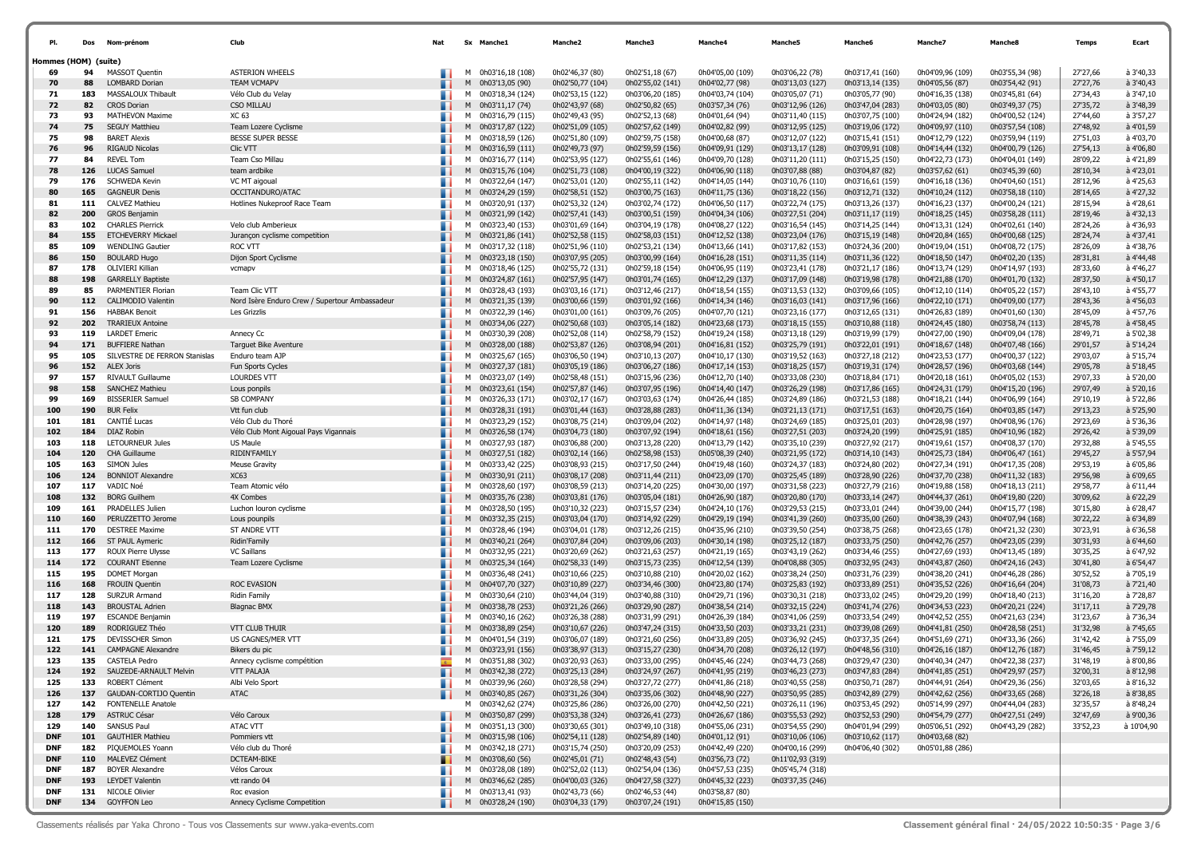| PI.                  | Dos        | Nom-prénom                                       | Club                                           | Nat |   | Sx Manche1                               | <b>Manche2</b>                       | Manche3                              | <b>Manche4</b>                       | <b>Manche5</b>                       | Manchet                              | Manche7                              | Manche&                              | <b>Temps</b>         | Ecart                  |
|----------------------|------------|--------------------------------------------------|------------------------------------------------|-----|---|------------------------------------------|--------------------------------------|--------------------------------------|--------------------------------------|--------------------------------------|--------------------------------------|--------------------------------------|--------------------------------------|----------------------|------------------------|
| Hommes (HOM) (suite) |            |                                                  |                                                |     |   |                                          |                                      |                                      |                                      |                                      |                                      |                                      |                                      |                      |                        |
| 69                   | 94         | <b>MASSOT Quentin</b>                            | <b>ASTERION WHEELS</b>                         |     | м | 0h03'16,18 (108)                         | 0h02'46,37 (80)                      | 0h02'51,18 (67)                      | 0h04'05,00 (109)                     | 0h03'06,22 (78)                      | 0h03'17,41 (160)                     | 0h04'09,96 (109)                     | 0h03'55,34 (98)                      | 27'27,66             | à 3'40,33              |
| 70                   | 88         | LOMBARD Dorian                                   | <b>TEAM VCMAPV</b>                             |     | M | 0h03'13,05 (90)                          | 0h02'50,77 (104)                     | 0h02'55,02 (141)                     | 0h04'02,77 (98)                      | 0h03'13,03 (127)                     | 0h03'13,14 (135)                     | 0h04'05,56 (87)                      | 0h03'54,42 (91)                      | 27'27,76             | à 3'40,43              |
| 71                   | 183        | MASSALOUX Thibault                               | Vélo Club du Velay                             | . . | м | 0h03'18,34 (124)                         | 0h02'53,15 (122)                     | 0h03'06,20 (185)                     | 0h04'03,74 (104)                     | 0h03'05,07 (71)                      | 0h03'05,77 (90)                      | 0h04'16,35 (138)                     | 0h03'45,81 (64)                      | 27'34,43             | à 3'47,10              |
| 72                   | 82         | <b>CROS Dorian</b>                               | CSO MILLAU                                     |     |   | M 0h03'11,17 (74)                        | 0h02'43,97 (68)                      | 0h02'50,82 (65)                      | 0h03'57,34 (76)                      | 0h03'12,96 (126)                     | 0h03'47,04 (283)                     | 0h04'03,05 (80)                      | 0h03'49,37 (75)                      | 27'35,72             | à 3'48,39              |
| 73                   | 93         | <b>MATHEVON Maxime</b>                           | XC 63                                          |     |   | M 0h03'16,79 (115)                       | 0h02'49,43 (95)                      | 0h02'52,13 (68)                      | 0h04'01,64 (94)                      | 0h03'11,40 (115)                     | 0h03'07,75 (100)                     | 0h04'24,94 (182)                     | 0h04'00,52 (124)                     | 27'44,60             | à 3'57,27              |
| 74                   | 75         | <b>SEGUY Matthieu</b>                            | Team Lozere Cyclisme                           |     |   | M 0h03'17,87 (122)                       | 0h02'51,09 (105)                     | 0h02'57,62 (149)                     | 0h04'02,82 (99)                      | 0h03'12,95 (125)                     | 0h03'19,06 (172)                     | 0h04'09,97 (110)                     | 0h03'57,54 (108)                     | 27'48,92             | à 4'01,59              |
| 75                   | 98<br>96   | <b>BARET Alexis</b>                              | <b>BESSE SUPER BESSE</b><br>Clic VTT           |     |   | M 0h03'18,59 (126)                       | 0h02'51,80 (109)                     | 0h02'59,75 (158)                     | 0h04'00,68 (87)                      | 0h03'12,07 (122)                     | 0h03'15,41 (151)                     | 0h04'12,79 (122)                     | 0h03'59,94 (119)                     | 27'51,03             | à 4'03,70<br>à 4'06,80 |
| 76<br>77             | 84         | <b>RIGAUD Nicolas</b><br><b>REVEL Tom</b>        |                                                |     |   | M 0h03'16,59 (111)                       | 0h02'49,73 (97)                      | 0h02'59,59 (156)                     | 0h04'09,91 (129)<br>0h04'09,70 (128) | 0h03'13,17 (128)                     | 0h03'09,91 (108)                     | 0h04'14,44 (132)<br>0h04'22,73 (173) | 0h04'00,79 (126)                     | 27'54,13             | à 4'21,89              |
| 78                   | 126        | <b>LUCAS Samuel</b>                              | Team Cso Millau<br>team ardbike                |     |   | M 0h03'16,77 (114)<br>M 0h03'15,76 (104) | 0h02'53,95 (127)<br>0h02'51,73 (108) | 0h02'55,61 (146)<br>0h04'00,19 (322) | 0h04'06,90 (118)                     | 0h03'11,20 (111)<br>0h03'07,88 (88)  | 0h03'15,25 (150)<br>0h03'04,87 (82)  | 0h03'57,62 (61)                      | 0h04'04,01 (149)<br>0h03'45,39 (60)  | 28'09,22<br>28'10,34 | à 4'23,01              |
| 79                   | 176        | SCHWEDA Kevin                                    | VC MT aigoual                                  |     |   | M 0h03'22,64 (147)                       | 0h02'53,01 (120)                     | 0h02'55,11 (142)                     | 0h04'14,05 (144)                     | 0h03'10,76 (110)                     | 0h03'16,61 (159)                     | 0h04'16,18 (136)                     | 0h04'04,60 (151)                     | 28'12,96             | à 4'25,63              |
| 80                   | 165        | <b>GAGNEUR Denis</b>                             | OCCITANDURO/ATAC                               |     |   | M 0h03'24,29 (159)                       | 0h02'58,51 (152)                     | 0h03'00,75 (163)                     | 0h04'11,75 (136)                     | 0h03'18,22 (156)                     | 0h03'12,71 (132)                     | 0h04'10,24 (112)                     | 0h03'58,18 (110)                     | 28'14,65             | à 4'27,32              |
| 81                   | 111        | <b>CALVEZ Mathieu</b>                            | Hotlines Nukeproof Race Team                   |     |   | M 0h03'20,91 (137)                       | 0h02'53,32 (124)                     | 0h03'02,74 (172)                     | 0h04'06,50 (117)                     | 0h03'22,74 (175)                     | 0h03'13,26 (137)                     | 0h04'16,23 (137)                     | 0h04'00,24 (121)                     | 28'15,94             | à 4'28,61              |
| 82                   | 200        | <b>GROS Benjamin</b>                             |                                                |     |   | M 0h03'21,99 (142)                       | 0h02'57,41 (143)                     | 0h03'00,51 (159)                     | 0h04'04,34 (106)                     | 0h03'27,51 (204)                     | 0h03'11,17 (119)                     | 0h04'18,25 (145)                     | 0h03'58,28 (111)                     | 28'19,46             | à 4'32,13              |
| 83                   | 102        | <b>CHARLES Pierrick</b>                          | Velo club Amberieux                            |     |   | M 0h03'23,40 (153)                       | 0h03'01,69 (164)                     | 0h03'04,19 (178)                     | 0h04'08,27 (122)                     | 0h03'16,54 (145)                     | 0h03'14,25 (144)                     | 0h04'13,31 (124)                     | 0h04'02,61 (140)                     | 28'24,26             | à 4'36,93              |
| 84                   | 155        | <b>ETCHEVERRY Mickael</b>                        | Jurançon cyclisme competition                  |     |   | M 0h03'21,86 (141)                       | 0h02'52,58 (115)                     | 0h02'58,03 (151)                     | 0h04'12,52 (138)                     | 0h03'23,04 (176)                     | 0h03'15,19 (148)                     | 0h04'20,84 (165)                     | 0h04'00,68 (125)                     | 28'24,74             | à 4'37,41              |
| 85                   | 109        | <b>WENDLING Gautier</b>                          | ROC VTT                                        |     |   | M 0h03'17,32 (118)                       | 0h02'51,96 (110)                     | 0h02'53,21 (134)                     | 0h04'13,66 (141)                     | 0h03'17,82 (153)                     | 0h03'24,36 (200)                     | 0h04'19,04 (151)                     | 0h04'08,72 (175)                     | 28'26,09             | à 4'38,76              |
| 86                   | 150        | <b>BOULARD Hugo</b>                              | Dijon Sport Cyclisme                           |     |   | M 0h03'23,18 (150)                       | 0h03'07,95 (205)                     | 0h03'00,99 (164)                     | 0h04'16,28 (151)                     | 0h03'11,35 (114)                     | 0h03'11,36 (122)                     | 0h04'18,50 (147)                     | 0h04'02,20 (135)                     | 28'31,81             | à 4'44,48              |
| 87                   | 178        | OLIVIERI Killian                                 | vcmapv                                         |     |   | M 0h03'18,46 (125)                       | 0h02'55,72 (131)                     | 0h02'59,18 (154)                     | 0h04'06,95 (119)                     | 0h03'23,41 (178)                     | 0h03'21,17 (186)                     | 0h04'13,74 (129)                     | 0h04'14,97 (193)                     | 28'33,60             | à 4'46,27              |
| 88                   | 198        | <b>GARRELLY Baptiste</b>                         |                                                |     |   | M 0h03'24,87 (161)                       | 0h02'57,95 (147)                     | 0h03'01,74 (165)                     | 0h04'12,29 (137)                     | 0h03'17,09 (148)                     | 0h03'19,98 (178)                     | 0h04'21,88 (170)                     | 0h04'01,70 (132)                     | 28'37,50             | à 4'50,17              |
| 89                   | 85         | PARMENTIER Florian                               | Team Clic VTT                                  |     | м | 0h03'28,43 (193)                         | 0h03'03,16 (171)                     | 0h03'12,46 (217)                     | 0h04'18,54 (155)                     | 0h03'13,53 (132)                     | 0h03'09,66 (105)                     | 0h04'12,10 (114)                     | 0h04'05,22 (157)                     | 28'43,10             | à 4'55,77              |
| 90                   | 112        | CALIMODIO Valentin                               | Nord Isère Enduro Crew / Supertour Ambassadeur |     |   | M 0h03'21,35 (139)                       | 0h03'00,66 (159)                     | 0h03'01,92 (166)                     | 0h04'14,34 (146)                     | 0h03'16,03 (141)                     | 0h03'17,96 (166)                     | 0h04'22,10 (171)                     | 0h04'09,00 (177)                     | 28'43,36             | à 4'56,03              |
| 91                   | 156        | <b>HABBAK Benoit</b>                             | Les Grizzlis                                   |     |   | M 0h03'22,39 (146)                       | 0h03'01,00 (161)                     | 0h03'09,76 (205)                     | 0h04'07,70 (121)                     | 0h03'23,16 (177)                     | 0h03'12,65 (131)                     | 0h04'26,83 (189)                     | 0h04'01,60 (130)                     | 28'45,09             | à 4'57,76              |
| 92                   | 202        | <b>TRARIEUX Antoine</b>                          |                                                |     |   | M 0h03'34,06 (227)                       | 0h02'50,68 (103)                     | 0h03'05,14 (182)                     | 0h04'23,68 (173)                     | 0h03'18,15 (155)                     | 0h03'10,88 (118)                     | 0h04'24,45 (180)                     | 0h03'58,74 (113)                     | 28'45,78             | à 4'58,45              |
| 93<br>94             | 119<br>171 | <b>LARDET Emeric</b><br><b>BUFFIERE Nathan</b>   | Annecy Cc<br><b>Tarquet Bike Aventure</b>      |     |   | M 0h03'30,39 (208)                       | 0h02'52,08 (114)                     | 0h02'58,79 (152)                     | 0h04'19,24 (158)<br>0h04'16,81 (152) | 0h03'13,18 (129)                     | 0h03'19,99 (179)                     | 0h04'27,00 (190)<br>0h04'18,67 (148) | 0h04'09,04 (178)                     | 28'49,71             | à 5'02,38<br>à 5'14,24 |
| 95                   | 105        | SILVESTRE DE FERRON Stanislas                    | Enduro team AJP                                |     |   | M 0h03'28,00 (188)<br>M 0h03'25,67 (165) | 0h02'53,87 (126)                     | 0h03'08,94 (201)<br>0h03'10,13 (207) | 0h04'10,17 (130)                     | 0h03'25,79 (191)                     | 0h03'22,01 (191)                     | 0h04'23,53 (177)                     | 0h04'07,48 (166)<br>0h04'00,37 (122) | 29'01,57<br>29'03,07 | à 5'15,74              |
| 96                   | 152        | <b>ALEX Joris</b>                                | Fun Sports Cycles                              |     | M | 0h03'27,37 (181)                         | 0h03'06,50 (194)<br>0h03'05,19 (186) | 0h03'06,27 (186)                     | 0h04'17,14 (153)                     | 0h03'19,52 (163)<br>0h03'18,25 (157) | 0h03'27,18 (212)<br>0h03'19,31 (174) | 0h04'28,57 (196)                     | 0h04'03,68 (144)                     | 29'05,78             | à 5'18,45              |
| 97                   | 157        | <b>RIVAULT Guillaume</b>                         | <b>LOURDES VTT</b>                             |     |   | M 0h03'23,07 (149)                       | 0h02'58,48 (151)                     | 0h03'15,96 (236)                     | 0h04'12,70 (140)                     | 0h03'33,08 (230)                     | 0h03'18,84 (171)                     | 0h04'20,18 (161)                     | 0h04'05,02 (153)                     | 29'07,33             | à 5'20,00              |
| 98                   | 158        | SANCHEZ Mathieu                                  | Lous ponpils                                   |     |   | M 0h03'23,61 (154)                       | 0h02'57,87 (146)                     | 0h03'07,95 (196)                     | 0h04'14,40 (147)                     | 0h03'26,29 (198)                     | 0h03'17,86 (165)                     | 0h04'24,31 (179)                     | 0h04'15,20 (196)                     | 29'07,49             | à 5'20,16              |
| 99                   | 169        | <b>BISSERIER Samuel</b>                          | SB COMPANY                                     |     |   | M 0h03'26,33 (171)                       | 0h03'02,17 (167)                     | 0h03'03,63 (174)                     | 0h04'26,44 (185)                     | 0h03'24,89 (186)                     | 0h03'21,53 (188)                     | 0h04'18,21 (144)                     | 0h04'06,99 (164)                     | 29'10,19             | à 5'22,86              |
| 100                  | 190        | <b>BUR Felix</b>                                 | Vtt fun club                                   |     |   | M 0h03'28.31 (191)                       | 0h03'01,44 (163)                     | 0h03'28,88 (283)                     | 0h04'11,36 (134)                     | 0h03'21,13 (171)                     | 0h03'17,51 (163)                     | 0h04'20,75 (164)                     | 0h04'03,85 (147)                     | 29'13,23             | à 5'25,90              |
| 101                  | 181        | CANTIÉ Lucas                                     | Vélo Club du Thoré                             |     |   | M 0h03'23,29 (152)                       | 0h03'08,75 (214)                     | 0h03'09,04 (202)                     | 0h04'14,97 (148)                     | 0h03'24,69 (185)                     | 0h03'25,01 (203)                     | 0h04'28,98 (197)                     | 0h04'08,96 (176)                     | 29'23,69             | à 5'36,36              |
| 102                  | 184        | DIAZ Robin                                       | Vélo Club Mont Aigoual Pays Vigannais          |     |   | M 0h03'26,58 (174)                       | 0h03'04,73 (180)                     | 0h03'07,92 (194)                     | 0h04'18,61 (156)                     | 0h03'27,51 (203)                     | 0h03'24,20 (199)                     | 0h04'25,91 (185)                     | 0h04'10,96 (182)                     | 29'26,42             | à 5'39,09              |
| 103                  | 118        | LETOURNEUR Jules                                 | US Maule                                       |     |   | M 0h03'27,93 (187)                       | 0h03'06,88 (200)                     | 0h03'13,28 (220)                     | 0h04'13,79 (142)                     | 0h03'35,10 (239)                     | 0h03'27,92 (217)                     | 0h04'19,61 (157)                     | 0h04'08,37 (170)                     | 29'32,88             | à 5'45,55              |
| 104                  | 120        | CHA Guillaume                                    | RIDIN'FAMILY                                   |     |   | M 0h03'27,51 (182)                       | 0h03'02,14 (166)                     | 0h02'58,98 (153)                     | 0h05'08,39 (240)                     | 0h03'21,95 (172)                     | 0h03'14,10 (143)                     | 0h04'25,73 (184)                     | 0h04'06,47 (161)                     | 29'45,27             | à 5'57,94              |
| 105                  | 163        | <b>SIMON Jules</b>                               | <b>Meuse Gravity</b>                           |     | м | 0h03'33,42 (225)                         | 0h03'08,93 (215)                     | 0h03'17,50 (244)                     | 0h04'19,48 (160)                     | 0h03'24,37 (183)                     | 0h03'24,80 (202)                     | 0h04'27,34 (191)                     | 0h04'17,35 (208)                     | 29'53,19             | à 6'05,86              |
| 106                  | 124        | <b>BONNIOT Alexandre</b>                         | XC63                                           |     |   | M 0h03'30,91 (211)                       | 0h03'08,17 (208)                     | 0h03'11,44 (211)                     | 0h04'23,09 (170)                     | 0h03'25,45 (189)                     | 0h03'28,90 (226)                     | 0h04'37,70 (238)                     | 0h04'11,32 (183)                     | 29'56,98             | à 6'09,65              |
| 107                  | 117        | VADIC Noé                                        | Team Atomic vélo                               |     | м | 0h03'28,60 (197)                         | 0h03'08,59 (213)                     | 0h03'14,20 (225)                     | 0h04'30,00 (197)                     | 0h03'31,58 (223)                     | 0h03'27,79 (216)                     | 0h04'19,88 (158)                     | 0h04'18,13 (211)                     | 29'58,77             | à 6'11,44              |
| 108                  | 132        | <b>BORG Guilhem</b>                              | 4X Combes                                      |     |   | M 0h03'35,76 (238)                       | 0h03'03,81 (176)                     | 0h03'05,04 (181)                     | 0h04'26,90 (187)                     | 0h03'20,80 (170)                     | 0h03'33,14 (247)                     | 0h04'44,37 (261)                     | 0h04'19,80 (220)                     | 30'09,62             | à 6'22,29              |
| 109<br>110           | 161<br>160 | PRADELLES Julien<br>PERUZZETTO Jerome            | Luchon louron cyclisme                         |     |   | M 0h03'28,50 (195)                       | 0h03'10,32 (223)                     | 0h03'15,57 (234)                     | 0h04'24,10 (176)                     | 0h03'29,53 (215)                     | 0h03'33,01 (244)                     | 0h04'39,00 (244)                     | 0h04'15,77 (198)                     | 30'15,80             | à 6'28,47<br>à 6'34,89 |
| 111                  | 170        | <b>DESTREE Maxime</b>                            | Lous pounpils<br>ST ANDRE VTT                  |     |   | M 0h03'32,35 (215)<br>M 0h03'28,46 (194) | 0h03'03,04 (170)<br>0h03'04,01 (178) | 0h03'14,92 (229)<br>0h03'12,26 (215) | 0h04'29,19 (194)<br>0h04'35,96 (210) | 0h03'41,39 (260)<br>0h03'39,50 (254) | 0h03'35,00 (260)<br>0h03'38,75 (268) | 0h04'38,39 (243)<br>0h04'23,65 (178) | 0h04'07,94 (168)<br>0h04'21,32 (230) | 30'22,22<br>30'23,91 | à 6'36,58              |
| 112                  | 166        | ST PAUL Aymeric                                  | <b>Ridin'Family</b>                            |     |   | M 0h03'40,21 (264)                       | 0h03'07,84 (204)                     | 0h03'09,06 (203)                     | 0h04'30,14 (198)                     | 0h03'25,12 (187)                     | 0h03'33,75 (250)                     | 0h04'42,76 (257)                     | 0h04'23,05 (239)                     | 30'31,93             | à 6'44,60              |
| 113                  | 177        | ROUX Pierre Ulysse                               | <b>VC Saillans</b>                             |     |   | M 0h03'32,95 (221)                       | 0h03'20,69 (262)                     | 0h03'21,63 (257)                     | 0h04'21,19 (165)                     | 0h03'43,19 (262)                     | 0h03'34,46 (255)                     | 0h04'27,69 (193)                     | 0h04'13,45 (189)                     | 30'35,25             | à 6'47,92              |
| 114                  | 172        | <b>COURANT Etienne</b>                           | Team Lozere Cyclisme                           |     |   | M 0h03'25,34 (164)                       | 0h02'58,33 (149)                     | 0h03'15,73 (235)                     | 0h04'12,54 (139)                     | 0h04'08,88 (305)                     | 0h03'32,95 (243)                     | 0h04'43,87 (260)                     | 0h04'24,16 (243)                     | 30'41,80             | à 6'54,47              |
| 115                  | 195        | <b>DOMET Morgan</b>                              |                                                |     |   | M 0h03'36,48 (241)                       | 0h03'10,66 (225)                     | 0h03'10,88 (210)                     | 0h04'20,02 (162)                     | 0h03'38,24 (250)                     | 0h03'31,76 (239)                     | 0h04'38,20 (241)                     | 0h04'46,28 (286)                     | 30'52,52             | à 7'05,19              |
| 116                  | 168        | <b>FROUIN Quentin</b>                            | ROC EVASION                                    |     |   | M 0h04'07,70 (327)                       | 0h03'10,89 (227)                     | 0h03'34,46 (300)                     | 0h04'23,80 (174)                     | 0h03'25,83 (192)                     | 0h03'33,89 (251)                     | 0h04'35,52 (226)                     | 0h04'16,64 (204)                     | 31'08,73             | à 7'21,40              |
| 117                  | 128        | <b>SURZUR Armand</b>                             | <b>Ridin Family</b>                            |     |   | M 0h03'30,64 (210)                       | 0h03'44,04 (319)                     | 0h03'40,88 (310)                     | 0h04'29,71 (196)                     | 0h03'30,31 (218)                     | 0h03'33,02 (245)                     | 0h04'29,20 (199)                     | 0h04'18,40 (213)                     | 31'16,20             | à 7'28,87              |
| 118                  | 143        | <b>BROUSTAL Adrien</b>                           | <b>Blagnac BMX</b>                             |     |   | M 0h03'38,78 (253)                       | 0h03'21,26 (266)                     | 0h03'29,90 (287)                     | 0h04'38,54 (214)                     | 0h03'32,15 (224)                     | 0h03'41,74 (276)                     | 0h04'34,53 (223)                     | 0h04'20,21 (224)                     | 31'17,11             | à 7'29,78              |
| 119                  | 197        | <b>ESCANDE Benjamin</b>                          |                                                |     |   | M 0h03'40,16 (262)                       | 0h03'26,38 (288)                     | 0h03'31,99 (291)                     | 0h04'26,39 (184)                     | 0h03'41,06 (259)                     | 0h03'33,54 (249)                     | 0h04'42,52 (255)                     | 0h04'21,63 (234)                     | 31'23,67             | à 7'36,34              |
| 120                  | 189        | RODRIGUEZ Théo                                   | <b>VTT CLUB THUIR</b>                          |     |   | M 0h03'38,89 (254)                       | 0h03'10,67 (226)                     | 0h03'47,24 (315)                     | 0h04'33,50 (203)                     | 0h03'33,21 (231)                     | 0h03'39,08 (269)                     | 0h04'41,81 (250)                     | 0h04'28,58 (251)                     | 31'32,98             | à 7'45,65              |
| 121                  | 175        | DEVISSCHER Simon                                 | US CAGNES/MER VTT                              |     |   | M 0h04'01,54 (319)                       | 0h03'06,07 (189)                     | 0h03'21,60 (256)                     | 0h04'33,89 (205)                     | 0h03'36,92 (245)                     | 0h03'37,35 (264)                     | 0h04'51,69 (271)                     | 0h04'33,36 (266)                     | 31'42,42             | à 7'55,09              |
| 122                  | 141        | <b>CAMPAGNE Alexandre</b>                        | Bikers du pic                                  |     |   | M 0h03'23,91 (156)                       | 0h03'38,97 (313)                     | 0h03'15,27 (230)                     | 0h04'34,70 (208)                     | 0h03'26,12 (197)                     | 0h04'48,56 (310)                     | 0h04'26,16 (187)                     | 0h04'12,76 (187)                     | 31'46,45             | à 7'59,12              |
| 123                  | 135        | <b>CASTELA Pedro</b>                             | Annecy cyclisme compétition                    | . . |   | M 0h03'51,88 (302)                       | 0h03'20,93 (263)                     | 0h03'33,00 (295)                     | 0h04'45,46 (224)                     | 0h03'44,73 (268)                     | 0h03'29,47 (230)                     | 0h04'40,34 (247)                     | 0h04'22,38 (237)                     | 31'48,19             | à 8'00,86              |
| 124                  | 192        | SAUZEDE-ARNAULT Melvin                           | <b>VTT PALAJA</b>                              |     |   | M 0h03'42,38 (272)                       | 0h03'25,13 (284)                     | 0h03'24,97 (267)                     | 0h04'41,95 (219)                     | 0h03'46,23 (273)                     | 0h03'47,83 (284)                     | 0h04'41,85 (251)                     | 0h04'29,97 (257)                     | 32'00,31             | à 8'12,98              |
| 125                  | 133        | ROBERT Clément                                   | Albi Velo Sport                                |     |   | M 0h03'39,96 (260)                       | 0h03'28,58 (294)                     | 0h03'27,72 (277)                     | 0h04'41,86 (218)                     | 0h03'40,55 (258)                     | 0h03'50,71 (287)                     | 0h04'44,91 (264)                     | 0h04'29,36 (256)                     | 32'03,65             | à 8'16,32              |
| 126<br>127           | 137        | GAUDAN-CORTIJO Quentin<br>142 FONTENELLE Anatole | ATAC                                           |     |   | M 0h03'40,85 (267)<br>M 0h03'42,62 (274) | 0h03'31,26 (304)<br>0h03'25,86 (286) | 0h03'35,06 (302)<br>0h03'26,00 (270) | 0h04'48,90 (227)<br>0h04'42,50 (221) | 0h03'50,95 (285)<br>0h03'26,11 (196) | 0h03'42,89 (279)<br>0h03'53,45 (292) | 0h04'42,62 (256)<br>0h05'14,99 (297) | 0h04'33,65 (268)<br>0h04'44,04 (283) | 32'26,18<br>32'35,57 | à 8'38,85<br>à 8'48,24 |
| 128                  | 179        | <b>ASTRUC César</b>                              | Vélo Caroux                                    |     |   | M 0h03'50,87 (299)                       | 0h03'53,38 (324)                     | 0h03'26,41 (273)                     | 0h04'26,67 (186)                     | 0h03'55,53 (292)                     | 0h03'52,53 (290)                     | 0h04'54,79 (277)                     | 0h04'27,51 (249)                     | 32'47,69             | à 9'00,36              |
| 129                  | 140        | <b>SANSUS Paul</b>                               | ATAC VTT                                       | . . |   | M 0h03'51,13 (300)                       | 0h03'30,65 (301)                     | 0h03'49,10 (318)                     | 0h04'55,06 (231)                     | 0h03'54,55 (290)                     | 0h04'01,94 (299)                     | 0h05'06,51 (292)                     | 0h04'43,29 (282)                     | 33'52,23             | à 10'04,90             |
| <b>DNF</b>           |            | 101 GAUTHIER Mathieu                             | Pommiers vtt                                   |     |   | M 0h03'15,98 (106)                       | 0h02'54,11 (128)                     | 0h02'54,89 (140)                     | 0h04'01,12 (91)                      | 0h03'10,06 (106)                     | 0h03'10,62 (117)                     | 0h04'03,68 (82)                      |                                      |                      |                        |
| <b>DNF</b>           | 182        | PIQUEMOLES Yoann                                 | Vélo club du Thoré                             |     |   | M 0h03'42,18 (271)                       | 0h03'15,74 (250)                     | 0h03'20,09 (253)                     | 0h04'42,49 (220)                     | 0h04'00,16 (299)                     | 0h04'06,40 (302)                     | 0h05'01,88 (286)                     |                                      |                      |                        |
| <b>DNF</b>           | 110        | MALEVEZ Clément                                  | DCTEAM-BIKE                                    |     |   | M 0h03'08,60 (56)                        | 0h02'45,01 (71)                      | 0h02'48,43 (54)                      | 0h03'56,73 (72)                      | 0h11'02,93 (319)                     |                                      |                                      |                                      |                      |                        |
| DNF                  | 187        | <b>BOYER Alexandre</b>                           | Vélos Caroux                                   |     |   | M 0h03'28,08 (189)                       | 0h02'52,02 (113)                     | 0h02'54,04 (136)                     | 0h04'57,53 (235)                     | 0h05'45,74 (318)                     |                                      |                                      |                                      |                      |                        |
| DNF                  |            | 193 LEYDET Valentin                              | vtt rando 04                                   |     |   | M 0h03'46,62 (285)                       | 0h04'00,03 (326)                     | 0h04'27,58 (327)                     | 0h04'45,32 (223)                     | 0h03'37,35 (246)                     |                                      |                                      |                                      |                      |                        |
| <b>DNF</b>           | 131        | NICOLE Olivier                                   | Roc evasion                                    |     |   | M 0h03'13,41 (93)                        | 0h02'43,73 (66)                      | 0h02'46,53 (44)                      | 0h03'58,87 (80)                      |                                      |                                      |                                      |                                      |                      |                        |
| <b>DNF</b>           |            | 134 GOYFFON Leo                                  | Annecy Cyclisme Competition                    |     |   | M 0h03'28,24 (190)                       | 0h03'04,33 (179)                     | 0h03'07,24 (191)                     | 0h04'15,85 (150)                     |                                      |                                      |                                      |                                      |                      |                        |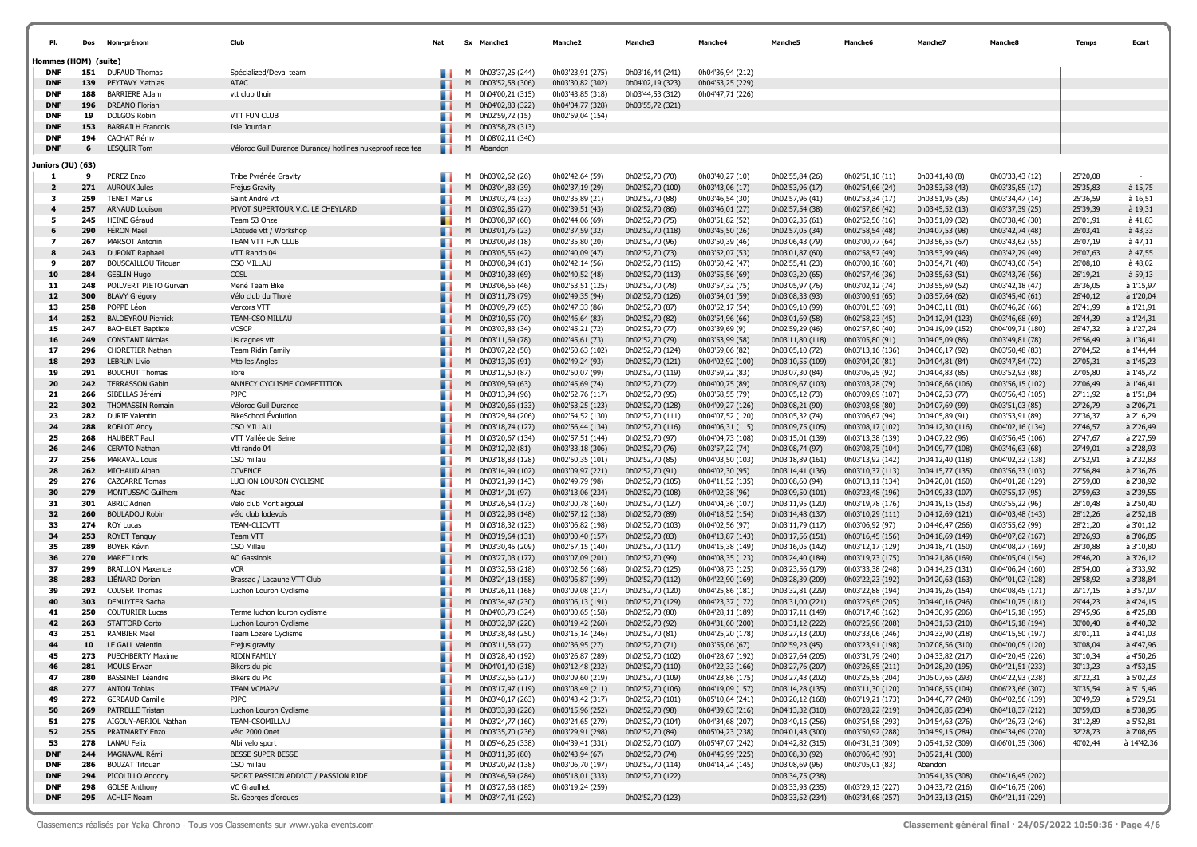| Hommes (HOM) (suite)<br><b>DNF</b><br>151<br><b>DUFAUD Thomas</b><br>0h03'37,25 (244)<br>0h03'23,91 (275)<br>0h03'16,44 (241)<br>0h04'36,94 (212)<br>Spécialized/Deval team<br>139<br>ATAC<br>0h03'52,58 (306)<br>0h03'30,82 (302)<br>0h04'02,19 (323)<br><b>DNF</b><br>PEYTAVY Mathias<br>0h04'53,25 (229)<br>м<br>188<br><b>BARRIERE Adam</b><br>vtt club thuir<br>0h04'00,21 (315)<br>0h03'43,85 (318)<br>0h03'44,53 (312)<br>0h04'47,71 (226)<br><b>DNF</b><br>м<br>196<br><b>DNF</b><br>DREANO Florian<br>0h04'02,83 (322)<br>0h04'04,77 (328)<br>0h03'55,72 (321)<br>M<br><b>DNF</b><br>19<br><b>DOLGOS Robin</b><br><b>VTT FUN CLUB</b><br>0h02'59,72 (15)<br>0h02'59,04 (154)<br>м<br><b>DNF</b><br>153<br><b>BARRAILH Francois</b><br>Isle Jourdain<br>0h03'58,78 (313)<br>M<br>194<br><b>DNF</b><br><b>CACHAT Rémy</b><br>M<br>0h08'02,11 (340)<br>LESQUIR Tom<br><b>DNF</b><br>6<br>Véloroc Guil Durance Durance/ hotlines nukeproof race tea<br>M<br>Abandon<br>Juniors (JU) (63)<br>9<br>PEREZ Enzo<br>Tribe Pyrénée Gravity<br>0h03'02,62 (26)<br>0h02'42,64 (59)<br>0h02'52,70 (70)<br>0h03'40,27 (10)<br>0h02'55,84 (26)<br>0h02'51,10 (11)<br>0h03'41,48 (8)<br>0h03'33,43 (12)<br>25'20,08<br>1<br>. .<br>м<br>271<br>0h03'04,83 (39)<br>25'35,83<br>à 15,75<br>$\overline{2}$<br><b>AUROUX Jules</b><br>M<br>0h02'37,19 (29)<br>0h02'52,70 (100)<br>0h03'43,06 (17)<br>0h02'53,96 (17)<br>0h02'54,66 (24)<br>0h03'53,58 (43)<br>0h03'35,85 (17)<br>Fréjus Gravity<br>259<br>25'36,59<br><b>TENET Marius</b><br>м<br>0h02'35,89 (21)<br>0h02'52,70 (88)<br>0h03'46,54 (30)<br>0h02'57,96 (41)<br>0h02'53,34 (17)<br>0h03'51,95 (35)<br>à 16,51<br>3<br>Saint André vtt<br>0h03'03,74 (33)<br>0h03'34,47 (14)<br>257<br>PIVOT SUPERTOUR V.C. LE CHEYLARD<br>25'39,39<br><b>ARNAUD Louison</b><br>0h02'39,51 (43)<br>0h02'52,70 (86)<br>0h03'46,01 (27)<br>0h02'57,54 (38)<br>0h02'57,86 (42)<br>0h03'45,52 (13)<br>0h03'37,39 (25)<br>à 19,31<br>$\overline{4}$<br>M<br>0h03'02,86 (27)<br>à 41,83<br>245<br><b>HEINE Géraud</b><br>0h02'52,70 (75)<br>0h03'51,82 (52)<br>0h03'02,35 (61)<br>0h02'52,56 (16)<br>0h03'51,09 (32)<br>26'01,91<br>5<br>Team 53 Onze<br>м<br>0h03'08,87 (60)<br>0h02'44,06 (69)<br>0h03'38,46 (30)<br>à 43,33<br>290<br><b>FÉRON Maël</b><br>LAtitude vtt / Workshop<br>0h03'01,76 (23)<br>0h02'37,59 (32)<br>0h02'52,70 (118)<br>0h03'45,50 (26)<br>0h02'57,05 (34)<br>0h02'58,54 (48)<br>0h04'07,53 (98)<br>0h03'42,74 (48)<br>26'03,41<br>6<br>м<br>267<br><b>MARSOT Antonin</b><br>TEAM VTT FUN CLUB<br>0h03'00,93 (18)<br>0h02'35,80 (20)<br>0h02'52,70 (96)<br>0h03'50,39 (46)<br>0h03'06,43 (79)<br>0h03'00,77 (64)<br>0h03'56,55 (57)<br>0h03'43,62 (55)<br>26'07,19<br>à 47,11<br>7<br>м<br>à 47,55<br>8<br>243<br><b>DUPONT Raphael</b><br>VTT Rando 04<br>0h03'05,55 (42)<br>0h02'40,09 (47)<br>0h02'52,70 (73)<br>0h03'52,07 (53)<br>0h03'01,87 (60)<br>0h02'58,57 (49)<br>0h03'53,99 (46)<br>0h03'42,79 (49)<br>26'07,63<br>M<br>à 48,02<br>287<br><b>BOUSCAILLOU Titouan</b><br>CSO MILLAU<br>0h03'08,94 (61)<br>0h02'42,14 (56)<br>0h02'52,70 (115)<br>0h03'50,42 (47)<br>0h02'55,41 (23)<br>0h03'00,18 (60)<br>0h03'54,71 (48)<br>0h03'43,60 (54)<br>26'08,10<br>9<br>м<br>284<br>CCSL<br>$a$ 59,13<br>10<br><b>GESLIN Hugo</b><br>0h03'10,38 (69)<br>0h02'40,52 (48)<br>0h02'52,70 (113)<br>0h03'55,56 (69)<br>0h03'03,20 (65)<br>0h02'57,46 (36)<br>0h03'55,63 (51)<br>0h03'43,76 (56)<br>26'19,21<br>M<br>248<br>26'36,05<br>à 1'15,97<br>11<br>POILVERT PIETO Gurvan<br>Mené Team Bike<br>0h03'06,56 (46)<br>0h02'53,51 (125)<br>0h02'52,70 (78)<br>0h03'57,32 (75)<br>0h03'05,97 (76)<br>0h03'02,12 (74)<br>0h03'55,69 (52)<br>0h03'42,18 (47)<br>м<br>12<br>300<br>26'40,12<br>à 1'20,04<br><b>BLAVY Grégory</b><br>Vélo club du Thoré<br>0h03'11,78 (79)<br>0h02'49,35 (94)<br>0h02'52,70 (126)<br>0h03'54,01 (59)<br>0h03'08,33 (93)<br>0h03'00,91 (65)<br>0h03'57,64 (62)<br>0h03'45,40 (61)<br>M<br>258<br>à 1'21,91<br>13<br>POPPE Léon<br>Vercors VTT<br>0h03'09,79 (65)<br>0h02'47,33 (86)<br>0h02'52,70 (87)<br>0h03'52,17 (54)<br>0h03'09,10 (99)<br>0h03'01,53 (69)<br>0h04'03,11 (81)<br>26'41,99<br>м<br>0h03'46,26 (66)<br>252<br>TEAM-CSO MILLAU<br>à 1'24,31<br>14<br><b>BALDEYROU Pierrick</b><br>0h03'10,55 (70)<br>0h02'46,64 (83)<br>0h02'52,70 (82)<br>0h03'54,96 (66)<br>0h03'01,69 (58)<br>0h02'58,23 (45)<br>0h04'12,94 (123)<br>26'44,39<br>M<br>0h03'46,68 (69)<br>247<br><b>VCSCP</b><br>à 1'27,24<br>15<br><b>BACHELET Baptiste</b><br>м<br>0h03'03,83 (34)<br>0h02'45,21 (72)<br>0h02'52,70 (77)<br>0h03'39,69 (9)<br>0h02'59,29 (46)<br>0h02'57,80 (40)<br>0h04'19,09 (152)<br>0h04'09,71 (180)<br>26'47,32<br>à 1'36,41<br>16<br>249<br><b>CONSTANT Nicolas</b><br>0h03'11,69 (78)<br>0h02'45,61 (73)<br>0h02'52,70 (79)<br>0h03'53,99 (58)<br>0h03'11,80 (118)<br>0h03'05,80 (91)<br>0h04'05,09 (86)<br>0h03'49,81 (78)<br>26'56,49<br>Us cagnes vtt<br>M<br>17<br>296<br><b>CHORETIER Nathan</b><br>0h02'50,63 (102)<br>0h02'52,70 (124)<br>0h03'59,06 (82)<br>0h03'05,10 (72)<br>0h03'13,16 (136)<br>0h04'06,17 (92)<br>27'04,52<br>à 1'44,44<br>Team Ridin Family<br>м<br>0h03'07,22 (50)<br>0h03'50,48 (83)<br>293<br>à 1'45,23<br>18<br><b>LEBRUN Livio</b><br>Mtb les Angles<br>M 0h03'13,05 (91)<br>0h02'49,24 (93)<br>0h02'52,70 (121)<br>0h04'02,92 (100)<br>0h03'10,55 (109)<br>0h03'04,20 (81)<br>0h04'04,81 (84)<br>0h03'47,84 (72)<br>27'05,31<br>à 1'45,72<br>19<br>291<br><b>BOUCHUT Thomas</b><br>0h03'12,50 (87)<br>0h02'50,07 (99)<br>0h02'52,70 (119)<br>0h03'59,22 (83)<br>0h03'07,30 (84)<br>0h03'06,25 (92)<br>0h04'04,83 (85)<br>0h03'52,93 (88)<br>27'05,80<br>libre<br>м<br>242<br>ANNECY CYCLISME COMPETITION<br>27'06,49<br>à 1'46,41<br>20<br><b>TERRASSON Gabin</b><br>0h03'09,59 (63)<br>0h02'45,69 (74)<br>0h02'52,70 (72)<br>0h04'00,75 (89)<br>0h03'09,67 (103)<br>0h03'03,28 (79)<br>0h04'08,66 (106)<br>M<br>0h03'56,15 (102)<br>à 1'51,84<br>21<br>266<br>SIBELLAS Jérémi<br><b>PJPC</b><br>0h03'13,94 (96)<br>0h02'52,76 (117)<br>0h02'52,70 (95)<br>0h03'58,55 (79)<br>0h03'05,12 (73)<br>0h03'09,89 (107)<br>0h04'02,53 (77)<br>0h03'56,43 (105)<br>27'11,92<br>м<br>302<br>à 2'06,71<br>22<br><b>THOMASSIN Romain</b><br>Véloroc Guil Durance<br>0h03'20,66 (133)<br>0h02'53,25 (123)<br>0h02'52,70 (128)<br>0h04'09,27 (126)<br>0h03'08,21 (90)<br>0h03'03,98 (80)<br>0h04'07,69 (99)<br>27'26,79<br>M<br>0h03'51,03 (85)<br>à 2'16,29<br>23<br>282<br><b>DURIF Valentin</b><br><b>BikeSchool Évolution</b><br>0h03'29,84 (206)<br>0h02'54,52 (130)<br>0h02'52,70 (111)<br>0h04'07,52 (120)<br>0h03'05,32 (74)<br>0h04'05,89 (91)<br>27'36,37<br>м<br>0h03'06,67 (94)<br>0h03'53,91 (89)<br>à 2'26,49<br>288<br>CSO MILLAU<br>27'46,57<br>24<br><b>ROBLOT Andy</b><br>0h03'18,74 (127)<br>0h02'56,44 (134)<br>0h02'52,70 (116)<br>0h04'06,31 (115)<br>0h03'09,75 (105)<br>0h03'08,17 (102)<br>0h04'12,30 (116)<br>M<br>0h04'02,16 (134)<br>268<br>à 2'27,59<br>25<br><b>HAUBERT Paul</b><br>VTT Vallée de Seine<br>M 0h03'20,67 (134)<br>0h02'57,51 (144)<br>0h02'52,70 (97)<br>0h04'04,73 (108)<br>0h03'15,01 (139)<br>0h03'13,38 (139)<br>0h04'07,22 (96)<br>0h03'56,45 (106)<br>27'47,67<br>à 2'28,93<br>26<br>246<br><b>CERATO Nathan</b><br>Vtt rando 04<br>0h03'12,02 (81)<br>0h03'33,18 (306)<br>0h02'52,70 (76)<br>0h03'57,22 (74)<br>0h03'08,74 (97)<br>0h03'08,75 (104)<br>0h04'09,77 (108)<br>0h03'46,63 (68)<br>27'49,01<br>M<br>27'52,91<br>à 2'32,83<br>27<br>256<br><b>MARAVAL Louis</b><br>CSO millau<br>0h03'18,83 (128)<br>0h02'50,35 (101)<br>0h02'52,70 (85)<br>0h04'03,50 (103)<br>0h03'18,89 (161)<br>0h03'13,92 (142)<br>0h04'12,40 (118)<br>0h04'02,32 (138)<br>м<br>262<br><b>CCVENCE</b><br>à 2'36,76<br>28<br>MICHAUD Alban<br>0h03'14,99 (102)<br>0h03'09,97 (221)<br>0h02'52,70 (91)<br>0h04'02,30 (95)<br>0h03'14,41 (136)<br>0h03'10,37 (113)<br>0h04'15,77 (135)<br>0h03'56,33 (103)<br>27'56,84<br>M<br><b>CAZCARRE Tomas</b><br>29<br>276<br>LUCHON LOURON CYCLISME<br>M 0h03'21,99 (143)<br>0h02'49,79 (98)<br>0h02'52,70 (105)<br>0h04'11,52 (135)<br>0h03'08,60 (94)<br>0h03'13,11 (134)<br>0h04'20,01 (160)<br>0h04'01,28 (129)<br>27'59,00<br>à 2'38,92<br>30<br>279<br>MONTUSSAC Guilhem<br>27'59,63<br>à 2'39,55<br>Atac<br>M<br>0h03'14,01 (97)<br>0h03'13,06 (234)<br>0h02'52,70 (108)<br>0h04'02,38 (96)<br>0h03'09,50 (101)<br>0h03'23,48 (196)<br>0h04'09,33 (107)<br>0h03'55,17 (95)<br>301<br>à 2'50,40<br>31<br><b>ABRIC Adrien</b><br>0h03'00,78 (160)<br>0h02'52,70 (127)<br>0h04'04,36 (107)<br>0h03'11,95 (120)<br>0h03'19,78 (176)<br>0h04'19,15 (153)<br>28'10,48<br>Velo club Mont aigoual<br>0h03'26,54 (173)<br>0h03'55,22 (96)<br>м<br>32<br>260<br><b>BOULADOU Robin</b><br>28'12,26<br>à 2'52,18<br>vélo club lodevois<br>0h03'22,98 (148)<br>0h02'57,12 (138)<br>0h02'52,70 (89)<br>0h04'18,52 (154)<br>0h03'14,48 (137)<br>0h03'10,29 (111)<br>0h04'12,69 (121)<br>0h04'03,48 (143)<br>M<br>274<br>à 3'01,12<br>33<br><b>ROY Lucas</b><br>TEAM-CLICVTT<br>0h04'02,56 (97)<br>0h03'11,79 (117)<br>0h03'06,92 (97)<br>0h04'46,47 (266)<br>28'21,20<br>м<br>0h03'18,32 (123)<br>0h03'06,82 (198)<br>0h02'52,70 (103)<br>0h03'55,62 (99)<br>à 3'06,85<br>28'26,93<br>34<br>253<br><b>ROYET Tanguy</b><br>Team VTT<br>M<br>0h03'19,64 (131)<br>0h03'00,40 (157)<br>0h02'52,70 (83)<br>0h04'13,87 (143)<br>0h03'17,56 (151)<br>0h03'16,45 (156)<br>0h04'18,69 (149)<br>0h04'07,62 (167)<br>289<br>à 3'10,80<br>35<br><b>BOYER Kévin</b><br>CSO Millau<br>0h03'30,45 (209)<br>0h02'57,15 (140)<br>0h02'52,70 (117)<br>0h04'15,38 (149)<br>0h03'16,05 (142)<br>0h03'12,17 (129)<br>0h04'18,71 (150)<br>0h04'08,27 (169)<br>28'30,88<br>м<br>270<br>à 3'26,12<br>36<br><b>MARET Loris</b><br><b>AC Gassinois</b><br>M 0h03'27,03 (177)<br>0h03'07,09 (201)<br>0h02'52,70 (99)<br>0h04'08,35 (123)<br>0h03'24,40 (184)<br>0h03'19,73 (175)<br>0h04'21,86 (169)<br>0h04'05,04 (154)<br>28'46,20<br>à 3'33,92<br>37<br>299<br><b>BRAILLON Maxence</b><br><b>VCR</b><br>0h03'32,58 (218)<br>0h03'02,56 (168)<br>0h02'52,70 (125)<br>0h04'08,73 (125)<br>0h03'23,56 (179)<br>0h03'33,38 (248)<br>0h04'14,25 (131)<br>28'54,00<br>м<br>0h04'06,24 (160)<br>283<br>28'58,92<br>à 3'38,84<br>38<br>LIENARD Dorian<br>Brassac / Lacaune VTT Club<br>M 0h03'24,18 (158)<br>0h03'06,87 (199)<br>0h02'52,70 (112)<br>0h04'22,90 (169)<br>0h03'28,39 (209)<br>0h03'22,23 (192)<br>0h04'20,63 (163)<br>0h04'01,02 (128)<br>292<br>29'17,15<br>à 3'57,07<br>39<br>COUSER Thomas<br>M 0h03'26,11 (168)<br>0h03'09,08 (217)<br>0h02'52,70 (120)<br>0h04'25,86 (181)<br>0h03'32,81 (229)<br>0h03'22,88 (194)<br>0h04'19,26 (154)<br>0h04'08,45 (171)<br>Luchon Louron Cyclisme<br>303<br>29'44,23<br>à 4'24,15<br>40<br>DEMUYTER Sacha<br>M 0h03'34,47 (230)<br>0h03'06,13 (191)<br>0h02'52,70 (129)<br>0h04'23,37 (172)<br>0h03'31,00 (221)<br>0h03'25,65 (205)<br>0h04'40,16 (246)<br>0h04'10,75 (181)<br>250<br><b>COUTURIER Lucas</b><br>à 4'25,88<br>M 0h04'03,78 (324)<br>0h03'00,65 (158)<br>0h02'52,70 (80)<br>0h04'28,11 (189)<br>0h03'17,11 (149)<br>0h03'17,48 (162)<br>0h04'30,95 (206)<br>29'45,96<br>41<br>Terme luchon louron cyclisme<br>0h04'15,18 (195)<br>à 4'40,32<br>263<br>42<br><b>STAFFORD Corto</b><br>0h03'32,87 (220)<br>0h03'19,42 (260)<br>0h02'52,70 (92)<br>0h04'31,60 (200)<br>0h03'31,12 (222)<br>0h03'25,98 (208)<br>0h04'31,53 (210)<br>0h04'15,18 (194)<br>30'00,40<br>Luchon Louron Cyclisme<br>M<br>251<br>43<br>RAMBIER Maël<br>Team Lozere Cyclisme<br>M 0h03'38,48 (250)<br>0h03'15,14 (246)<br>0h02'52,70 (81)<br>0h04'25,20 (178)<br>0h03'27,13 (200)<br>0h03'33,06 (246)<br>0h04'33,90 (218)<br>0h04'15,50 (197)<br>30'01,11<br>à 4'41,03<br>à 4'47,96<br>10<br>LE GALL Valentin<br>0h03'11,58 (77)<br>0h02'36,95 (27)<br>0h02'52,70 (71)<br>0h03'55,06 (67)<br>0h02'59,23 (45)<br>0h03'23,91 (198)<br>0h07'08,56 (310)<br>0h04'00,05 (120)<br>30'08,04<br>44<br>Frejus gravity<br>м<br>0h04'33,82 (217)<br>30'10,34<br>à 4'50,26<br>45<br>273<br>PUECHBERTY Maxime<br>RIDIN'FAMILY<br>0h03'28,40 (192)<br>0h03'26,87 (289)<br>0h02'52,70 (102)<br>0h04'28,67 (192)<br>0h03'27,64 (205)<br>0h03'31,79 (240)<br>0h04'20,45 (226)<br>м<br>281<br>0h04'22,33 (166)<br>30'13,23<br>à 4'53,15<br>46<br><b>MOULS Erwan</b><br>Bikers du pic<br>0h04'01,40 (318)<br>0h03'12,48 (232)<br>0h02'52,70 (110)<br>0h03'27,76 (207)<br>0h03'26,85 (211)<br>0h04'28,20 (195)<br>0h04'21,51 (233)<br>м<br>47<br>280<br><b>BASSINET Léandre</b><br>Bikers du Pic<br>M 0h03'32,56 (217)<br>0h03'09,60 (219)<br>0h02'52,70 (109)<br>0h04'23,86 (175)<br>0h03'27,43 (202)<br>0h03'25,58 (204)<br>0h05'07,65 (293)<br>0h04'22,93 (238)<br>30'22,31<br>à 5'02,23<br>. .<br>48<br>277<br><b>TEAM VCMAPV</b><br>M 0h03'17,47 (119)<br>0h04'19,09 (157)<br>0h03'11,30 (120)<br>0h04'08,55 (104)<br>30'35,54<br>à 5'15,46<br><b>ANTON Tobias</b><br>0h03'08,49 (211)<br>0h02'52,70 (106)<br>0h03'14,28 (135)<br>0h06'23,66 (307)<br>272<br><b>GERBAUD Camille</b><br><b>PJPC</b><br>M 0h03'40,17 (263)<br>0h03'43,42 (317)<br>0h03'20,12 (168)<br>0h04'40,77 (248)<br>30'49,59<br>à 5'29,51<br>49<br>0h02'52,70 (101)<br>0h05'10,64 (241)<br>0h03'19,21 (173)<br>0h04'02,56 (139)<br>30'59,03<br>à 5'38,95<br>50<br>269<br>PATRELLE Tristan<br>Luchon Louron Cyclisme<br>M 0h03'33,98 (226)<br>0h03'15,96 (252)<br>0h02'52,70 (98)<br>0h04'39,63 (216)<br>0h04'13,32 (310)<br>0h03'28,22 (219)<br>0h04'36,85 (234)<br>0h04'18,37 (212)<br>51<br>275<br>AIGOUY-ABRIOL Nathan<br>TEAM-CSOMILLAU<br>M 0h03'24,77 (160)<br>0h03'24,65 (279)<br>0h02'52,70 (104)<br>0h04'34,68 (207)<br>0h03'40,15 (256)<br>0h03'54,58 (293)<br>0h04'54,63 (276)<br>0h04'26,73 (246)<br>31'12,89<br>à 5'52,81<br>32'28,73<br>à 7'08,65<br>52<br>255<br>PRATMARTY Enzo<br>vélo 2000 Onet<br>M 0h03'35,70 (236)<br>0h03'29,91 (298)<br>0h02'52,70 (84)<br>0h05'04,23 (238)<br>0h04'01,43 (300)<br>0h03'50,92 (288)<br>0h04'59,15 (284)<br>0h04'34,69 (270)<br>278<br>53<br><b>LANAU Felix</b><br>Albi velo sport<br>M 0h05'46,26 (338)<br>0h04'39,41 (331)<br>0h02'52,70 (107)<br>0h05'47,07 (242)<br>0h04'42,82 (315)<br>0h04'31,31 (309)<br>0h05'41,52 (309)<br>0h06'01,35 (306)<br>40'02,44<br>à 14'42,36<br>244<br>MAGNAVAL Rémi<br><b>DNF</b><br>BESSE SUPER BESSE<br>M 0h03'11,95 (80)<br>0h02'43,94 (67)<br>0h02'52,70 (74)<br>0h04'45,99 (225)<br>0h03'08,30 (92)<br>0h03'06,43 (93)<br>0h05'21,41 (300)<br><b>BOUZAT Titouan</b><br><b>DNF</b><br>286<br>CSO millau<br>M 0h03'20,92 (138)<br>0h03'06,70 (197)<br>0h02'52,70 (114)<br>0h04'14,24 (145)<br>0h03'08,69 (96)<br>0h03'05,01 (83)<br>Abandon<br>SPORT PASSION ADDICT / PASSION RIDE<br><b>DNF</b><br>294<br>PICOLILLO Andony<br>M 0h03'46,59 (284)<br>0h05'18,01 (333)<br>0h02'52,70 (122)<br>0h03'34,75 (238)<br>0h05'41,35 (308)<br>0h04'16,45 (202)<br>298<br><b>DNF</b><br><b>GOLSE Anthony</b><br>VC Graulhet<br>M 0h03'27,68 (185)<br>0h03'19,24 (259)<br>0h03'33,93 (235)<br>0h03'29,13 (227)<br>0h04'33,72 (216)<br>0h04'16,75 (206)<br>295 ACHLIF Noam<br>St. Georges d'orques<br>0h03'33,52 (234)<br><b>DNF</b><br>. .<br>M 0h03'47,41 (292)<br>0h02'52,70 (123)<br>0h03'34,68 (257)<br>0h04'33,13 (215)<br>0h04'21,11 (229) | PI. | Dos | Nom-prénom | Club | Nat | Sx Manche1 | <b>Manche2</b> | Manche3 | Manche4 | <b>Manche5</b> | Manche | Manche7 | <b>Manche&amp;</b> | Temps | Ecart |
|-------------------------------------------------------------------------------------------------------------------------------------------------------------------------------------------------------------------------------------------------------------------------------------------------------------------------------------------------------------------------------------------------------------------------------------------------------------------------------------------------------------------------------------------------------------------------------------------------------------------------------------------------------------------------------------------------------------------------------------------------------------------------------------------------------------------------------------------------------------------------------------------------------------------------------------------------------------------------------------------------------------------------------------------------------------------------------------------------------------------------------------------------------------------------------------------------------------------------------------------------------------------------------------------------------------------------------------------------------------------------------------------------------------------------------------------------------------------------------------------------------------------------------------------------------------------------------------------------------------------------------------------------------------------------------------------------------------------------------------------------------------------------------------------------------------------------------------------------------------------------------------------------------------------------------------------------------------------------------------------------------------------------------------------------------------------------------------------------------------------------------------------------------------------------------------------------------------------------------------------------------------------------------------------------------------------------------------------------------------------------------------------------------------------------------------------------------------------------------------------------------------------------------------------------------------------------------------------------------------------------------------------------------------------------------------------------------------------------------------------------------------------------------------------------------------------------------------------------------------------------------------------------------------------------------------------------------------------------------------------------------------------------------------------------------------------------------------------------------------------------------------------------------------------------------------------------------------------------------------------------------------------------------------------------------------------------------------------------------------------------------------------------------------------------------------------------------------------------------------------------------------------------------------------------------------------------------------------------------------------------------------------------------------------------------------------------------------------------------------------------------------------------------------------------------------------------------------------------------------------------------------------------------------------------------------------------------------------------------------------------------------------------------------------------------------------------------------------------------------------------------------------------------------------------------------------------------------------------------------------------------------------------------------------------------------------------------------------------------------------------------------------------------------------------------------------------------------------------------------------------------------------------------------------------------------------------------------------------------------------------------------------------------------------------------------------------------------------------------------------------------------------------------------------------------------------------------------------------------------------------------------------------------------------------------------------------------------------------------------------------------------------------------------------------------------------------------------------------------------------------------------------------------------------------------------------------------------------------------------------------------------------------------------------------------------------------------------------------------------------------------------------------------------------------------------------------------------------------------------------------------------------------------------------------------------------------------------------------------------------------------------------------------------------------------------------------------------------------------------------------------------------------------------------------------------------------------------------------------------------------------------------------------------------------------------------------------------------------------------------------------------------------------------------------------------------------------------------------------------------------------------------------------------------------------------------------------------------------------------------------------------------------------------------------------------------------------------------------------------------------------------------------------------------------------------------------------------------------------------------------------------------------------------------------------------------------------------------------------------------------------------------------------------------------------------------------------------------------------------------------------------------------------------------------------------------------------------------------------------------------------------------------------------------------------------------------------------------------------------------------------------------------------------------------------------------------------------------------------------------------------------------------------------------------------------------------------------------------------------------------------------------------------------------------------------------------------------------------------------------------------------------------------------------------------------------------------------------------------------------------------------------------------------------------------------------------------------------------------------------------------------------------------------------------------------------------------------------------------------------------------------------------------------------------------------------------------------------------------------------------------------------------------------------------------------------------------------------------------------------------------------------------------------------------------------------------------------------------------------------------------------------------------------------------------------------------------------------------------------------------------------------------------------------------------------------------------------------------------------------------------------------------------------------------------------------------------------------------------------------------------------------------------------------------------------------------------------------------------------------------------------------------------------------------------------------------------------------------------------------------------------------------------------------------------------------------------------------------------------------------------------------------------------------------------------------------------------------------------------------------------------------------------------------------------------------------------------------------------------------------------------------------------------------------------------------------------------------------------------------------------------------------------------------------------------------------------------------------------------------------------------------------------------------------------------------------------------------------------------------------------------------------------------------------------------------------------------------------------------------------------------------------------------------------------------------------------------------------------------------------------------------------------------------------------------------------------------------------------------------------------------------------------------------------------------------------------------------------------------------------------------------------------------------------------------------------------------------------------------------------------------------------------------------------------------------------------------------------------------------------------------------------------------------------------------------------------------------------------------------------------------------------------------------------------------------------------------------------------------------------------------------------------------------------------------------------------------------------------------------------------------------------------------------------------------------------------------------------------------------------------------------------------------------------------------------------------------------------------------------------------------------------------------------------------------------------------------------------------------------------------------------------------------------------------------------------------------------------------------------------------------------------------------------------------------------------------------------------------------------------------------------------------------------------------------------------------------------------------------------------------------------------------------------------------------------------------------------------------------------------------------------------------------------------------------------------------------------------------------------------------------------------------------------------------------------------------------------------------------------------------------------------------------------------------------------------------------------------------------------------------------------------------------------------------------------------------------------------------------------------------------------------------------------------------------------------------------------------------------------------------------------------------------------------------------------------------------------------------------------------------------------------------------------------------------------------------------------------------------------------------------------------------------------------------------------------------------------------------------------------------------------------------------------------------------------------------------------------------------------------------------------------------------------------------------------------------------------------------------------------------------------------------------------------------------------------------------------------------------------------------------------------------------------------------------------------------------------------------------------------------------------------------------------------------------------------------------------------------------------------------------------------------------------------------------------------------------------------------------------------------------------------------------------------------------------------------------------------------------------------------------------------------------------------------------------------------------------------------------------------------------------------------------------------------------------------------------------------------------------------------------------------------------------------------------------------------------------------------------------------------------------------------------------------------------------------------------------------------------------------------------------------------------------------------------------------------------------------------------------------------------------------------------------------------------------------------------------------------------------------------------------------------------------------------------------------------------------------------------------------------------------------------------------------------------------------------------------------------------------------------------------------------------------------------------------------------------------------------------------------------------------------------------------------------------------------------------------------------------------------------------------------------------------------------------------------------------------------------------------------------------------------------------------------------------------------------------------------------------------------------------------------------------------------------------------------------------------------------------------------------------------------------------------------------------------------------------------------------------------------------------------------------------------------------------------------------------------------------------------------------------------------------------|-----|-----|------------|------|-----|------------|----------------|---------|---------|----------------|--------|---------|--------------------|-------|-------|
|                                                                                                                                                                                                                                                                                                                                                                                                                                                                                                                                                                                                                                                                                                                                                                                                                                                                                                                                                                                                                                                                                                                                                                                                                                                                                                                                                                                                                                                                                                                                                                                                                                                                                                                                                                                                                                                                                                                                                                                                                                                                                                                                                                                                                                                                                                                                                                                                                                                                                                                                                                                                                                                                                                                                                                                                                                                                                                                                                                                                                                                                                                                                                                                                                                                                                                                                                                                                                                                                                                                                                                                                                                                                                                                                                                                                                                                                                                                                                                                                                                                                                                                                                                                                                                                                                                                                                                                                                                                                                                                                                                                                                                                                                                                                                                                                                                                                                                                                                                                                                                                                                                                                                                                                                                                                                                                                                                                                                                                                                                                                                                                                                                                                                                                                                                                                                                                                                                                                                                                                                                                                                                                                                                                                                                                                                                                                                                                                                                                                                                                                                                                                                                                                                                                                                                                                                                                                                                                                                                                                                                                                                                                                                                                                                                                                                                                                                                                                                                                                                                                                                                                                                                                                                                                                                                                                                                                                                                                                                                                                                                                                                                                                                                                                                                                                                                                                                                                                                                                                                                                                                                                                                                                                                                                                                                                                                                                                                                                                                                                                                                                                                                                                                                                                                                                                                                                                                                                                                                                                                                                                                                                                                                                                                                                                                                                                                                                                                                                                                                                                                                                                                                                                                                                                                                                                                                                                                                                                                                                                                                                                                                                                                                                                                                                                                                                                                                                                                                                                                                                                                                                                                                                                                                                                                                                                                                                                                                                                                                                                                                                                                                                                                                                                                                                                                                                                                                                                                                                                                                                                                                                                                                                                                                                                                                                                                                                                                                                                                                                                                                                                                                                                                                                                                                                                                                                                                                                                                                                                                                                                                                                                                                                                                                                                                                                                                                                                                                                                                                                                                                                                                                                                                                                                                                                                                                                                                                                                                                                                                                                                                                                                                                                                                                                                                                                                                                                                                                                                                                                                                                                                                                                                                                                                                                                                                                                                                                                                                                                                                                                                                                                                                                                                                                                                                                                                                     |     |     |            |      |     |            |                |         |         |                |        |         |                    |       |       |
|                                                                                                                                                                                                                                                                                                                                                                                                                                                                                                                                                                                                                                                                                                                                                                                                                                                                                                                                                                                                                                                                                                                                                                                                                                                                                                                                                                                                                                                                                                                                                                                                                                                                                                                                                                                                                                                                                                                                                                                                                                                                                                                                                                                                                                                                                                                                                                                                                                                                                                                                                                                                                                                                                                                                                                                                                                                                                                                                                                                                                                                                                                                                                                                                                                                                                                                                                                                                                                                                                                                                                                                                                                                                                                                                                                                                                                                                                                                                                                                                                                                                                                                                                                                                                                                                                                                                                                                                                                                                                                                                                                                                                                                                                                                                                                                                                                                                                                                                                                                                                                                                                                                                                                                                                                                                                                                                                                                                                                                                                                                                                                                                                                                                                                                                                                                                                                                                                                                                                                                                                                                                                                                                                                                                                                                                                                                                                                                                                                                                                                                                                                                                                                                                                                                                                                                                                                                                                                                                                                                                                                                                                                                                                                                                                                                                                                                                                                                                                                                                                                                                                                                                                                                                                                                                                                                                                                                                                                                                                                                                                                                                                                                                                                                                                                                                                                                                                                                                                                                                                                                                                                                                                                                                                                                                                                                                                                                                                                                                                                                                                                                                                                                                                                                                                                                                                                                                                                                                                                                                                                                                                                                                                                                                                                                                                                                                                                                                                                                                                                                                                                                                                                                                                                                                                                                                                                                                                                                                                                                                                                                                                                                                                                                                                                                                                                                                                                                                                                                                                                                                                                                                                                                                                                                                                                                                                                                                                                                                                                                                                                                                                                                                                                                                                                                                                                                                                                                                                                                                                                                                                                                                                                                                                                                                                                                                                                                                                                                                                                                                                                                                                                                                                                                                                                                                                                                                                                                                                                                                                                                                                                                                                                                                                                                                                                                                                                                                                                                                                                                                                                                                                                                                                                                                                                                                                                                                                                                                                                                                                                                                                                                                                                                                                                                                                                                                                                                                                                                                                                                                                                                                                                                                                                                                                                                                                                                                                                                                                                                                                                                                                                                                                                                                                                                                                                                                                     |     |     |            |      |     |            |                |         |         |                |        |         |                    |       |       |
|                                                                                                                                                                                                                                                                                                                                                                                                                                                                                                                                                                                                                                                                                                                                                                                                                                                                                                                                                                                                                                                                                                                                                                                                                                                                                                                                                                                                                                                                                                                                                                                                                                                                                                                                                                                                                                                                                                                                                                                                                                                                                                                                                                                                                                                                                                                                                                                                                                                                                                                                                                                                                                                                                                                                                                                                                                                                                                                                                                                                                                                                                                                                                                                                                                                                                                                                                                                                                                                                                                                                                                                                                                                                                                                                                                                                                                                                                                                                                                                                                                                                                                                                                                                                                                                                                                                                                                                                                                                                                                                                                                                                                                                                                                                                                                                                                                                                                                                                                                                                                                                                                                                                                                                                                                                                                                                                                                                                                                                                                                                                                                                                                                                                                                                                                                                                                                                                                                                                                                                                                                                                                                                                                                                                                                                                                                                                                                                                                                                                                                                                                                                                                                                                                                                                                                                                                                                                                                                                                                                                                                                                                                                                                                                                                                                                                                                                                                                                                                                                                                                                                                                                                                                                                                                                                                                                                                                                                                                                                                                                                                                                                                                                                                                                                                                                                                                                                                                                                                                                                                                                                                                                                                                                                                                                                                                                                                                                                                                                                                                                                                                                                                                                                                                                                                                                                                                                                                                                                                                                                                                                                                                                                                                                                                                                                                                                                                                                                                                                                                                                                                                                                                                                                                                                                                                                                                                                                                                                                                                                                                                                                                                                                                                                                                                                                                                                                                                                                                                                                                                                                                                                                                                                                                                                                                                                                                                                                                                                                                                                                                                                                                                                                                                                                                                                                                                                                                                                                                                                                                                                                                                                                                                                                                                                                                                                                                                                                                                                                                                                                                                                                                                                                                                                                                                                                                                                                                                                                                                                                                                                                                                                                                                                                                                                                                                                                                                                                                                                                                                                                                                                                                                                                                                                                                                                                                                                                                                                                                                                                                                                                                                                                                                                                                                                                                                                                                                                                                                                                                                                                                                                                                                                                                                                                                                                                                                                                                                                                                                                                                                                                                                                                                                                                                                                                                                                                     |     |     |            |      |     |            |                |         |         |                |        |         |                    |       |       |
|                                                                                                                                                                                                                                                                                                                                                                                                                                                                                                                                                                                                                                                                                                                                                                                                                                                                                                                                                                                                                                                                                                                                                                                                                                                                                                                                                                                                                                                                                                                                                                                                                                                                                                                                                                                                                                                                                                                                                                                                                                                                                                                                                                                                                                                                                                                                                                                                                                                                                                                                                                                                                                                                                                                                                                                                                                                                                                                                                                                                                                                                                                                                                                                                                                                                                                                                                                                                                                                                                                                                                                                                                                                                                                                                                                                                                                                                                                                                                                                                                                                                                                                                                                                                                                                                                                                                                                                                                                                                                                                                                                                                                                                                                                                                                                                                                                                                                                                                                                                                                                                                                                                                                                                                                                                                                                                                                                                                                                                                                                                                                                                                                                                                                                                                                                                                                                                                                                                                                                                                                                                                                                                                                                                                                                                                                                                                                                                                                                                                                                                                                                                                                                                                                                                                                                                                                                                                                                                                                                                                                                                                                                                                                                                                                                                                                                                                                                                                                                                                                                                                                                                                                                                                                                                                                                                                                                                                                                                                                                                                                                                                                                                                                                                                                                                                                                                                                                                                                                                                                                                                                                                                                                                                                                                                                                                                                                                                                                                                                                                                                                                                                                                                                                                                                                                                                                                                                                                                                                                                                                                                                                                                                                                                                                                                                                                                                                                                                                                                                                                                                                                                                                                                                                                                                                                                                                                                                                                                                                                                                                                                                                                                                                                                                                                                                                                                                                                                                                                                                                                                                                                                                                                                                                                                                                                                                                                                                                                                                                                                                                                                                                                                                                                                                                                                                                                                                                                                                                                                                                                                                                                                                                                                                                                                                                                                                                                                                                                                                                                                                                                                                                                                                                                                                                                                                                                                                                                                                                                                                                                                                                                                                                                                                                                                                                                                                                                                                                                                                                                                                                                                                                                                                                                                                                                                                                                                                                                                                                                                                                                                                                                                                                                                                                                                                                                                                                                                                                                                                                                                                                                                                                                                                                                                                                                                                                                                                                                                                                                                                                                                                                                                                                                                                                                                                                                                                     |     |     |            |      |     |            |                |         |         |                |        |         |                    |       |       |
|                                                                                                                                                                                                                                                                                                                                                                                                                                                                                                                                                                                                                                                                                                                                                                                                                                                                                                                                                                                                                                                                                                                                                                                                                                                                                                                                                                                                                                                                                                                                                                                                                                                                                                                                                                                                                                                                                                                                                                                                                                                                                                                                                                                                                                                                                                                                                                                                                                                                                                                                                                                                                                                                                                                                                                                                                                                                                                                                                                                                                                                                                                                                                                                                                                                                                                                                                                                                                                                                                                                                                                                                                                                                                                                                                                                                                                                                                                                                                                                                                                                                                                                                                                                                                                                                                                                                                                                                                                                                                                                                                                                                                                                                                                                                                                                                                                                                                                                                                                                                                                                                                                                                                                                                                                                                                                                                                                                                                                                                                                                                                                                                                                                                                                                                                                                                                                                                                                                                                                                                                                                                                                                                                                                                                                                                                                                                                                                                                                                                                                                                                                                                                                                                                                                                                                                                                                                                                                                                                                                                                                                                                                                                                                                                                                                                                                                                                                                                                                                                                                                                                                                                                                                                                                                                                                                                                                                                                                                                                                                                                                                                                                                                                                                                                                                                                                                                                                                                                                                                                                                                                                                                                                                                                                                                                                                                                                                                                                                                                                                                                                                                                                                                                                                                                                                                                                                                                                                                                                                                                                                                                                                                                                                                                                                                                                                                                                                                                                                                                                                                                                                                                                                                                                                                                                                                                                                                                                                                                                                                                                                                                                                                                                                                                                                                                                                                                                                                                                                                                                                                                                                                                                                                                                                                                                                                                                                                                                                                                                                                                                                                                                                                                                                                                                                                                                                                                                                                                                                                                                                                                                                                                                                                                                                                                                                                                                                                                                                                                                                                                                                                                                                                                                                                                                                                                                                                                                                                                                                                                                                                                                                                                                                                                                                                                                                                                                                                                                                                                                                                                                                                                                                                                                                                                                                                                                                                                                                                                                                                                                                                                                                                                                                                                                                                                                                                                                                                                                                                                                                                                                                                                                                                                                                                                                                                                                                                                                                                                                                                                                                                                                                                                                                                                                                                                                                                                     |     |     |            |      |     |            |                |         |         |                |        |         |                    |       |       |
|                                                                                                                                                                                                                                                                                                                                                                                                                                                                                                                                                                                                                                                                                                                                                                                                                                                                                                                                                                                                                                                                                                                                                                                                                                                                                                                                                                                                                                                                                                                                                                                                                                                                                                                                                                                                                                                                                                                                                                                                                                                                                                                                                                                                                                                                                                                                                                                                                                                                                                                                                                                                                                                                                                                                                                                                                                                                                                                                                                                                                                                                                                                                                                                                                                                                                                                                                                                                                                                                                                                                                                                                                                                                                                                                                                                                                                                                                                                                                                                                                                                                                                                                                                                                                                                                                                                                                                                                                                                                                                                                                                                                                                                                                                                                                                                                                                                                                                                                                                                                                                                                                                                                                                                                                                                                                                                                                                                                                                                                                                                                                                                                                                                                                                                                                                                                                                                                                                                                                                                                                                                                                                                                                                                                                                                                                                                                                                                                                                                                                                                                                                                                                                                                                                                                                                                                                                                                                                                                                                                                                                                                                                                                                                                                                                                                                                                                                                                                                                                                                                                                                                                                                                                                                                                                                                                                                                                                                                                                                                                                                                                                                                                                                                                                                                                                                                                                                                                                                                                                                                                                                                                                                                                                                                                                                                                                                                                                                                                                                                                                                                                                                                                                                                                                                                                                                                                                                                                                                                                                                                                                                                                                                                                                                                                                                                                                                                                                                                                                                                                                                                                                                                                                                                                                                                                                                                                                                                                                                                                                                                                                                                                                                                                                                                                                                                                                                                                                                                                                                                                                                                                                                                                                                                                                                                                                                                                                                                                                                                                                                                                                                                                                                                                                                                                                                                                                                                                                                                                                                                                                                                                                                                                                                                                                                                                                                                                                                                                                                                                                                                                                                                                                                                                                                                                                                                                                                                                                                                                                                                                                                                                                                                                                                                                                                                                                                                                                                                                                                                                                                                                                                                                                                                                                                                                                                                                                                                                                                                                                                                                                                                                                                                                                                                                                                                                                                                                                                                                                                                                                                                                                                                                                                                                                                                                                                                                                                                                                                                                                                                                                                                                                                                                                                                                                                                                                                     |     |     |            |      |     |            |                |         |         |                |        |         |                    |       |       |
|                                                                                                                                                                                                                                                                                                                                                                                                                                                                                                                                                                                                                                                                                                                                                                                                                                                                                                                                                                                                                                                                                                                                                                                                                                                                                                                                                                                                                                                                                                                                                                                                                                                                                                                                                                                                                                                                                                                                                                                                                                                                                                                                                                                                                                                                                                                                                                                                                                                                                                                                                                                                                                                                                                                                                                                                                                                                                                                                                                                                                                                                                                                                                                                                                                                                                                                                                                                                                                                                                                                                                                                                                                                                                                                                                                                                                                                                                                                                                                                                                                                                                                                                                                                                                                                                                                                                                                                                                                                                                                                                                                                                                                                                                                                                                                                                                                                                                                                                                                                                                                                                                                                                                                                                                                                                                                                                                                                                                                                                                                                                                                                                                                                                                                                                                                                                                                                                                                                                                                                                                                                                                                                                                                                                                                                                                                                                                                                                                                                                                                                                                                                                                                                                                                                                                                                                                                                                                                                                                                                                                                                                                                                                                                                                                                                                                                                                                                                                                                                                                                                                                                                                                                                                                                                                                                                                                                                                                                                                                                                                                                                                                                                                                                                                                                                                                                                                                                                                                                                                                                                                                                                                                                                                                                                                                                                                                                                                                                                                                                                                                                                                                                                                                                                                                                                                                                                                                                                                                                                                                                                                                                                                                                                                                                                                                                                                                                                                                                                                                                                                                                                                                                                                                                                                                                                                                                                                                                                                                                                                                                                                                                                                                                                                                                                                                                                                                                                                                                                                                                                                                                                                                                                                                                                                                                                                                                                                                                                                                                                                                                                                                                                                                                                                                                                                                                                                                                                                                                                                                                                                                                                                                                                                                                                                                                                                                                                                                                                                                                                                                                                                                                                                                                                                                                                                                                                                                                                                                                                                                                                                                                                                                                                                                                                                                                                                                                                                                                                                                                                                                                                                                                                                                                                                                                                                                                                                                                                                                                                                                                                                                                                                                                                                                                                                                                                                                                                                                                                                                                                                                                                                                                                                                                                                                                                                                                                                                                                                                                                                                                                                                                                                                                                                                                                                                                                                                     |     |     |            |      |     |            |                |         |         |                |        |         |                    |       |       |
|                                                                                                                                                                                                                                                                                                                                                                                                                                                                                                                                                                                                                                                                                                                                                                                                                                                                                                                                                                                                                                                                                                                                                                                                                                                                                                                                                                                                                                                                                                                                                                                                                                                                                                                                                                                                                                                                                                                                                                                                                                                                                                                                                                                                                                                                                                                                                                                                                                                                                                                                                                                                                                                                                                                                                                                                                                                                                                                                                                                                                                                                                                                                                                                                                                                                                                                                                                                                                                                                                                                                                                                                                                                                                                                                                                                                                                                                                                                                                                                                                                                                                                                                                                                                                                                                                                                                                                                                                                                                                                                                                                                                                                                                                                                                                                                                                                                                                                                                                                                                                                                                                                                                                                                                                                                                                                                                                                                                                                                                                                                                                                                                                                                                                                                                                                                                                                                                                                                                                                                                                                                                                                                                                                                                                                                                                                                                                                                                                                                                                                                                                                                                                                                                                                                                                                                                                                                                                                                                                                                                                                                                                                                                                                                                                                                                                                                                                                                                                                                                                                                                                                                                                                                                                                                                                                                                                                                                                                                                                                                                                                                                                                                                                                                                                                                                                                                                                                                                                                                                                                                                                                                                                                                                                                                                                                                                                                                                                                                                                                                                                                                                                                                                                                                                                                                                                                                                                                                                                                                                                                                                                                                                                                                                                                                                                                                                                                                                                                                                                                                                                                                                                                                                                                                                                                                                                                                                                                                                                                                                                                                                                                                                                                                                                                                                                                                                                                                                                                                                                                                                                                                                                                                                                                                                                                                                                                                                                                                                                                                                                                                                                                                                                                                                                                                                                                                                                                                                                                                                                                                                                                                                                                                                                                                                                                                                                                                                                                                                                                                                                                                                                                                                                                                                                                                                                                                                                                                                                                                                                                                                                                                                                                                                                                                                                                                                                                                                                                                                                                                                                                                                                                                                                                                                                                                                                                                                                                                                                                                                                                                                                                                                                                                                                                                                                                                                                                                                                                                                                                                                                                                                                                                                                                                                                                                                                                                                                                                                                                                                                                                                                                                                                                                                                                                                                                                                                     |     |     |            |      |     |            |                |         |         |                |        |         |                    |       |       |
|                                                                                                                                                                                                                                                                                                                                                                                                                                                                                                                                                                                                                                                                                                                                                                                                                                                                                                                                                                                                                                                                                                                                                                                                                                                                                                                                                                                                                                                                                                                                                                                                                                                                                                                                                                                                                                                                                                                                                                                                                                                                                                                                                                                                                                                                                                                                                                                                                                                                                                                                                                                                                                                                                                                                                                                                                                                                                                                                                                                                                                                                                                                                                                                                                                                                                                                                                                                                                                                                                                                                                                                                                                                                                                                                                                                                                                                                                                                                                                                                                                                                                                                                                                                                                                                                                                                                                                                                                                                                                                                                                                                                                                                                                                                                                                                                                                                                                                                                                                                                                                                                                                                                                                                                                                                                                                                                                                                                                                                                                                                                                                                                                                                                                                                                                                                                                                                                                                                                                                                                                                                                                                                                                                                                                                                                                                                                                                                                                                                                                                                                                                                                                                                                                                                                                                                                                                                                                                                                                                                                                                                                                                                                                                                                                                                                                                                                                                                                                                                                                                                                                                                                                                                                                                                                                                                                                                                                                                                                                                                                                                                                                                                                                                                                                                                                                                                                                                                                                                                                                                                                                                                                                                                                                                                                                                                                                                                                                                                                                                                                                                                                                                                                                                                                                                                                                                                                                                                                                                                                                                                                                                                                                                                                                                                                                                                                                                                                                                                                                                                                                                                                                                                                                                                                                                                                                                                                                                                                                                                                                                                                                                                                                                                                                                                                                                                                                                                                                                                                                                                                                                                                                                                                                                                                                                                                                                                                                                                                                                                                                                                                                                                                                                                                                                                                                                                                                                                                                                                                                                                                                                                                                                                                                                                                                                                                                                                                                                                                                                                                                                                                                                                                                                                                                                                                                                                                                                                                                                                                                                                                                                                                                                                                                                                                                                                                                                                                                                                                                                                                                                                                                                                                                                                                                                                                                                                                                                                                                                                                                                                                                                                                                                                                                                                                                                                                                                                                                                                                                                                                                                                                                                                                                                                                                                                                                                                                                                                                                                                                                                                                                                                                                                                                                                                                                                                                                     |     |     |            |      |     |            |                |         |         |                |        |         |                    |       |       |
|                                                                                                                                                                                                                                                                                                                                                                                                                                                                                                                                                                                                                                                                                                                                                                                                                                                                                                                                                                                                                                                                                                                                                                                                                                                                                                                                                                                                                                                                                                                                                                                                                                                                                                                                                                                                                                                                                                                                                                                                                                                                                                                                                                                                                                                                                                                                                                                                                                                                                                                                                                                                                                                                                                                                                                                                                                                                                                                                                                                                                                                                                                                                                                                                                                                                                                                                                                                                                                                                                                                                                                                                                                                                                                                                                                                                                                                                                                                                                                                                                                                                                                                                                                                                                                                                                                                                                                                                                                                                                                                                                                                                                                                                                                                                                                                                                                                                                                                                                                                                                                                                                                                                                                                                                                                                                                                                                                                                                                                                                                                                                                                                                                                                                                                                                                                                                                                                                                                                                                                                                                                                                                                                                                                                                                                                                                                                                                                                                                                                                                                                                                                                                                                                                                                                                                                                                                                                                                                                                                                                                                                                                                                                                                                                                                                                                                                                                                                                                                                                                                                                                                                                                                                                                                                                                                                                                                                                                                                                                                                                                                                                                                                                                                                                                                                                                                                                                                                                                                                                                                                                                                                                                                                                                                                                                                                                                                                                                                                                                                                                                                                                                                                                                                                                                                                                                                                                                                                                                                                                                                                                                                                                                                                                                                                                                                                                                                                                                                                                                                                                                                                                                                                                                                                                                                                                                                                                                                                                                                                                                                                                                                                                                                                                                                                                                                                                                                                                                                                                                                                                                                                                                                                                                                                                                                                                                                                                                                                                                                                                                                                                                                                                                                                                                                                                                                                                                                                                                                                                                                                                                                                                                                                                                                                                                                                                                                                                                                                                                                                                                                                                                                                                                                                                                                                                                                                                                                                                                                                                                                                                                                                                                                                                                                                                                                                                                                                                                                                                                                                                                                                                                                                                                                                                                                                                                                                                                                                                                                                                                                                                                                                                                                                                                                                                                                                                                                                                                                                                                                                                                                                                                                                                                                                                                                                                                                                                                                                                                                                                                                                                                                                                                                                                                                                                                                                                                     |     |     |            |      |     |            |                |         |         |                |        |         |                    |       |       |
|                                                                                                                                                                                                                                                                                                                                                                                                                                                                                                                                                                                                                                                                                                                                                                                                                                                                                                                                                                                                                                                                                                                                                                                                                                                                                                                                                                                                                                                                                                                                                                                                                                                                                                                                                                                                                                                                                                                                                                                                                                                                                                                                                                                                                                                                                                                                                                                                                                                                                                                                                                                                                                                                                                                                                                                                                                                                                                                                                                                                                                                                                                                                                                                                                                                                                                                                                                                                                                                                                                                                                                                                                                                                                                                                                                                                                                                                                                                                                                                                                                                                                                                                                                                                                                                                                                                                                                                                                                                                                                                                                                                                                                                                                                                                                                                                                                                                                                                                                                                                                                                                                                                                                                                                                                                                                                                                                                                                                                                                                                                                                                                                                                                                                                                                                                                                                                                                                                                                                                                                                                                                                                                                                                                                                                                                                                                                                                                                                                                                                                                                                                                                                                                                                                                                                                                                                                                                                                                                                                                                                                                                                                                                                                                                                                                                                                                                                                                                                                                                                                                                                                                                                                                                                                                                                                                                                                                                                                                                                                                                                                                                                                                                                                                                                                                                                                                                                                                                                                                                                                                                                                                                                                                                                                                                                                                                                                                                                                                                                                                                                                                                                                                                                                                                                                                                                                                                                                                                                                                                                                                                                                                                                                                                                                                                                                                                                                                                                                                                                                                                                                                                                                                                                                                                                                                                                                                                                                                                                                                                                                                                                                                                                                                                                                                                                                                                                                                                                                                                                                                                                                                                                                                                                                                                                                                                                                                                                                                                                                                                                                                                                                                                                                                                                                                                                                                                                                                                                                                                                                                                                                                                                                                                                                                                                                                                                                                                                                                                                                                                                                                                                                                                                                                                                                                                                                                                                                                                                                                                                                                                                                                                                                                                                                                                                                                                                                                                                                                                                                                                                                                                                                                                                                                                                                                                                                                                                                                                                                                                                                                                                                                                                                                                                                                                                                                                                                                                                                                                                                                                                                                                                                                                                                                                                                                                                                                                                                                                                                                                                                                                                                                                                                                                                                                                                                                                                     |     |     |            |      |     |            |                |         |         |                |        |         |                    |       |       |
|                                                                                                                                                                                                                                                                                                                                                                                                                                                                                                                                                                                                                                                                                                                                                                                                                                                                                                                                                                                                                                                                                                                                                                                                                                                                                                                                                                                                                                                                                                                                                                                                                                                                                                                                                                                                                                                                                                                                                                                                                                                                                                                                                                                                                                                                                                                                                                                                                                                                                                                                                                                                                                                                                                                                                                                                                                                                                                                                                                                                                                                                                                                                                                                                                                                                                                                                                                                                                                                                                                                                                                                                                                                                                                                                                                                                                                                                                                                                                                                                                                                                                                                                                                                                                                                                                                                                                                                                                                                                                                                                                                                                                                                                                                                                                                                                                                                                                                                                                                                                                                                                                                                                                                                                                                                                                                                                                                                                                                                                                                                                                                                                                                                                                                                                                                                                                                                                                                                                                                                                                                                                                                                                                                                                                                                                                                                                                                                                                                                                                                                                                                                                                                                                                                                                                                                                                                                                                                                                                                                                                                                                                                                                                                                                                                                                                                                                                                                                                                                                                                                                                                                                                                                                                                                                                                                                                                                                                                                                                                                                                                                                                                                                                                                                                                                                                                                                                                                                                                                                                                                                                                                                                                                                                                                                                                                                                                                                                                                                                                                                                                                                                                                                                                                                                                                                                                                                                                                                                                                                                                                                                                                                                                                                                                                                                                                                                                                                                                                                                                                                                                                                                                                                                                                                                                                                                                                                                                                                                                                                                                                                                                                                                                                                                                                                                                                                                                                                                                                                                                                                                                                                                                                                                                                                                                                                                                                                                                                                                                                                                                                                                                                                                                                                                                                                                                                                                                                                                                                                                                                                                                                                                                                                                                                                                                                                                                                                                                                                                                                                                                                                                                                                                                                                                                                                                                                                                                                                                                                                                                                                                                                                                                                                                                                                                                                                                                                                                                                                                                                                                                                                                                                                                                                                                                                                                                                                                                                                                                                                                                                                                                                                                                                                                                                                                                                                                                                                                                                                                                                                                                                                                                                                                                                                                                                                                                                                                                                                                                                                                                                                                                                                                                                                                                                                                                                                                     |     |     |            |      |     |            |                |         |         |                |        |         |                    |       |       |
|                                                                                                                                                                                                                                                                                                                                                                                                                                                                                                                                                                                                                                                                                                                                                                                                                                                                                                                                                                                                                                                                                                                                                                                                                                                                                                                                                                                                                                                                                                                                                                                                                                                                                                                                                                                                                                                                                                                                                                                                                                                                                                                                                                                                                                                                                                                                                                                                                                                                                                                                                                                                                                                                                                                                                                                                                                                                                                                                                                                                                                                                                                                                                                                                                                                                                                                                                                                                                                                                                                                                                                                                                                                                                                                                                                                                                                                                                                                                                                                                                                                                                                                                                                                                                                                                                                                                                                                                                                                                                                                                                                                                                                                                                                                                                                                                                                                                                                                                                                                                                                                                                                                                                                                                                                                                                                                                                                                                                                                                                                                                                                                                                                                                                                                                                                                                                                                                                                                                                                                                                                                                                                                                                                                                                                                                                                                                                                                                                                                                                                                                                                                                                                                                                                                                                                                                                                                                                                                                                                                                                                                                                                                                                                                                                                                                                                                                                                                                                                                                                                                                                                                                                                                                                                                                                                                                                                                                                                                                                                                                                                                                                                                                                                                                                                                                                                                                                                                                                                                                                                                                                                                                                                                                                                                                                                                                                                                                                                                                                                                                                                                                                                                                                                                                                                                                                                                                                                                                                                                                                                                                                                                                                                                                                                                                                                                                                                                                                                                                                                                                                                                                                                                                                                                                                                                                                                                                                                                                                                                                                                                                                                                                                                                                                                                                                                                                                                                                                                                                                                                                                                                                                                                                                                                                                                                                                                                                                                                                                                                                                                                                                                                                                                                                                                                                                                                                                                                                                                                                                                                                                                                                                                                                                                                                                                                                                                                                                                                                                                                                                                                                                                                                                                                                                                                                                                                                                                                                                                                                                                                                                                                                                                                                                                                                                                                                                                                                                                                                                                                                                                                                                                                                                                                                                                                                                                                                                                                                                                                                                                                                                                                                                                                                                                                                                                                                                                                                                                                                                                                                                                                                                                                                                                                                                                                                                                                                                                                                                                                                                                                                                                                                                                                                                                                                                                                                                     |     |     |            |      |     |            |                |         |         |                |        |         |                    |       |       |
|                                                                                                                                                                                                                                                                                                                                                                                                                                                                                                                                                                                                                                                                                                                                                                                                                                                                                                                                                                                                                                                                                                                                                                                                                                                                                                                                                                                                                                                                                                                                                                                                                                                                                                                                                                                                                                                                                                                                                                                                                                                                                                                                                                                                                                                                                                                                                                                                                                                                                                                                                                                                                                                                                                                                                                                                                                                                                                                                                                                                                                                                                                                                                                                                                                                                                                                                                                                                                                                                                                                                                                                                                                                                                                                                                                                                                                                                                                                                                                                                                                                                                                                                                                                                                                                                                                                                                                                                                                                                                                                                                                                                                                                                                                                                                                                                                                                                                                                                                                                                                                                                                                                                                                                                                                                                                                                                                                                                                                                                                                                                                                                                                                                                                                                                                                                                                                                                                                                                                                                                                                                                                                                                                                                                                                                                                                                                                                                                                                                                                                                                                                                                                                                                                                                                                                                                                                                                                                                                                                                                                                                                                                                                                                                                                                                                                                                                                                                                                                                                                                                                                                                                                                                                                                                                                                                                                                                                                                                                                                                                                                                                                                                                                                                                                                                                                                                                                                                                                                                                                                                                                                                                                                                                                                                                                                                                                                                                                                                                                                                                                                                                                                                                                                                                                                                                                                                                                                                                                                                                                                                                                                                                                                                                                                                                                                                                                                                                                                                                                                                                                                                                                                                                                                                                                                                                                                                                                                                                                                                                                                                                                                                                                                                                                                                                                                                                                                                                                                                                                                                                                                                                                                                                                                                                                                                                                                                                                                                                                                                                                                                                                                                                                                                                                                                                                                                                                                                                                                                                                                                                                                                                                                                                                                                                                                                                                                                                                                                                                                                                                                                                                                                                                                                                                                                                                                                                                                                                                                                                                                                                                                                                                                                                                                                                                                                                                                                                                                                                                                                                                                                                                                                                                                                                                                                                                                                                                                                                                                                                                                                                                                                                                                                                                                                                                                                                                                                                                                                                                                                                                                                                                                                                                                                                                                                                                                                                                                                                                                                                                                                                                                                                                                                                                                                                                                                                                     |     |     |            |      |     |            |                |         |         |                |        |         |                    |       |       |
|                                                                                                                                                                                                                                                                                                                                                                                                                                                                                                                                                                                                                                                                                                                                                                                                                                                                                                                                                                                                                                                                                                                                                                                                                                                                                                                                                                                                                                                                                                                                                                                                                                                                                                                                                                                                                                                                                                                                                                                                                                                                                                                                                                                                                                                                                                                                                                                                                                                                                                                                                                                                                                                                                                                                                                                                                                                                                                                                                                                                                                                                                                                                                                                                                                                                                                                                                                                                                                                                                                                                                                                                                                                                                                                                                                                                                                                                                                                                                                                                                                                                                                                                                                                                                                                                                                                                                                                                                                                                                                                                                                                                                                                                                                                                                                                                                                                                                                                                                                                                                                                                                                                                                                                                                                                                                                                                                                                                                                                                                                                                                                                                                                                                                                                                                                                                                                                                                                                                                                                                                                                                                                                                                                                                                                                                                                                                                                                                                                                                                                                                                                                                                                                                                                                                                                                                                                                                                                                                                                                                                                                                                                                                                                                                                                                                                                                                                                                                                                                                                                                                                                                                                                                                                                                                                                                                                                                                                                                                                                                                                                                                                                                                                                                                                                                                                                                                                                                                                                                                                                                                                                                                                                                                                                                                                                                                                                                                                                                                                                                                                                                                                                                                                                                                                                                                                                                                                                                                                                                                                                                                                                                                                                                                                                                                                                                                                                                                                                                                                                                                                                                                                                                                                                                                                                                                                                                                                                                                                                                                                                                                                                                                                                                                                                                                                                                                                                                                                                                                                                                                                                                                                                                                                                                                                                                                                                                                                                                                                                                                                                                                                                                                                                                                                                                                                                                                                                                                                                                                                                                                                                                                                                                                                                                                                                                                                                                                                                                                                                                                                                                                                                                                                                                                                                                                                                                                                                                                                                                                                                                                                                                                                                                                                                                                                                                                                                                                                                                                                                                                                                                                                                                                                                                                                                                                                                                                                                                                                                                                                                                                                                                                                                                                                                                                                                                                                                                                                                                                                                                                                                                                                                                                                                                                                                                                                                                                                                                                                                                                                                                                                                                                                                                                                                                                                                                                                     |     |     |            |      |     |            |                |         |         |                |        |         |                    |       |       |
|                                                                                                                                                                                                                                                                                                                                                                                                                                                                                                                                                                                                                                                                                                                                                                                                                                                                                                                                                                                                                                                                                                                                                                                                                                                                                                                                                                                                                                                                                                                                                                                                                                                                                                                                                                                                                                                                                                                                                                                                                                                                                                                                                                                                                                                                                                                                                                                                                                                                                                                                                                                                                                                                                                                                                                                                                                                                                                                                                                                                                                                                                                                                                                                                                                                                                                                                                                                                                                                                                                                                                                                                                                                                                                                                                                                                                                                                                                                                                                                                                                                                                                                                                                                                                                                                                                                                                                                                                                                                                                                                                                                                                                                                                                                                                                                                                                                                                                                                                                                                                                                                                                                                                                                                                                                                                                                                                                                                                                                                                                                                                                                                                                                                                                                                                                                                                                                                                                                                                                                                                                                                                                                                                                                                                                                                                                                                                                                                                                                                                                                                                                                                                                                                                                                                                                                                                                                                                                                                                                                                                                                                                                                                                                                                                                                                                                                                                                                                                                                                                                                                                                                                                                                                                                                                                                                                                                                                                                                                                                                                                                                                                                                                                                                                                                                                                                                                                                                                                                                                                                                                                                                                                                                                                                                                                                                                                                                                                                                                                                                                                                                                                                                                                                                                                                                                                                                                                                                                                                                                                                                                                                                                                                                                                                                                                                                                                                                                                                                                                                                                                                                                                                                                                                                                                                                                                                                                                                                                                                                                                                                                                                                                                                                                                                                                                                                                                                                                                                                                                                                                                                                                                                                                                                                                                                                                                                                                                                                                                                                                                                                                                                                                                                                                                                                                                                                                                                                                                                                                                                                                                                                                                                                                                                                                                                                                                                                                                                                                                                                                                                                                                                                                                                                                                                                                                                                                                                                                                                                                                                                                                                                                                                                                                                                                                                                                                                                                                                                                                                                                                                                                                                                                                                                                                                                                                                                                                                                                                                                                                                                                                                                                                                                                                                                                                                                                                                                                                                                                                                                                                                                                                                                                                                                                                                                                                                                                                                                                                                                                                                                                                                                                                                                                                                                                                                                                                     |     |     |            |      |     |            |                |         |         |                |        |         |                    |       |       |
|                                                                                                                                                                                                                                                                                                                                                                                                                                                                                                                                                                                                                                                                                                                                                                                                                                                                                                                                                                                                                                                                                                                                                                                                                                                                                                                                                                                                                                                                                                                                                                                                                                                                                                                                                                                                                                                                                                                                                                                                                                                                                                                                                                                                                                                                                                                                                                                                                                                                                                                                                                                                                                                                                                                                                                                                                                                                                                                                                                                                                                                                                                                                                                                                                                                                                                                                                                                                                                                                                                                                                                                                                                                                                                                                                                                                                                                                                                                                                                                                                                                                                                                                                                                                                                                                                                                                                                                                                                                                                                                                                                                                                                                                                                                                                                                                                                                                                                                                                                                                                                                                                                                                                                                                                                                                                                                                                                                                                                                                                                                                                                                                                                                                                                                                                                                                                                                                                                                                                                                                                                                                                                                                                                                                                                                                                                                                                                                                                                                                                                                                                                                                                                                                                                                                                                                                                                                                                                                                                                                                                                                                                                                                                                                                                                                                                                                                                                                                                                                                                                                                                                                                                                                                                                                                                                                                                                                                                                                                                                                                                                                                                                                                                                                                                                                                                                                                                                                                                                                                                                                                                                                                                                                                                                                                                                                                                                                                                                                                                                                                                                                                                                                                                                                                                                                                                                                                                                                                                                                                                                                                                                                                                                                                                                                                                                                                                                                                                                                                                                                                                                                                                                                                                                                                                                                                                                                                                                                                                                                                                                                                                                                                                                                                                                                                                                                                                                                                                                                                                                                                                                                                                                                                                                                                                                                                                                                                                                                                                                                                                                                                                                                                                                                                                                                                                                                                                                                                                                                                                                                                                                                                                                                                                                                                                                                                                                                                                                                                                                                                                                                                                                                                                                                                                                                                                                                                                                                                                                                                                                                                                                                                                                                                                                                                                                                                                                                                                                                                                                                                                                                                                                                                                                                                                                                                                                                                                                                                                                                                                                                                                                                                                                                                                                                                                                                                                                                                                                                                                                                                                                                                                                                                                                                                                                                                                                                                                                                                                                                                                                                                                                                                                                                                                                                                                                                                                     |     |     |            |      |     |            |                |         |         |                |        |         |                    |       |       |
|                                                                                                                                                                                                                                                                                                                                                                                                                                                                                                                                                                                                                                                                                                                                                                                                                                                                                                                                                                                                                                                                                                                                                                                                                                                                                                                                                                                                                                                                                                                                                                                                                                                                                                                                                                                                                                                                                                                                                                                                                                                                                                                                                                                                                                                                                                                                                                                                                                                                                                                                                                                                                                                                                                                                                                                                                                                                                                                                                                                                                                                                                                                                                                                                                                                                                                                                                                                                                                                                                                                                                                                                                                                                                                                                                                                                                                                                                                                                                                                                                                                                                                                                                                                                                                                                                                                                                                                                                                                                                                                                                                                                                                                                                                                                                                                                                                                                                                                                                                                                                                                                                                                                                                                                                                                                                                                                                                                                                                                                                                                                                                                                                                                                                                                                                                                                                                                                                                                                                                                                                                                                                                                                                                                                                                                                                                                                                                                                                                                                                                                                                                                                                                                                                                                                                                                                                                                                                                                                                                                                                                                                                                                                                                                                                                                                                                                                                                                                                                                                                                                                                                                                                                                                                                                                                                                                                                                                                                                                                                                                                                                                                                                                                                                                                                                                                                                                                                                                                                                                                                                                                                                                                                                                                                                                                                                                                                                                                                                                                                                                                                                                                                                                                                                                                                                                                                                                                                                                                                                                                                                                                                                                                                                                                                                                                                                                                                                                                                                                                                                                                                                                                                                                                                                                                                                                                                                                                                                                                                                                                                                                                                                                                                                                                                                                                                                                                                                                                                                                                                                                                                                                                                                                                                                                                                                                                                                                                                                                                                                                                                                                                                                                                                                                                                                                                                                                                                                                                                                                                                                                                                                                                                                                                                                                                                                                                                                                                                                                                                                                                                                                                                                                                                                                                                                                                                                                                                                                                                                                                                                                                                                                                                                                                                                                                                                                                                                                                                                                                                                                                                                                                                                                                                                                                                                                                                                                                                                                                                                                                                                                                                                                                                                                                                                                                                                                                                                                                                                                                                                                                                                                                                                                                                                                                                                                                                                                                                                                                                                                                                                                                                                                                                                                                                                                                                                                                     |     |     |            |      |     |            |                |         |         |                |        |         |                    |       |       |
|                                                                                                                                                                                                                                                                                                                                                                                                                                                                                                                                                                                                                                                                                                                                                                                                                                                                                                                                                                                                                                                                                                                                                                                                                                                                                                                                                                                                                                                                                                                                                                                                                                                                                                                                                                                                                                                                                                                                                                                                                                                                                                                                                                                                                                                                                                                                                                                                                                                                                                                                                                                                                                                                                                                                                                                                                                                                                                                                                                                                                                                                                                                                                                                                                                                                                                                                                                                                                                                                                                                                                                                                                                                                                                                                                                                                                                                                                                                                                                                                                                                                                                                                                                                                                                                                                                                                                                                                                                                                                                                                                                                                                                                                                                                                                                                                                                                                                                                                                                                                                                                                                                                                                                                                                                                                                                                                                                                                                                                                                                                                                                                                                                                                                                                                                                                                                                                                                                                                                                                                                                                                                                                                                                                                                                                                                                                                                                                                                                                                                                                                                                                                                                                                                                                                                                                                                                                                                                                                                                                                                                                                                                                                                                                                                                                                                                                                                                                                                                                                                                                                                                                                                                                                                                                                                                                                                                                                                                                                                                                                                                                                                                                                                                                                                                                                                                                                                                                                                                                                                                                                                                                                                                                                                                                                                                                                                                                                                                                                                                                                                                                                                                                                                                                                                                                                                                                                                                                                                                                                                                                                                                                                                                                                                                                                                                                                                                                                                                                                                                                                                                                                                                                                                                                                                                                                                                                                                                                                                                                                                                                                                                                                                                                                                                                                                                                                                                                                                                                                                                                                                                                                                                                                                                                                                                                                                                                                                                                                                                                                                                                                                                                                                                                                                                                                                                                                                                                                                                                                                                                                                                                                                                                                                                                                                                                                                                                                                                                                                                                                                                                                                                                                                                                                                                                                                                                                                                                                                                                                                                                                                                                                                                                                                                                                                                                                                                                                                                                                                                                                                                                                                                                                                                                                                                                                                                                                                                                                                                                                                                                                                                                                                                                                                                                                                                                                                                                                                                                                                                                                                                                                                                                                                                                                                                                                                                                                                                                                                                                                                                                                                                                                                                                                                                                                                                                                                     |     |     |            |      |     |            |                |         |         |                |        |         |                    |       |       |
|                                                                                                                                                                                                                                                                                                                                                                                                                                                                                                                                                                                                                                                                                                                                                                                                                                                                                                                                                                                                                                                                                                                                                                                                                                                                                                                                                                                                                                                                                                                                                                                                                                                                                                                                                                                                                                                                                                                                                                                                                                                                                                                                                                                                                                                                                                                                                                                                                                                                                                                                                                                                                                                                                                                                                                                                                                                                                                                                                                                                                                                                                                                                                                                                                                                                                                                                                                                                                                                                                                                                                                                                                                                                                                                                                                                                                                                                                                                                                                                                                                                                                                                                                                                                                                                                                                                                                                                                                                                                                                                                                                                                                                                                                                                                                                                                                                                                                                                                                                                                                                                                                                                                                                                                                                                                                                                                                                                                                                                                                                                                                                                                                                                                                                                                                                                                                                                                                                                                                                                                                                                                                                                                                                                                                                                                                                                                                                                                                                                                                                                                                                                                                                                                                                                                                                                                                                                                                                                                                                                                                                                                                                                                                                                                                                                                                                                                                                                                                                                                                                                                                                                                                                                                                                                                                                                                                                                                                                                                                                                                                                                                                                                                                                                                                                                                                                                                                                                                                                                                                                                                                                                                                                                                                                                                                                                                                                                                                                                                                                                                                                                                                                                                                                                                                                                                                                                                                                                                                                                                                                                                                                                                                                                                                                                                                                                                                                                                                                                                                                                                                                                                                                                                                                                                                                                                                                                                                                                                                                                                                                                                                                                                                                                                                                                                                                                                                                                                                                                                                                                                                                                                                                                                                                                                                                                                                                                                                                                                                                                                                                                                                                                                                                                                                                                                                                                                                                                                                                                                                                                                                                                                                                                                                                                                                                                                                                                                                                                                                                                                                                                                                                                                                                                                                                                                                                                                                                                                                                                                                                                                                                                                                                                                                                                                                                                                                                                                                                                                                                                                                                                                                                                                                                                                                                                                                                                                                                                                                                                                                                                                                                                                                                                                                                                                                                                                                                                                                                                                                                                                                                                                                                                                                                                                                                                                                                                                                                                                                                                                                                                                                                                                                                                                                                                                                                                                                     |     |     |            |      |     |            |                |         |         |                |        |         |                    |       |       |
|                                                                                                                                                                                                                                                                                                                                                                                                                                                                                                                                                                                                                                                                                                                                                                                                                                                                                                                                                                                                                                                                                                                                                                                                                                                                                                                                                                                                                                                                                                                                                                                                                                                                                                                                                                                                                                                                                                                                                                                                                                                                                                                                                                                                                                                                                                                                                                                                                                                                                                                                                                                                                                                                                                                                                                                                                                                                                                                                                                                                                                                                                                                                                                                                                                                                                                                                                                                                                                                                                                                                                                                                                                                                                                                                                                                                                                                                                                                                                                                                                                                                                                                                                                                                                                                                                                                                                                                                                                                                                                                                                                                                                                                                                                                                                                                                                                                                                                                                                                                                                                                                                                                                                                                                                                                                                                                                                                                                                                                                                                                                                                                                                                                                                                                                                                                                                                                                                                                                                                                                                                                                                                                                                                                                                                                                                                                                                                                                                                                                                                                                                                                                                                                                                                                                                                                                                                                                                                                                                                                                                                                                                                                                                                                                                                                                                                                                                                                                                                                                                                                                                                                                                                                                                                                                                                                                                                                                                                                                                                                                                                                                                                                                                                                                                                                                                                                                                                                                                                                                                                                                                                                                                                                                                                                                                                                                                                                                                                                                                                                                                                                                                                                                                                                                                                                                                                                                                                                                                                                                                                                                                                                                                                                                                                                                                                                                                                                                                                                                                                                                                                                                                                                                                                                                                                                                                                                                                                                                                                                                                                                                                                                                                                                                                                                                                                                                                                                                                                                                                                                                                                                                                                                                                                                                                                                                                                                                                                                                                                                                                                                                                                                                                                                                                                                                                                                                                                                                                                                                                                                                                                                                                                                                                                                                                                                                                                                                                                                                                                                                                                                                                                                                                                                                                                                                                                                                                                                                                                                                                                                                                                                                                                                                                                                                                                                                                                                                                                                                                                                                                                                                                                                                                                                                                                                                                                                                                                                                                                                                                                                                                                                                                                                                                                                                                                                                                                                                                                                                                                                                                                                                                                                                                                                                                                                                                                                                                                                                                                                                                                                                                                                                                                                                                                                                                                                                                     |     |     |            |      |     |            |                |         |         |                |        |         |                    |       |       |
|                                                                                                                                                                                                                                                                                                                                                                                                                                                                                                                                                                                                                                                                                                                                                                                                                                                                                                                                                                                                                                                                                                                                                                                                                                                                                                                                                                                                                                                                                                                                                                                                                                                                                                                                                                                                                                                                                                                                                                                                                                                                                                                                                                                                                                                                                                                                                                                                                                                                                                                                                                                                                                                                                                                                                                                                                                                                                                                                                                                                                                                                                                                                                                                                                                                                                                                                                                                                                                                                                                                                                                                                                                                                                                                                                                                                                                                                                                                                                                                                                                                                                                                                                                                                                                                                                                                                                                                                                                                                                                                                                                                                                                                                                                                                                                                                                                                                                                                                                                                                                                                                                                                                                                                                                                                                                                                                                                                                                                                                                                                                                                                                                                                                                                                                                                                                                                                                                                                                                                                                                                                                                                                                                                                                                                                                                                                                                                                                                                                                                                                                                                                                                                                                                                                                                                                                                                                                                                                                                                                                                                                                                                                                                                                                                                                                                                                                                                                                                                                                                                                                                                                                                                                                                                                                                                                                                                                                                                                                                                                                                                                                                                                                                                                                                                                                                                                                                                                                                                                                                                                                                                                                                                                                                                                                                                                                                                                                                                                                                                                                                                                                                                                                                                                                                                                                                                                                                                                                                                                                                                                                                                                                                                                                                                                                                                                                                                                                                                                                                                                                                                                                                                                                                                                                                                                                                                                                                                                                                                                                                                                                                                                                                                                                                                                                                                                                                                                                                                                                                                                                                                                                                                                                                                                                                                                                                                                                                                                                                                                                                                                                                                                                                                                                                                                                                                                                                                                                                                                                                                                                                                                                                                                                                                                                                                                                                                                                                                                                                                                                                                                                                                                                                                                                                                                                                                                                                                                                                                                                                                                                                                                                                                                                                                                                                                                                                                                                                                                                                                                                                                                                                                                                                                                                                                                                                                                                                                                                                                                                                                                                                                                                                                                                                                                                                                                                                                                                                                                                                                                                                                                                                                                                                                                                                                                                                                                                                                                                                                                                                                                                                                                                                                                                                                                                                                                                                     |     |     |            |      |     |            |                |         |         |                |        |         |                    |       |       |
|                                                                                                                                                                                                                                                                                                                                                                                                                                                                                                                                                                                                                                                                                                                                                                                                                                                                                                                                                                                                                                                                                                                                                                                                                                                                                                                                                                                                                                                                                                                                                                                                                                                                                                                                                                                                                                                                                                                                                                                                                                                                                                                                                                                                                                                                                                                                                                                                                                                                                                                                                                                                                                                                                                                                                                                                                                                                                                                                                                                                                                                                                                                                                                                                                                                                                                                                                                                                                                                                                                                                                                                                                                                                                                                                                                                                                                                                                                                                                                                                                                                                                                                                                                                                                                                                                                                                                                                                                                                                                                                                                                                                                                                                                                                                                                                                                                                                                                                                                                                                                                                                                                                                                                                                                                                                                                                                                                                                                                                                                                                                                                                                                                                                                                                                                                                                                                                                                                                                                                                                                                                                                                                                                                                                                                                                                                                                                                                                                                                                                                                                                                                                                                                                                                                                                                                                                                                                                                                                                                                                                                                                                                                                                                                                                                                                                                                                                                                                                                                                                                                                                                                                                                                                                                                                                                                                                                                                                                                                                                                                                                                                                                                                                                                                                                                                                                                                                                                                                                                                                                                                                                                                                                                                                                                                                                                                                                                                                                                                                                                                                                                                                                                                                                                                                                                                                                                                                                                                                                                                                                                                                                                                                                                                                                                                                                                                                                                                                                                                                                                                                                                                                                                                                                                                                                                                                                                                                                                                                                                                                                                                                                                                                                                                                                                                                                                                                                                                                                                                                                                                                                                                                                                                                                                                                                                                                                                                                                                                                                                                                                                                                                                                                                                                                                                                                                                                                                                                                                                                                                                                                                                                                                                                                                                                                                                                                                                                                                                                                                                                                                                                                                                                                                                                                                                                                                                                                                                                                                                                                                                                                                                                                                                                                                                                                                                                                                                                                                                                                                                                                                                                                                                                                                                                                                                                                                                                                                                                                                                                                                                                                                                                                                                                                                                                                                                                                                                                                                                                                                                                                                                                                                                                                                                                                                                                                                                                                                                                                                                                                                                                                                                                                                                                                                                                                                                                                     |     |     |            |      |     |            |                |         |         |                |        |         |                    |       |       |
|                                                                                                                                                                                                                                                                                                                                                                                                                                                                                                                                                                                                                                                                                                                                                                                                                                                                                                                                                                                                                                                                                                                                                                                                                                                                                                                                                                                                                                                                                                                                                                                                                                                                                                                                                                                                                                                                                                                                                                                                                                                                                                                                                                                                                                                                                                                                                                                                                                                                                                                                                                                                                                                                                                                                                                                                                                                                                                                                                                                                                                                                                                                                                                                                                                                                                                                                                                                                                                                                                                                                                                                                                                                                                                                                                                                                                                                                                                                                                                                                                                                                                                                                                                                                                                                                                                                                                                                                                                                                                                                                                                                                                                                                                                                                                                                                                                                                                                                                                                                                                                                                                                                                                                                                                                                                                                                                                                                                                                                                                                                                                                                                                                                                                                                                                                                                                                                                                                                                                                                                                                                                                                                                                                                                                                                                                                                                                                                                                                                                                                                                                                                                                                                                                                                                                                                                                                                                                                                                                                                                                                                                                                                                                                                                                                                                                                                                                                                                                                                                                                                                                                                                                                                                                                                                                                                                                                                                                                                                                                                                                                                                                                                                                                                                                                                                                                                                                                                                                                                                                                                                                                                                                                                                                                                                                                                                                                                                                                                                                                                                                                                                                                                                                                                                                                                                                                                                                                                                                                                                                                                                                                                                                                                                                                                                                                                                                                                                                                                                                                                                                                                                                                                                                                                                                                                                                                                                                                                                                                                                                                                                                                                                                                                                                                                                                                                                                                                                                                                                                                                                                                                                                                                                                                                                                                                                                                                                                                                                                                                                                                                                                                                                                                                                                                                                                                                                                                                                                                                                                                                                                                                                                                                                                                                                                                                                                                                                                                                                                                                                                                                                                                                                                                                                                                                                                                                                                                                                                                                                                                                                                                                                                                                                                                                                                                                                                                                                                                                                                                                                                                                                                                                                                                                                                                                                                                                                                                                                                                                                                                                                                                                                                                                                                                                                                                                                                                                                                                                                                                                                                                                                                                                                                                                                                                                                                                                                                                                                                                                                                                                                                                                                                                                                                                                                                                                                                     |     |     |            |      |     |            |                |         |         |                |        |         |                    |       |       |
|                                                                                                                                                                                                                                                                                                                                                                                                                                                                                                                                                                                                                                                                                                                                                                                                                                                                                                                                                                                                                                                                                                                                                                                                                                                                                                                                                                                                                                                                                                                                                                                                                                                                                                                                                                                                                                                                                                                                                                                                                                                                                                                                                                                                                                                                                                                                                                                                                                                                                                                                                                                                                                                                                                                                                                                                                                                                                                                                                                                                                                                                                                                                                                                                                                                                                                                                                                                                                                                                                                                                                                                                                                                                                                                                                                                                                                                                                                                                                                                                                                                                                                                                                                                                                                                                                                                                                                                                                                                                                                                                                                                                                                                                                                                                                                                                                                                                                                                                                                                                                                                                                                                                                                                                                                                                                                                                                                                                                                                                                                                                                                                                                                                                                                                                                                                                                                                                                                                                                                                                                                                                                                                                                                                                                                                                                                                                                                                                                                                                                                                                                                                                                                                                                                                                                                                                                                                                                                                                                                                                                                                                                                                                                                                                                                                                                                                                                                                                                                                                                                                                                                                                                                                                                                                                                                                                                                                                                                                                                                                                                                                                                                                                                                                                                                                                                                                                                                                                                                                                                                                                                                                                                                                                                                                                                                                                                                                                                                                                                                                                                                                                                                                                                                                                                                                                                                                                                                                                                                                                                                                                                                                                                                                                                                                                                                                                                                                                                                                                                                                                                                                                                                                                                                                                                                                                                                                                                                                                                                                                                                                                                                                                                                                                                                                                                                                                                                                                                                                                                                                                                                                                                                                                                                                                                                                                                                                                                                                                                                                                                                                                                                                                                                                                                                                                                                                                                                                                                                                                                                                                                                                                                                                                                                                                                                                                                                                                                                                                                                                                                                                                                                                                                                                                                                                                                                                                                                                                                                                                                                                                                                                                                                                                                                                                                                                                                                                                                                                                                                                                                                                                                                                                                                                                                                                                                                                                                                                                                                                                                                                                                                                                                                                                                                                                                                                                                                                                                                                                                                                                                                                                                                                                                                                                                                                                                                                                                                                                                                                                                                                                                                                                                                                                                                                                                                                                                     |     |     |            |      |     |            |                |         |         |                |        |         |                    |       |       |
|                                                                                                                                                                                                                                                                                                                                                                                                                                                                                                                                                                                                                                                                                                                                                                                                                                                                                                                                                                                                                                                                                                                                                                                                                                                                                                                                                                                                                                                                                                                                                                                                                                                                                                                                                                                                                                                                                                                                                                                                                                                                                                                                                                                                                                                                                                                                                                                                                                                                                                                                                                                                                                                                                                                                                                                                                                                                                                                                                                                                                                                                                                                                                                                                                                                                                                                                                                                                                                                                                                                                                                                                                                                                                                                                                                                                                                                                                                                                                                                                                                                                                                                                                                                                                                                                                                                                                                                                                                                                                                                                                                                                                                                                                                                                                                                                                                                                                                                                                                                                                                                                                                                                                                                                                                                                                                                                                                                                                                                                                                                                                                                                                                                                                                                                                                                                                                                                                                                                                                                                                                                                                                                                                                                                                                                                                                                                                                                                                                                                                                                                                                                                                                                                                                                                                                                                                                                                                                                                                                                                                                                                                                                                                                                                                                                                                                                                                                                                                                                                                                                                                                                                                                                                                                                                                                                                                                                                                                                                                                                                                                                                                                                                                                                                                                                                                                                                                                                                                                                                                                                                                                                                                                                                                                                                                                                                                                                                                                                                                                                                                                                                                                                                                                                                                                                                                                                                                                                                                                                                                                                                                                                                                                                                                                                                                                                                                                                                                                                                                                                                                                                                                                                                                                                                                                                                                                                                                                                                                                                                                                                                                                                                                                                                                                                                                                                                                                                                                                                                                                                                                                                                                                                                                                                                                                                                                                                                                                                                                                                                                                                                                                                                                                                                                                                                                                                                                                                                                                                                                                                                                                                                                                                                                                                                                                                                                                                                                                                                                                                                                                                                                                                                                                                                                                                                                                                                                                                                                                                                                                                                                                                                                                                                                                                                                                                                                                                                                                                                                                                                                                                                                                                                                                                                                                                                                                                                                                                                                                                                                                                                                                                                                                                                                                                                                                                                                                                                                                                                                                                                                                                                                                                                                                                                                                                                                                                                                                                                                                                                                                                                                                                                                                                                                                                                                                                                                     |     |     |            |      |     |            |                |         |         |                |        |         |                    |       |       |
|                                                                                                                                                                                                                                                                                                                                                                                                                                                                                                                                                                                                                                                                                                                                                                                                                                                                                                                                                                                                                                                                                                                                                                                                                                                                                                                                                                                                                                                                                                                                                                                                                                                                                                                                                                                                                                                                                                                                                                                                                                                                                                                                                                                                                                                                                                                                                                                                                                                                                                                                                                                                                                                                                                                                                                                                                                                                                                                                                                                                                                                                                                                                                                                                                                                                                                                                                                                                                                                                                                                                                                                                                                                                                                                                                                                                                                                                                                                                                                                                                                                                                                                                                                                                                                                                                                                                                                                                                                                                                                                                                                                                                                                                                                                                                                                                                                                                                                                                                                                                                                                                                                                                                                                                                                                                                                                                                                                                                                                                                                                                                                                                                                                                                                                                                                                                                                                                                                                                                                                                                                                                                                                                                                                                                                                                                                                                                                                                                                                                                                                                                                                                                                                                                                                                                                                                                                                                                                                                                                                                                                                                                                                                                                                                                                                                                                                                                                                                                                                                                                                                                                                                                                                                                                                                                                                                                                                                                                                                                                                                                                                                                                                                                                                                                                                                                                                                                                                                                                                                                                                                                                                                                                                                                                                                                                                                                                                                                                                                                                                                                                                                                                                                                                                                                                                                                                                                                                                                                                                                                                                                                                                                                                                                                                                                                                                                                                                                                                                                                                                                                                                                                                                                                                                                                                                                                                                                                                                                                                                                                                                                                                                                                                                                                                                                                                                                                                                                                                                                                                                                                                                                                                                                                                                                                                                                                                                                                                                                                                                                                                                                                                                                                                                                                                                                                                                                                                                                                                                                                                                                                                                                                                                                                                                                                                                                                                                                                                                                                                                                                                                                                                                                                                                                                                                                                                                                                                                                                                                                                                                                                                                                                                                                                                                                                                                                                                                                                                                                                                                                                                                                                                                                                                                                                                                                                                                                                                                                                                                                                                                                                                                                                                                                                                                                                                                                                                                                                                                                                                                                                                                                                                                                                                                                                                                                                                                                                                                                                                                                                                                                                                                                                                                                                                                                                                                                                     |     |     |            |      |     |            |                |         |         |                |        |         |                    |       |       |
|                                                                                                                                                                                                                                                                                                                                                                                                                                                                                                                                                                                                                                                                                                                                                                                                                                                                                                                                                                                                                                                                                                                                                                                                                                                                                                                                                                                                                                                                                                                                                                                                                                                                                                                                                                                                                                                                                                                                                                                                                                                                                                                                                                                                                                                                                                                                                                                                                                                                                                                                                                                                                                                                                                                                                                                                                                                                                                                                                                                                                                                                                                                                                                                                                                                                                                                                                                                                                                                                                                                                                                                                                                                                                                                                                                                                                                                                                                                                                                                                                                                                                                                                                                                                                                                                                                                                                                                                                                                                                                                                                                                                                                                                                                                                                                                                                                                                                                                                                                                                                                                                                                                                                                                                                                                                                                                                                                                                                                                                                                                                                                                                                                                                                                                                                                                                                                                                                                                                                                                                                                                                                                                                                                                                                                                                                                                                                                                                                                                                                                                                                                                                                                                                                                                                                                                                                                                                                                                                                                                                                                                                                                                                                                                                                                                                                                                                                                                                                                                                                                                                                                                                                                                                                                                                                                                                                                                                                                                                                                                                                                                                                                                                                                                                                                                                                                                                                                                                                                                                                                                                                                                                                                                                                                                                                                                                                                                                                                                                                                                                                                                                                                                                                                                                                                                                                                                                                                                                                                                                                                                                                                                                                                                                                                                                                                                                                                                                                                                                                                                                                                                                                                                                                                                                                                                                                                                                                                                                                                                                                                                                                                                                                                                                                                                                                                                                                                                                                                                                                                                                                                                                                                                                                                                                                                                                                                                                                                                                                                                                                                                                                                                                                                                                                                                                                                                                                                                                                                                                                                                                                                                                                                                                                                                                                                                                                                                                                                                                                                                                                                                                                                                                                                                                                                                                                                                                                                                                                                                                                                                                                                                                                                                                                                                                                                                                                                                                                                                                                                                                                                                                                                                                                                                                                                                                                                                                                                                                                                                                                                                                                                                                                                                                                                                                                                                                                                                                                                                                                                                                                                                                                                                                                                                                                                                                                                                                                                                                                                                                                                                                                                                                                                                                                                                                                                                                                     |     |     |            |      |     |            |                |         |         |                |        |         |                    |       |       |
|                                                                                                                                                                                                                                                                                                                                                                                                                                                                                                                                                                                                                                                                                                                                                                                                                                                                                                                                                                                                                                                                                                                                                                                                                                                                                                                                                                                                                                                                                                                                                                                                                                                                                                                                                                                                                                                                                                                                                                                                                                                                                                                                                                                                                                                                                                                                                                                                                                                                                                                                                                                                                                                                                                                                                                                                                                                                                                                                                                                                                                                                                                                                                                                                                                                                                                                                                                                                                                                                                                                                                                                                                                                                                                                                                                                                                                                                                                                                                                                                                                                                                                                                                                                                                                                                                                                                                                                                                                                                                                                                                                                                                                                                                                                                                                                                                                                                                                                                                                                                                                                                                                                                                                                                                                                                                                                                                                                                                                                                                                                                                                                                                                                                                                                                                                                                                                                                                                                                                                                                                                                                                                                                                                                                                                                                                                                                                                                                                                                                                                                                                                                                                                                                                                                                                                                                                                                                                                                                                                                                                                                                                                                                                                                                                                                                                                                                                                                                                                                                                                                                                                                                                                                                                                                                                                                                                                                                                                                                                                                                                                                                                                                                                                                                                                                                                                                                                                                                                                                                                                                                                                                                                                                                                                                                                                                                                                                                                                                                                                                                                                                                                                                                                                                                                                                                                                                                                                                                                                                                                                                                                                                                                                                                                                                                                                                                                                                                                                                                                                                                                                                                                                                                                                                                                                                                                                                                                                                                                                                                                                                                                                                                                                                                                                                                                                                                                                                                                                                                                                                                                                                                                                                                                                                                                                                                                                                                                                                                                                                                                                                                                                                                                                                                                                                                                                                                                                                                                                                                                                                                                                                                                                                                                                                                                                                                                                                                                                                                                                                                                                                                                                                                                                                                                                                                                                                                                                                                                                                                                                                                                                                                                                                                                                                                                                                                                                                                                                                                                                                                                                                                                                                                                                                                                                                                                                                                                                                                                                                                                                                                                                                                                                                                                                                                                                                                                                                                                                                                                                                                                                                                                                                                                                                                                                                                                                                                                                                                                                                                                                                                                                                                                                                                                                                                                                                                                     |     |     |            |      |     |            |                |         |         |                |        |         |                    |       |       |
|                                                                                                                                                                                                                                                                                                                                                                                                                                                                                                                                                                                                                                                                                                                                                                                                                                                                                                                                                                                                                                                                                                                                                                                                                                                                                                                                                                                                                                                                                                                                                                                                                                                                                                                                                                                                                                                                                                                                                                                                                                                                                                                                                                                                                                                                                                                                                                                                                                                                                                                                                                                                                                                                                                                                                                                                                                                                                                                                                                                                                                                                                                                                                                                                                                                                                                                                                                                                                                                                                                                                                                                                                                                                                                                                                                                                                                                                                                                                                                                                                                                                                                                                                                                                                                                                                                                                                                                                                                                                                                                                                                                                                                                                                                                                                                                                                                                                                                                                                                                                                                                                                                                                                                                                                                                                                                                                                                                                                                                                                                                                                                                                                                                                                                                                                                                                                                                                                                                                                                                                                                                                                                                                                                                                                                                                                                                                                                                                                                                                                                                                                                                                                                                                                                                                                                                                                                                                                                                                                                                                                                                                                                                                                                                                                                                                                                                                                                                                                                                                                                                                                                                                                                                                                                                                                                                                                                                                                                                                                                                                                                                                                                                                                                                                                                                                                                                                                                                                                                                                                                                                                                                                                                                                                                                                                                                                                                                                                                                                                                                                                                                                                                                                                                                                                                                                                                                                                                                                                                                                                                                                                                                                                                                                                                                                                                                                                                                                                                                                                                                                                                                                                                                                                                                                                                                                                                                                                                                                                                                                                                                                                                                                                                                                                                                                                                                                                                                                                                                                                                                                                                                                                                                                                                                                                                                                                                                                                                                                                                                                                                                                                                                                                                                                                                                                                                                                                                                                                                                                                                                                                                                                                                                                                                                                                                                                                                                                                                                                                                                                                                                                                                                                                                                                                                                                                                                                                                                                                                                                                                                                                                                                                                                                                                                                                                                                                                                                                                                                                                                                                                                                                                                                                                                                                                                                                                                                                                                                                                                                                                                                                                                                                                                                                                                                                                                                                                                                                                                                                                                                                                                                                                                                                                                                                                                                                                                                                                                                                                                                                                                                                                                                                                                                                                                                                                                                                     |     |     |            |      |     |            |                |         |         |                |        |         |                    |       |       |
|                                                                                                                                                                                                                                                                                                                                                                                                                                                                                                                                                                                                                                                                                                                                                                                                                                                                                                                                                                                                                                                                                                                                                                                                                                                                                                                                                                                                                                                                                                                                                                                                                                                                                                                                                                                                                                                                                                                                                                                                                                                                                                                                                                                                                                                                                                                                                                                                                                                                                                                                                                                                                                                                                                                                                                                                                                                                                                                                                                                                                                                                                                                                                                                                                                                                                                                                                                                                                                                                                                                                                                                                                                                                                                                                                                                                                                                                                                                                                                                                                                                                                                                                                                                                                                                                                                                                                                                                                                                                                                                                                                                                                                                                                                                                                                                                                                                                                                                                                                                                                                                                                                                                                                                                                                                                                                                                                                                                                                                                                                                                                                                                                                                                                                                                                                                                                                                                                                                                                                                                                                                                                                                                                                                                                                                                                                                                                                                                                                                                                                                                                                                                                                                                                                                                                                                                                                                                                                                                                                                                                                                                                                                                                                                                                                                                                                                                                                                                                                                                                                                                                                                                                                                                                                                                                                                                                                                                                                                                                                                                                                                                                                                                                                                                                                                                                                                                                                                                                                                                                                                                                                                                                                                                                                                                                                                                                                                                                                                                                                                                                                                                                                                                                                                                                                                                                                                                                                                                                                                                                                                                                                                                                                                                                                                                                                                                                                                                                                                                                                                                                                                                                                                                                                                                                                                                                                                                                                                                                                                                                                                                                                                                                                                                                                                                                                                                                                                                                                                                                                                                                                                                                                                                                                                                                                                                                                                                                                                                                                                                                                                                                                                                                                                                                                                                                                                                                                                                                                                                                                                                                                                                                                                                                                                                                                                                                                                                                                                                                                                                                                                                                                                                                                                                                                                                                                                                                                                                                                                                                                                                                                                                                                                                                                                                                                                                                                                                                                                                                                                                                                                                                                                                                                                                                                                                                                                                                                                                                                                                                                                                                                                                                                                                                                                                                                                                                                                                                                                                                                                                                                                                                                                                                                                                                                                                                                                                                                                                                                                                                                                                                                                                                                                                                                                                                                                                                     |     |     |            |      |     |            |                |         |         |                |        |         |                    |       |       |
|                                                                                                                                                                                                                                                                                                                                                                                                                                                                                                                                                                                                                                                                                                                                                                                                                                                                                                                                                                                                                                                                                                                                                                                                                                                                                                                                                                                                                                                                                                                                                                                                                                                                                                                                                                                                                                                                                                                                                                                                                                                                                                                                                                                                                                                                                                                                                                                                                                                                                                                                                                                                                                                                                                                                                                                                                                                                                                                                                                                                                                                                                                                                                                                                                                                                                                                                                                                                                                                                                                                                                                                                                                                                                                                                                                                                                                                                                                                                                                                                                                                                                                                                                                                                                                                                                                                                                                                                                                                                                                                                                                                                                                                                                                                                                                                                                                                                                                                                                                                                                                                                                                                                                                                                                                                                                                                                                                                                                                                                                                                                                                                                                                                                                                                                                                                                                                                                                                                                                                                                                                                                                                                                                                                                                                                                                                                                                                                                                                                                                                                                                                                                                                                                                                                                                                                                                                                                                                                                                                                                                                                                                                                                                                                                                                                                                                                                                                                                                                                                                                                                                                                                                                                                                                                                                                                                                                                                                                                                                                                                                                                                                                                                                                                                                                                                                                                                                                                                                                                                                                                                                                                                                                                                                                                                                                                                                                                                                                                                                                                                                                                                                                                                                                                                                                                                                                                                                                                                                                                                                                                                                                                                                                                                                                                                                                                                                                                                                                                                                                                                                                                                                                                                                                                                                                                                                                                                                                                                                                                                                                                                                                                                                                                                                                                                                                                                                                                                                                                                                                                                                                                                                                                                                                                                                                                                                                                                                                                                                                                                                                                                                                                                                                                                                                                                                                                                                                                                                                                                                                                                                                                                                                                                                                                                                                                                                                                                                                                                                                                                                                                                                                                                                                                                                                                                                                                                                                                                                                                                                                                                                                                                                                                                                                                                                                                                                                                                                                                                                                                                                                                                                                                                                                                                                                                                                                                                                                                                                                                                                                                                                                                                                                                                                                                                                                                                                                                                                                                                                                                                                                                                                                                                                                                                                                                                                                                                                                                                                                                                                                                                                                                                                                                                                                                                                                                                                     |     |     |            |      |     |            |                |         |         |                |        |         |                    |       |       |
|                                                                                                                                                                                                                                                                                                                                                                                                                                                                                                                                                                                                                                                                                                                                                                                                                                                                                                                                                                                                                                                                                                                                                                                                                                                                                                                                                                                                                                                                                                                                                                                                                                                                                                                                                                                                                                                                                                                                                                                                                                                                                                                                                                                                                                                                                                                                                                                                                                                                                                                                                                                                                                                                                                                                                                                                                                                                                                                                                                                                                                                                                                                                                                                                                                                                                                                                                                                                                                                                                                                                                                                                                                                                                                                                                                                                                                                                                                                                                                                                                                                                                                                                                                                                                                                                                                                                                                                                                                                                                                                                                                                                                                                                                                                                                                                                                                                                                                                                                                                                                                                                                                                                                                                                                                                                                                                                                                                                                                                                                                                                                                                                                                                                                                                                                                                                                                                                                                                                                                                                                                                                                                                                                                                                                                                                                                                                                                                                                                                                                                                                                                                                                                                                                                                                                                                                                                                                                                                                                                                                                                                                                                                                                                                                                                                                                                                                                                                                                                                                                                                                                                                                                                                                                                                                                                                                                                                                                                                                                                                                                                                                                                                                                                                                                                                                                                                                                                                                                                                                                                                                                                                                                                                                                                                                                                                                                                                                                                                                                                                                                                                                                                                                                                                                                                                                                                                                                                                                                                                                                                                                                                                                                                                                                                                                                                                                                                                                                                                                                                                                                                                                                                                                                                                                                                                                                                                                                                                                                                                                                                                                                                                                                                                                                                                                                                                                                                                                                                                                                                                                                                                                                                                                                                                                                                                                                                                                                                                                                                                                                                                                                                                                                                                                                                                                                                                                                                                                                                                                                                                                                                                                                                                                                                                                                                                                                                                                                                                                                                                                                                                                                                                                                                                                                                                                                                                                                                                                                                                                                                                                                                                                                                                                                                                                                                                                                                                                                                                                                                                                                                                                                                                                                                                                                                                                                                                                                                                                                                                                                                                                                                                                                                                                                                                                                                                                                                                                                                                                                                                                                                                                                                                                                                                                                                                                                                                                                                                                                                                                                                                                                                                                                                                                                                                                                                                                                     |     |     |            |      |     |            |                |         |         |                |        |         |                    |       |       |
|                                                                                                                                                                                                                                                                                                                                                                                                                                                                                                                                                                                                                                                                                                                                                                                                                                                                                                                                                                                                                                                                                                                                                                                                                                                                                                                                                                                                                                                                                                                                                                                                                                                                                                                                                                                                                                                                                                                                                                                                                                                                                                                                                                                                                                                                                                                                                                                                                                                                                                                                                                                                                                                                                                                                                                                                                                                                                                                                                                                                                                                                                                                                                                                                                                                                                                                                                                                                                                                                                                                                                                                                                                                                                                                                                                                                                                                                                                                                                                                                                                                                                                                                                                                                                                                                                                                                                                                                                                                                                                                                                                                                                                                                                                                                                                                                                                                                                                                                                                                                                                                                                                                                                                                                                                                                                                                                                                                                                                                                                                                                                                                                                                                                                                                                                                                                                                                                                                                                                                                                                                                                                                                                                                                                                                                                                                                                                                                                                                                                                                                                                                                                                                                                                                                                                                                                                                                                                                                                                                                                                                                                                                                                                                                                                                                                                                                                                                                                                                                                                                                                                                                                                                                                                                                                                                                                                                                                                                                                                                                                                                                                                                                                                                                                                                                                                                                                                                                                                                                                                                                                                                                                                                                                                                                                                                                                                                                                                                                                                                                                                                                                                                                                                                                                                                                                                                                                                                                                                                                                                                                                                                                                                                                                                                                                                                                                                                                                                                                                                                                                                                                                                                                                                                                                                                                                                                                                                                                                                                                                                                                                                                                                                                                                                                                                                                                                                                                                                                                                                                                                                                                                                                                                                                                                                                                                                                                                                                                                                                                                                                                                                                                                                                                                                                                                                                                                                                                                                                                                                                                                                                                                                                                                                                                                                                                                                                                                                                                                                                                                                                                                                                                                                                                                                                                                                                                                                                                                                                                                                                                                                                                                                                                                                                                                                                                                                                                                                                                                                                                                                                                                                                                                                                                                                                                                                                                                                                                                                                                                                                                                                                                                                                                                                                                                                                                                                                                                                                                                                                                                                                                                                                                                                                                                                                                                                                                                                                                                                                                                                                                                                                                                                                                                                                                                                                                                                     |     |     |            |      |     |            |                |         |         |                |        |         |                    |       |       |
|                                                                                                                                                                                                                                                                                                                                                                                                                                                                                                                                                                                                                                                                                                                                                                                                                                                                                                                                                                                                                                                                                                                                                                                                                                                                                                                                                                                                                                                                                                                                                                                                                                                                                                                                                                                                                                                                                                                                                                                                                                                                                                                                                                                                                                                                                                                                                                                                                                                                                                                                                                                                                                                                                                                                                                                                                                                                                                                                                                                                                                                                                                                                                                                                                                                                                                                                                                                                                                                                                                                                                                                                                                                                                                                                                                                                                                                                                                                                                                                                                                                                                                                                                                                                                                                                                                                                                                                                                                                                                                                                                                                                                                                                                                                                                                                                                                                                                                                                                                                                                                                                                                                                                                                                                                                                                                                                                                                                                                                                                                                                                                                                                                                                                                                                                                                                                                                                                                                                                                                                                                                                                                                                                                                                                                                                                                                                                                                                                                                                                                                                                                                                                                                                                                                                                                                                                                                                                                                                                                                                                                                                                                                                                                                                                                                                                                                                                                                                                                                                                                                                                                                                                                                                                                                                                                                                                                                                                                                                                                                                                                                                                                                                                                                                                                                                                                                                                                                                                                                                                                                                                                                                                                                                                                                                                                                                                                                                                                                                                                                                                                                                                                                                                                                                                                                                                                                                                                                                                                                                                                                                                                                                                                                                                                                                                                                                                                                                                                                                                                                                                                                                                                                                                                                                                                                                                                                                                                                                                                                                                                                                                                                                                                                                                                                                                                                                                                                                                                                                                                                                                                                                                                                                                                                                                                                                                                                                                                                                                                                                                                                                                                                                                                                                                                                                                                                                                                                                                                                                                                                                                                                                                                                                                                                                                                                                                                                                                                                                                                                                                                                                                                                                                                                                                                                                                                                                                                                                                                                                                                                                                                                                                                                                                                                                                                                                                                                                                                                                                                                                                                                                                                                                                                                                                                                                                                                                                                                                                                                                                                                                                                                                                                                                                                                                                                                                                                                                                                                                                                                                                                                                                                                                                                                                                                                                                                                                                                                                                                                                                                                                                                                                                                                                                                                                                                                                                     |     |     |            |      |     |            |                |         |         |                |        |         |                    |       |       |
|                                                                                                                                                                                                                                                                                                                                                                                                                                                                                                                                                                                                                                                                                                                                                                                                                                                                                                                                                                                                                                                                                                                                                                                                                                                                                                                                                                                                                                                                                                                                                                                                                                                                                                                                                                                                                                                                                                                                                                                                                                                                                                                                                                                                                                                                                                                                                                                                                                                                                                                                                                                                                                                                                                                                                                                                                                                                                                                                                                                                                                                                                                                                                                                                                                                                                                                                                                                                                                                                                                                                                                                                                                                                                                                                                                                                                                                                                                                                                                                                                                                                                                                                                                                                                                                                                                                                                                                                                                                                                                                                                                                                                                                                                                                                                                                                                                                                                                                                                                                                                                                                                                                                                                                                                                                                                                                                                                                                                                                                                                                                                                                                                                                                                                                                                                                                                                                                                                                                                                                                                                                                                                                                                                                                                                                                                                                                                                                                                                                                                                                                                                                                                                                                                                                                                                                                                                                                                                                                                                                                                                                                                                                                                                                                                                                                                                                                                                                                                                                                                                                                                                                                                                                                                                                                                                                                                                                                                                                                                                                                                                                                                                                                                                                                                                                                                                                                                                                                                                                                                                                                                                                                                                                                                                                                                                                                                                                                                                                                                                                                                                                                                                                                                                                                                                                                                                                                                                                                                                                                                                                                                                                                                                                                                                                                                                                                                                                                                                                                                                                                                                                                                                                                                                                                                                                                                                                                                                                                                                                                                                                                                                                                                                                                                                                                                                                                                                                                                                                                                                                                                                                                                                                                                                                                                                                                                                                                                                                                                                                                                                                                                                                                                                                                                                                                                                                                                                                                                                                                                                                                                                                                                                                                                                                                                                                                                                                                                                                                                                                                                                                                                                                                                                                                                                                                                                                                                                                                                                                                                                                                                                                                                                                                                                                                                                                                                                                                                                                                                                                                                                                                                                                                                                                                                                                                                                                                                                                                                                                                                                                                                                                                                                                                                                                                                                                                                                                                                                                                                                                                                                                                                                                                                                                                                                                                                                                                                                                                                                                                                                                                                                                                                                                                                                                                                                                                                     |     |     |            |      |     |            |                |         |         |                |        |         |                    |       |       |
|                                                                                                                                                                                                                                                                                                                                                                                                                                                                                                                                                                                                                                                                                                                                                                                                                                                                                                                                                                                                                                                                                                                                                                                                                                                                                                                                                                                                                                                                                                                                                                                                                                                                                                                                                                                                                                                                                                                                                                                                                                                                                                                                                                                                                                                                                                                                                                                                                                                                                                                                                                                                                                                                                                                                                                                                                                                                                                                                                                                                                                                                                                                                                                                                                                                                                                                                                                                                                                                                                                                                                                                                                                                                                                                                                                                                                                                                                                                                                                                                                                                                                                                                                                                                                                                                                                                                                                                                                                                                                                                                                                                                                                                                                                                                                                                                                                                                                                                                                                                                                                                                                                                                                                                                                                                                                                                                                                                                                                                                                                                                                                                                                                                                                                                                                                                                                                                                                                                                                                                                                                                                                                                                                                                                                                                                                                                                                                                                                                                                                                                                                                                                                                                                                                                                                                                                                                                                                                                                                                                                                                                                                                                                                                                                                                                                                                                                                                                                                                                                                                                                                                                                                                                                                                                                                                                                                                                                                                                                                                                                                                                                                                                                                                                                                                                                                                                                                                                                                                                                                                                                                                                                                                                                                                                                                                                                                                                                                                                                                                                                                                                                                                                                                                                                                                                                                                                                                                                                                                                                                                                                                                                                                                                                                                                                                                                                                                                                                                                                                                                                                                                                                                                                                                                                                                                                                                                                                                                                                                                                                                                                                                                                                                                                                                                                                                                                                                                                                                                                                                                                                                                                                                                                                                                                                                                                                                                                                                                                                                                                                                                                                                                                                                                                                                                                                                                                                                                                                                                                                                                                                                                                                                                                                                                                                                                                                                                                                                                                                                                                                                                                                                                                                                                                                                                                                                                                                                                                                                                                                                                                                                                                                                                                                                                                                                                                                                                                                                                                                                                                                                                                                                                                                                                                                                                                                                                                                                                                                                                                                                                                                                                                                                                                                                                                                                                                                                                                                                                                                                                                                                                                                                                                                                                                                                                                                                                                                                                                                                                                                                                                                                                                                                                                                                                                                                                                                     |     |     |            |      |     |            |                |         |         |                |        |         |                    |       |       |
|                                                                                                                                                                                                                                                                                                                                                                                                                                                                                                                                                                                                                                                                                                                                                                                                                                                                                                                                                                                                                                                                                                                                                                                                                                                                                                                                                                                                                                                                                                                                                                                                                                                                                                                                                                                                                                                                                                                                                                                                                                                                                                                                                                                                                                                                                                                                                                                                                                                                                                                                                                                                                                                                                                                                                                                                                                                                                                                                                                                                                                                                                                                                                                                                                                                                                                                                                                                                                                                                                                                                                                                                                                                                                                                                                                                                                                                                                                                                                                                                                                                                                                                                                                                                                                                                                                                                                                                                                                                                                                                                                                                                                                                                                                                                                                                                                                                                                                                                                                                                                                                                                                                                                                                                                                                                                                                                                                                                                                                                                                                                                                                                                                                                                                                                                                                                                                                                                                                                                                                                                                                                                                                                                                                                                                                                                                                                                                                                                                                                                                                                                                                                                                                                                                                                                                                                                                                                                                                                                                                                                                                                                                                                                                                                                                                                                                                                                                                                                                                                                                                                                                                                                                                                                                                                                                                                                                                                                                                                                                                                                                                                                                                                                                                                                                                                                                                                                                                                                                                                                                                                                                                                                                                                                                                                                                                                                                                                                                                                                                                                                                                                                                                                                                                                                                                                                                                                                                                                                                                                                                                                                                                                                                                                                                                                                                                                                                                                                                                                                                                                                                                                                                                                                                                                                                                                                                                                                                                                                                                                                                                                                                                                                                                                                                                                                                                                                                                                                                                                                                                                                                                                                                                                                                                                                                                                                                                                                                                                                                                                                                                                                                                                                                                                                                                                                                                                                                                                                                                                                                                                                                                                                                                                                                                                                                                                                                                                                                                                                                                                                                                                                                                                                                                                                                                                                                                                                                                                                                                                                                                                                                                                                                                                                                                                                                                                                                                                                                                                                                                                                                                                                                                                                                                                                                                                                                                                                                                                                                                                                                                                                                                                                                                                                                                                                                                                                                                                                                                                                                                                                                                                                                                                                                                                                                                                                                                                                                                                                                                                                                                                                                                                                                                                                                                                                                                                                     |     |     |            |      |     |            |                |         |         |                |        |         |                    |       |       |
|                                                                                                                                                                                                                                                                                                                                                                                                                                                                                                                                                                                                                                                                                                                                                                                                                                                                                                                                                                                                                                                                                                                                                                                                                                                                                                                                                                                                                                                                                                                                                                                                                                                                                                                                                                                                                                                                                                                                                                                                                                                                                                                                                                                                                                                                                                                                                                                                                                                                                                                                                                                                                                                                                                                                                                                                                                                                                                                                                                                                                                                                                                                                                                                                                                                                                                                                                                                                                                                                                                                                                                                                                                                                                                                                                                                                                                                                                                                                                                                                                                                                                                                                                                                                                                                                                                                                                                                                                                                                                                                                                                                                                                                                                                                                                                                                                                                                                                                                                                                                                                                                                                                                                                                                                                                                                                                                                                                                                                                                                                                                                                                                                                                                                                                                                                                                                                                                                                                                                                                                                                                                                                                                                                                                                                                                                                                                                                                                                                                                                                                                                                                                                                                                                                                                                                                                                                                                                                                                                                                                                                                                                                                                                                                                                                                                                                                                                                                                                                                                                                                                                                                                                                                                                                                                                                                                                                                                                                                                                                                                                                                                                                                                                                                                                                                                                                                                                                                                                                                                                                                                                                                                                                                                                                                                                                                                                                                                                                                                                                                                                                                                                                                                                                                                                                                                                                                                                                                                                                                                                                                                                                                                                                                                                                                                                                                                                                                                                                                                                                                                                                                                                                                                                                                                                                                                                                                                                                                                                                                                                                                                                                                                                                                                                                                                                                                                                                                                                                                                                                                                                                                                                                                                                                                                                                                                                                                                                                                                                                                                                                                                                                                                                                                                                                                                                                                                                                                                                                                                                                                                                                                                                                                                                                                                                                                                                                                                                                                                                                                                                                                                                                                                                                                                                                                                                                                                                                                                                                                                                                                                                                                                                                                                                                                                                                                                                                                                                                                                                                                                                                                                                                                                                                                                                                                                                                                                                                                                                                                                                                                                                                                                                                                                                                                                                                                                                                                                                                                                                                                                                                                                                                                                                                                                                                                                                                                                                                                                                                                                                                                                                                                                                                                                                                                                                                                                                     |     |     |            |      |     |            |                |         |         |                |        |         |                    |       |       |
|                                                                                                                                                                                                                                                                                                                                                                                                                                                                                                                                                                                                                                                                                                                                                                                                                                                                                                                                                                                                                                                                                                                                                                                                                                                                                                                                                                                                                                                                                                                                                                                                                                                                                                                                                                                                                                                                                                                                                                                                                                                                                                                                                                                                                                                                                                                                                                                                                                                                                                                                                                                                                                                                                                                                                                                                                                                                                                                                                                                                                                                                                                                                                                                                                                                                                                                                                                                                                                                                                                                                                                                                                                                                                                                                                                                                                                                                                                                                                                                                                                                                                                                                                                                                                                                                                                                                                                                                                                                                                                                                                                                                                                                                                                                                                                                                                                                                                                                                                                                                                                                                                                                                                                                                                                                                                                                                                                                                                                                                                                                                                                                                                                                                                                                                                                                                                                                                                                                                                                                                                                                                                                                                                                                                                                                                                                                                                                                                                                                                                                                                                                                                                                                                                                                                                                                                                                                                                                                                                                                                                                                                                                                                                                                                                                                                                                                                                                                                                                                                                                                                                                                                                                                                                                                                                                                                                                                                                                                                                                                                                                                                                                                                                                                                                                                                                                                                                                                                                                                                                                                                                                                                                                                                                                                                                                                                                                                                                                                                                                                                                                                                                                                                                                                                                                                                                                                                                                                                                                                                                                                                                                                                                                                                                                                                                                                                                                                                                                                                                                                                                                                                                                                                                                                                                                                                                                                                                                                                                                                                                                                                                                                                                                                                                                                                                                                                                                                                                                                                                                                                                                                                                                                                                                                                                                                                                                                                                                                                                                                                                                                                                                                                                                                                                                                                                                                                                                                                                                                                                                                                                                                                                                                                                                                                                                                                                                                                                                                                                                                                                                                                                                                                                                                                                                                                                                                                                                                                                                                                                                                                                                                                                                                                                                                                                                                                                                                                                                                                                                                                                                                                                                                                                                                                                                                                                                                                                                                                                                                                                                                                                                                                                                                                                                                                                                                                                                                                                                                                                                                                                                                                                                                                                                                                                                                                                                                                                                                                                                                                                                                                                                                                                                                                                                                                                                                                                     |     |     |            |      |     |            |                |         |         |                |        |         |                    |       |       |
|                                                                                                                                                                                                                                                                                                                                                                                                                                                                                                                                                                                                                                                                                                                                                                                                                                                                                                                                                                                                                                                                                                                                                                                                                                                                                                                                                                                                                                                                                                                                                                                                                                                                                                                                                                                                                                                                                                                                                                                                                                                                                                                                                                                                                                                                                                                                                                                                                                                                                                                                                                                                                                                                                                                                                                                                                                                                                                                                                                                                                                                                                                                                                                                                                                                                                                                                                                                                                                                                                                                                                                                                                                                                                                                                                                                                                                                                                                                                                                                                                                                                                                                                                                                                                                                                                                                                                                                                                                                                                                                                                                                                                                                                                                                                                                                                                                                                                                                                                                                                                                                                                                                                                                                                                                                                                                                                                                                                                                                                                                                                                                                                                                                                                                                                                                                                                                                                                                                                                                                                                                                                                                                                                                                                                                                                                                                                                                                                                                                                                                                                                                                                                                                                                                                                                                                                                                                                                                                                                                                                                                                                                                                                                                                                                                                                                                                                                                                                                                                                                                                                                                                                                                                                                                                                                                                                                                                                                                                                                                                                                                                                                                                                                                                                                                                                                                                                                                                                                                                                                                                                                                                                                                                                                                                                                                                                                                                                                                                                                                                                                                                                                                                                                                                                                                                                                                                                                                                                                                                                                                                                                                                                                                                                                                                                                                                                                                                                                                                                                                                                                                                                                                                                                                                                                                                                                                                                                                                                                                                                                                                                                                                                                                                                                                                                                                                                                                                                                                                                                                                                                                                                                                                                                                                                                                                                                                                                                                                                                                                                                                                                                                                                                                                                                                                                                                                                                                                                                                                                                                                                                                                                                                                                                                                                                                                                                                                                                                                                                                                                                                                                                                                                                                                                                                                                                                                                                                                                                                                                                                                                                                                                                                                                                                                                                                                                                                                                                                                                                                                                                                                                                                                                                                                                                                                                                                                                                                                                                                                                                                                                                                                                                                                                                                                                                                                                                                                                                                                                                                                                                                                                                                                                                                                                                                                                                                                                                                                                                                                                                                                                                                                                                                                                                                                                                                                                                     |     |     |            |      |     |            |                |         |         |                |        |         |                    |       |       |
|                                                                                                                                                                                                                                                                                                                                                                                                                                                                                                                                                                                                                                                                                                                                                                                                                                                                                                                                                                                                                                                                                                                                                                                                                                                                                                                                                                                                                                                                                                                                                                                                                                                                                                                                                                                                                                                                                                                                                                                                                                                                                                                                                                                                                                                                                                                                                                                                                                                                                                                                                                                                                                                                                                                                                                                                                                                                                                                                                                                                                                                                                                                                                                                                                                                                                                                                                                                                                                                                                                                                                                                                                                                                                                                                                                                                                                                                                                                                                                                                                                                                                                                                                                                                                                                                                                                                                                                                                                                                                                                                                                                                                                                                                                                                                                                                                                                                                                                                                                                                                                                                                                                                                                                                                                                                                                                                                                                                                                                                                                                                                                                                                                                                                                                                                                                                                                                                                                                                                                                                                                                                                                                                                                                                                                                                                                                                                                                                                                                                                                                                                                                                                                                                                                                                                                                                                                                                                                                                                                                                                                                                                                                                                                                                                                                                                                                                                                                                                                                                                                                                                                                                                                                                                                                                                                                                                                                                                                                                                                                                                                                                                                                                                                                                                                                                                                                                                                                                                                                                                                                                                                                                                                                                                                                                                                                                                                                                                                                                                                                                                                                                                                                                                                                                                                                                                                                                                                                                                                                                                                                                                                                                                                                                                                                                                                                                                                                                                                                                                                                                                                                                                                                                                                                                                                                                                                                                                                                                                                                                                                                                                                                                                                                                                                                                                                                                                                                                                                                                                                                                                                                                                                                                                                                                                                                                                                                                                                                                                                                                                                                                                                                                                                                                                                                                                                                                                                                                                                                                                                                                                                                                                                                                                                                                                                                                                                                                                                                                                                                                                                                                                                                                                                                                                                                                                                                                                                                                                                                                                                                                                                                                                                                                                                                                                                                                                                                                                                                                                                                                                                                                                                                                                                                                                                                                                                                                                                                                                                                                                                                                                                                                                                                                                                                                                                                                                                                                                                                                                                                                                                                                                                                                                                                                                                                                                                                                                                                                                                                                                                                                                                                                                                                                                                                                                                                                                     |     |     |            |      |     |            |                |         |         |                |        |         |                    |       |       |
|                                                                                                                                                                                                                                                                                                                                                                                                                                                                                                                                                                                                                                                                                                                                                                                                                                                                                                                                                                                                                                                                                                                                                                                                                                                                                                                                                                                                                                                                                                                                                                                                                                                                                                                                                                                                                                                                                                                                                                                                                                                                                                                                                                                                                                                                                                                                                                                                                                                                                                                                                                                                                                                                                                                                                                                                                                                                                                                                                                                                                                                                                                                                                                                                                                                                                                                                                                                                                                                                                                                                                                                                                                                                                                                                                                                                                                                                                                                                                                                                                                                                                                                                                                                                                                                                                                                                                                                                                                                                                                                                                                                                                                                                                                                                                                                                                                                                                                                                                                                                                                                                                                                                                                                                                                                                                                                                                                                                                                                                                                                                                                                                                                                                                                                                                                                                                                                                                                                                                                                                                                                                                                                                                                                                                                                                                                                                                                                                                                                                                                                                                                                                                                                                                                                                                                                                                                                                                                                                                                                                                                                                                                                                                                                                                                                                                                                                                                                                                                                                                                                                                                                                                                                                                                                                                                                                                                                                                                                                                                                                                                                                                                                                                                                                                                                                                                                                                                                                                                                                                                                                                                                                                                                                                                                                                                                                                                                                                                                                                                                                                                                                                                                                                                                                                                                                                                                                                                                                                                                                                                                                                                                                                                                                                                                                                                                                                                                                                                                                                                                                                                                                                                                                                                                                                                                                                                                                                                                                                                                                                                                                                                                                                                                                                                                                                                                                                                                                                                                                                                                                                                                                                                                                                                                                                                                                                                                                                                                                                                                                                                                                                                                                                                                                                                                                                                                                                                                                                                                                                                                                                                                                                                                                                                                                                                                                                                                                                                                                                                                                                                                                                                                                                                                                                                                                                                                                                                                                                                                                                                                                                                                                                                                                                                                                                                                                                                                                                                                                                                                                                                                                                                                                                                                                                                                                                                                                                                                                                                                                                                                                                                                                                                                                                                                                                                                                                                                                                                                                                                                                                                                                                                                                                                                                                                                                                                                                                                                                                                                                                                                                                                                                                                                                                                                                                                                                                     |     |     |            |      |     |            |                |         |         |                |        |         |                    |       |       |
|                                                                                                                                                                                                                                                                                                                                                                                                                                                                                                                                                                                                                                                                                                                                                                                                                                                                                                                                                                                                                                                                                                                                                                                                                                                                                                                                                                                                                                                                                                                                                                                                                                                                                                                                                                                                                                                                                                                                                                                                                                                                                                                                                                                                                                                                                                                                                                                                                                                                                                                                                                                                                                                                                                                                                                                                                                                                                                                                                                                                                                                                                                                                                                                                                                                                                                                                                                                                                                                                                                                                                                                                                                                                                                                                                                                                                                                                                                                                                                                                                                                                                                                                                                                                                                                                                                                                                                                                                                                                                                                                                                                                                                                                                                                                                                                                                                                                                                                                                                                                                                                                                                                                                                                                                                                                                                                                                                                                                                                                                                                                                                                                                                                                                                                                                                                                                                                                                                                                                                                                                                                                                                                                                                                                                                                                                                                                                                                                                                                                                                                                                                                                                                                                                                                                                                                                                                                                                                                                                                                                                                                                                                                                                                                                                                                                                                                                                                                                                                                                                                                                                                                                                                                                                                                                                                                                                                                                                                                                                                                                                                                                                                                                                                                                                                                                                                                                                                                                                                                                                                                                                                                                                                                                                                                                                                                                                                                                                                                                                                                                                                                                                                                                                                                                                                                                                                                                                                                                                                                                                                                                                                                                                                                                                                                                                                                                                                                                                                                                                                                                                                                                                                                                                                                                                                                                                                                                                                                                                                                                                                                                                                                                                                                                                                                                                                                                                                                                                                                                                                                                                                                                                                                                                                                                                                                                                                                                                                                                                                                                                                                                                                                                                                                                                                                                                                                                                                                                                                                                                                                                                                                                                                                                                                                                                                                                                                                                                                                                                                                                                                                                                                                                                                                                                                                                                                                                                                                                                                                                                                                                                                                                                                                                                                                                                                                                                                                                                                                                                                                                                                                                                                                                                                                                                                                                                                                                                                                                                                                                                                                                                                                                                                                                                                                                                                                                                                                                                                                                                                                                                                                                                                                                                                                                                                                                                                                                                                                                                                                                                                                                                                                                                                                                                                                                                                                                                     |     |     |            |      |     |            |                |         |         |                |        |         |                    |       |       |
|                                                                                                                                                                                                                                                                                                                                                                                                                                                                                                                                                                                                                                                                                                                                                                                                                                                                                                                                                                                                                                                                                                                                                                                                                                                                                                                                                                                                                                                                                                                                                                                                                                                                                                                                                                                                                                                                                                                                                                                                                                                                                                                                                                                                                                                                                                                                                                                                                                                                                                                                                                                                                                                                                                                                                                                                                                                                                                                                                                                                                                                                                                                                                                                                                                                                                                                                                                                                                                                                                                                                                                                                                                                                                                                                                                                                                                                                                                                                                                                                                                                                                                                                                                                                                                                                                                                                                                                                                                                                                                                                                                                                                                                                                                                                                                                                                                                                                                                                                                                                                                                                                                                                                                                                                                                                                                                                                                                                                                                                                                                                                                                                                                                                                                                                                                                                                                                                                                                                                                                                                                                                                                                                                                                                                                                                                                                                                                                                                                                                                                                                                                                                                                                                                                                                                                                                                                                                                                                                                                                                                                                                                                                                                                                                                                                                                                                                                                                                                                                                                                                                                                                                                                                                                                                                                                                                                                                                                                                                                                                                                                                                                                                                                                                                                                                                                                                                                                                                                                                                                                                                                                                                                                                                                                                                                                                                                                                                                                                                                                                                                                                                                                                                                                                                                                                                                                                                                                                                                                                                                                                                                                                                                                                                                                                                                                                                                                                                                                                                                                                                                                                                                                                                                                                                                                                                                                                                                                                                                                                                                                                                                                                                                                                                                                                                                                                                                                                                                                                                                                                                                                                                                                                                                                                                                                                                                                                                                                                                                                                                                                                                                                                                                                                                                                                                                                                                                                                                                                                                                                                                                                                                                                                                                                                                                                                                                                                                                                                                                                                                                                                                                                                                                                                                                                                                                                                                                                                                                                                                                                                                                                                                                                                                                                                                                                                                                                                                                                                                                                                                                                                                                                                                                                                                                                                                                                                                                                                                                                                                                                                                                                                                                                                                                                                                                                                                                                                                                                                                                                                                                                                                                                                                                                                                                                                                                                                                                                                                                                                                                                                                                                                                                                                                                                                                                                                                                     |     |     |            |      |     |            |                |         |         |                |        |         |                    |       |       |
|                                                                                                                                                                                                                                                                                                                                                                                                                                                                                                                                                                                                                                                                                                                                                                                                                                                                                                                                                                                                                                                                                                                                                                                                                                                                                                                                                                                                                                                                                                                                                                                                                                                                                                                                                                                                                                                                                                                                                                                                                                                                                                                                                                                                                                                                                                                                                                                                                                                                                                                                                                                                                                                                                                                                                                                                                                                                                                                                                                                                                                                                                                                                                                                                                                                                                                                                                                                                                                                                                                                                                                                                                                                                                                                                                                                                                                                                                                                                                                                                                                                                                                                                                                                                                                                                                                                                                                                                                                                                                                                                                                                                                                                                                                                                                                                                                                                                                                                                                                                                                                                                                                                                                                                                                                                                                                                                                                                                                                                                                                                                                                                                                                                                                                                                                                                                                                                                                                                                                                                                                                                                                                                                                                                                                                                                                                                                                                                                                                                                                                                                                                                                                                                                                                                                                                                                                                                                                                                                                                                                                                                                                                                                                                                                                                                                                                                                                                                                                                                                                                                                                                                                                                                                                                                                                                                                                                                                                                                                                                                                                                                                                                                                                                                                                                                                                                                                                                                                                                                                                                                                                                                                                                                                                                                                                                                                                                                                                                                                                                                                                                                                                                                                                                                                                                                                                                                                                                                                                                                                                                                                                                                                                                                                                                                                                                                                                                                                                                                                                                                                                                                                                                                                                                                                                                                                                                                                                                                                                                                                                                                                                                                                                                                                                                                                                                                                                                                                                                                                                                                                                                                                                                                                                                                                                                                                                                                                                                                                                                                                                                                                                                                                                                                                                                                                                                                                                                                                                                                                                                                                                                                                                                                                                                                                                                                                                                                                                                                                                                                                                                                                                                                                                                                                                                                                                                                                                                                                                                                                                                                                                                                                                                                                                                                                                                                                                                                                                                                                                                                                                                                                                                                                                                                                                                                                                                                                                                                                                                                                                                                                                                                                                                                                                                                                                                                                                                                                                                                                                                                                                                                                                                                                                                                                                                                                                                                                                                                                                                                                                                                                                                                                                                                                                                                                                                                                                     |     |     |            |      |     |            |                |         |         |                |        |         |                    |       |       |
|                                                                                                                                                                                                                                                                                                                                                                                                                                                                                                                                                                                                                                                                                                                                                                                                                                                                                                                                                                                                                                                                                                                                                                                                                                                                                                                                                                                                                                                                                                                                                                                                                                                                                                                                                                                                                                                                                                                                                                                                                                                                                                                                                                                                                                                                                                                                                                                                                                                                                                                                                                                                                                                                                                                                                                                                                                                                                                                                                                                                                                                                                                                                                                                                                                                                                                                                                                                                                                                                                                                                                                                                                                                                                                                                                                                                                                                                                                                                                                                                                                                                                                                                                                                                                                                                                                                                                                                                                                                                                                                                                                                                                                                                                                                                                                                                                                                                                                                                                                                                                                                                                                                                                                                                                                                                                                                                                                                                                                                                                                                                                                                                                                                                                                                                                                                                                                                                                                                                                                                                                                                                                                                                                                                                                                                                                                                                                                                                                                                                                                                                                                                                                                                                                                                                                                                                                                                                                                                                                                                                                                                                                                                                                                                                                                                                                                                                                                                                                                                                                                                                                                                                                                                                                                                                                                                                                                                                                                                                                                                                                                                                                                                                                                                                                                                                                                                                                                                                                                                                                                                                                                                                                                                                                                                                                                                                                                                                                                                                                                                                                                                                                                                                                                                                                                                                                                                                                                                                                                                                                                                                                                                                                                                                                                                                                                                                                                                                                                                                                                                                                                                                                                                                                                                                                                                                                                                                                                                                                                                                                                                                                                                                                                                                                                                                                                                                                                                                                                                                                                                                                                                                                                                                                                                                                                                                                                                                                                                                                                                                                                                                                                                                                                                                                                                                                                                                                                                                                                                                                                                                                                                                                                                                                                                                                                                                                                                                                                                                                                                                                                                                                                                                                                                                                                                                                                                                                                                                                                                                                                                                                                                                                                                                                                                                                                                                                                                                                                                                                                                                                                                                                                                                                                                                                                                                                                                                                                                                                                                                                                                                                                                                                                                                                                                                                                                                                                                                                                                                                                                                                                                                                                                                                                                                                                                                                                                                                                                                                                                                                                                                                                                                                                                                                                                                                                                                                     |     |     |            |      |     |            |                |         |         |                |        |         |                    |       |       |
|                                                                                                                                                                                                                                                                                                                                                                                                                                                                                                                                                                                                                                                                                                                                                                                                                                                                                                                                                                                                                                                                                                                                                                                                                                                                                                                                                                                                                                                                                                                                                                                                                                                                                                                                                                                                                                                                                                                                                                                                                                                                                                                                                                                                                                                                                                                                                                                                                                                                                                                                                                                                                                                                                                                                                                                                                                                                                                                                                                                                                                                                                                                                                                                                                                                                                                                                                                                                                                                                                                                                                                                                                                                                                                                                                                                                                                                                                                                                                                                                                                                                                                                                                                                                                                                                                                                                                                                                                                                                                                                                                                                                                                                                                                                                                                                                                                                                                                                                                                                                                                                                                                                                                                                                                                                                                                                                                                                                                                                                                                                                                                                                                                                                                                                                                                                                                                                                                                                                                                                                                                                                                                                                                                                                                                                                                                                                                                                                                                                                                                                                                                                                                                                                                                                                                                                                                                                                                                                                                                                                                                                                                                                                                                                                                                                                                                                                                                                                                                                                                                                                                                                                                                                                                                                                                                                                                                                                                                                                                                                                                                                                                                                                                                                                                                                                                                                                                                                                                                                                                                                                                                                                                                                                                                                                                                                                                                                                                                                                                                                                                                                                                                                                                                                                                                                                                                                                                                                                                                                                                                                                                                                                                                                                                                                                                                                                                                                                                                                                                                                                                                                                                                                                                                                                                                                                                                                                                                                                                                                                                                                                                                                                                                                                                                                                                                                                                                                                                                                                                                                                                                                                                                                                                                                                                                                                                                                                                                                                                                                                                                                                                                                                                                                                                                                                                                                                                                                                                                                                                                                                                                                                                                                                                                                                                                                                                                                                                                                                                                                                                                                                                                                                                                                                                                                                                                                                                                                                                                                                                                                                                                                                                                                                                                                                                                                                                                                                                                                                                                                                                                                                                                                                                                                                                                                                                                                                                                                                                                                                                                                                                                                                                                                                                                                                                                                                                                                                                                                                                                                                                                                                                                                                                                                                                                                                                                                                                                                                                                                                                                                                                                                                                                                                                                                                                                                                                     |     |     |            |      |     |            |                |         |         |                |        |         |                    |       |       |
|                                                                                                                                                                                                                                                                                                                                                                                                                                                                                                                                                                                                                                                                                                                                                                                                                                                                                                                                                                                                                                                                                                                                                                                                                                                                                                                                                                                                                                                                                                                                                                                                                                                                                                                                                                                                                                                                                                                                                                                                                                                                                                                                                                                                                                                                                                                                                                                                                                                                                                                                                                                                                                                                                                                                                                                                                                                                                                                                                                                                                                                                                                                                                                                                                                                                                                                                                                                                                                                                                                                                                                                                                                                                                                                                                                                                                                                                                                                                                                                                                                                                                                                                                                                                                                                                                                                                                                                                                                                                                                                                                                                                                                                                                                                                                                                                                                                                                                                                                                                                                                                                                                                                                                                                                                                                                                                                                                                                                                                                                                                                                                                                                                                                                                                                                                                                                                                                                                                                                                                                                                                                                                                                                                                                                                                                                                                                                                                                                                                                                                                                                                                                                                                                                                                                                                                                                                                                                                                                                                                                                                                                                                                                                                                                                                                                                                                                                                                                                                                                                                                                                                                                                                                                                                                                                                                                                                                                                                                                                                                                                                                                                                                                                                                                                                                                                                                                                                                                                                                                                                                                                                                                                                                                                                                                                                                                                                                                                                                                                                                                                                                                                                                                                                                                                                                                                                                                                                                                                                                                                                                                                                                                                                                                                                                                                                                                                                                                                                                                                                                                                                                                                                                                                                                                                                                                                                                                                                                                                                                                                                                                                                                                                                                                                                                                                                                                                                                                                                                                                                                                                                                                                                                                                                                                                                                                                                                                                                                                                                                                                                                                                                                                                                                                                                                                                                                                                                                                                                                                                                                                                                                                                                                                                                                                                                                                                                                                                                                                                                                                                                                                                                                                                                                                                                                                                                                                                                                                                                                                                                                                                                                                                                                                                                                                                                                                                                                                                                                                                                                                                                                                                                                                                                                                                                                                                                                                                                                                                                                                                                                                                                                                                                                                                                                                                                                                                                                                                                                                                                                                                                                                                                                                                                                                                                                                                                                                                                                                                                                                                                                                                                                                                                                                                                                                                                                                                     |     |     |            |      |     |            |                |         |         |                |        |         |                    |       |       |
|                                                                                                                                                                                                                                                                                                                                                                                                                                                                                                                                                                                                                                                                                                                                                                                                                                                                                                                                                                                                                                                                                                                                                                                                                                                                                                                                                                                                                                                                                                                                                                                                                                                                                                                                                                                                                                                                                                                                                                                                                                                                                                                                                                                                                                                                                                                                                                                                                                                                                                                                                                                                                                                                                                                                                                                                                                                                                                                                                                                                                                                                                                                                                                                                                                                                                                                                                                                                                                                                                                                                                                                                                                                                                                                                                                                                                                                                                                                                                                                                                                                                                                                                                                                                                                                                                                                                                                                                                                                                                                                                                                                                                                                                                                                                                                                                                                                                                                                                                                                                                                                                                                                                                                                                                                                                                                                                                                                                                                                                                                                                                                                                                                                                                                                                                                                                                                                                                                                                                                                                                                                                                                                                                                                                                                                                                                                                                                                                                                                                                                                                                                                                                                                                                                                                                                                                                                                                                                                                                                                                                                                                                                                                                                                                                                                                                                                                                                                                                                                                                                                                                                                                                                                                                                                                                                                                                                                                                                                                                                                                                                                                                                                                                                                                                                                                                                                                                                                                                                                                                                                                                                                                                                                                                                                                                                                                                                                                                                                                                                                                                                                                                                                                                                                                                                                                                                                                                                                                                                                                                                                                                                                                                                                                                                                                                                                                                                                                                                                                                                                                                                                                                                                                                                                                                                                                                                                                                                                                                                                                                                                                                                                                                                                                                                                                                                                                                                                                                                                                                                                                                                                                                                                                                                                                                                                                                                                                                                                                                                                                                                                                                                                                                                                                                                                                                                                                                                                                                                                                                                                                                                                                                                                                                                                                                                                                                                                                                                                                                                                                                                                                                                                                                                                                                                                                                                                                                                                                                                                                                                                                                                                                                                                                                                                                                                                                                                                                                                                                                                                                                                                                                                                                                                                                                                                                                                                                                                                                                                                                                                                                                                                                                                                                                                                                                                                                                                                                                                                                                                                                                                                                                                                                                                                                                                                                                                                                                                                                                                                                                                                                                                                                                                                                                                                                                                                                                     |     |     |            |      |     |            |                |         |         |                |        |         |                    |       |       |
|                                                                                                                                                                                                                                                                                                                                                                                                                                                                                                                                                                                                                                                                                                                                                                                                                                                                                                                                                                                                                                                                                                                                                                                                                                                                                                                                                                                                                                                                                                                                                                                                                                                                                                                                                                                                                                                                                                                                                                                                                                                                                                                                                                                                                                                                                                                                                                                                                                                                                                                                                                                                                                                                                                                                                                                                                                                                                                                                                                                                                                                                                                                                                                                                                                                                                                                                                                                                                                                                                                                                                                                                                                                                                                                                                                                                                                                                                                                                                                                                                                                                                                                                                                                                                                                                                                                                                                                                                                                                                                                                                                                                                                                                                                                                                                                                                                                                                                                                                                                                                                                                                                                                                                                                                                                                                                                                                                                                                                                                                                                                                                                                                                                                                                                                                                                                                                                                                                                                                                                                                                                                                                                                                                                                                                                                                                                                                                                                                                                                                                                                                                                                                                                                                                                                                                                                                                                                                                                                                                                                                                                                                                                                                                                                                                                                                                                                                                                                                                                                                                                                                                                                                                                                                                                                                                                                                                                                                                                                                                                                                                                                                                                                                                                                                                                                                                                                                                                                                                                                                                                                                                                                                                                                                                                                                                                                                                                                                                                                                                                                                                                                                                                                                                                                                                                                                                                                                                                                                                                                                                                                                                                                                                                                                                                                                                                                                                                                                                                                                                                                                                                                                                                                                                                                                                                                                                                                                                                                                                                                                                                                                                                                                                                                                                                                                                                                                                                                                                                                                                                                                                                                                                                                                                                                                                                                                                                                                                                                                                                                                                                                                                                                                                                                                                                                                                                                                                                                                                                                                                                                                                                                                                                                                                                                                                                                                                                                                                                                                                                                                                                                                                                                                                                                                                                                                                                                                                                                                                                                                                                                                                                                                                                                                                                                                                                                                                                                                                                                                                                                                                                                                                                                                                                                                                                                                                                                                                                                                                                                                                                                                                                                                                                                                                                                                                                                                                                                                                                                                                                                                                                                                                                                                                                                                                                                                                                                                                                                                                                                                                                                                                                                                                                                                                                                                                                                                     |     |     |            |      |     |            |                |         |         |                |        |         |                    |       |       |
|                                                                                                                                                                                                                                                                                                                                                                                                                                                                                                                                                                                                                                                                                                                                                                                                                                                                                                                                                                                                                                                                                                                                                                                                                                                                                                                                                                                                                                                                                                                                                                                                                                                                                                                                                                                                                                                                                                                                                                                                                                                                                                                                                                                                                                                                                                                                                                                                                                                                                                                                                                                                                                                                                                                                                                                                                                                                                                                                                                                                                                                                                                                                                                                                                                                                                                                                                                                                                                                                                                                                                                                                                                                                                                                                                                                                                                                                                                                                                                                                                                                                                                                                                                                                                                                                                                                                                                                                                                                                                                                                                                                                                                                                                                                                                                                                                                                                                                                                                                                                                                                                                                                                                                                                                                                                                                                                                                                                                                                                                                                                                                                                                                                                                                                                                                                                                                                                                                                                                                                                                                                                                                                                                                                                                                                                                                                                                                                                                                                                                                                                                                                                                                                                                                                                                                                                                                                                                                                                                                                                                                                                                                                                                                                                                                                                                                                                                                                                                                                                                                                                                                                                                                                                                                                                                                                                                                                                                                                                                                                                                                                                                                                                                                                                                                                                                                                                                                                                                                                                                                                                                                                                                                                                                                                                                                                                                                                                                                                                                                                                                                                                                                                                                                                                                                                                                                                                                                                                                                                                                                                                                                                                                                                                                                                                                                                                                                                                                                                                                                                                                                                                                                                                                                                                                                                                                                                                                                                                                                                                                                                                                                                                                                                                                                                                                                                                                                                                                                                                                                                                                                                                                                                                                                                                                                                                                                                                                                                                                                                                                                                                                                                                                                                                                                                                                                                                                                                                                                                                                                                                                                                                                                                                                                                                                                                                                                                                                                                                                                                                                                                                                                                                                                                                                                                                                                                                                                                                                                                                                                                                                                                                                                                                                                                                                                                                                                                                                                                                                                                                                                                                                                                                                                                                                                                                                                                                                                                                                                                                                                                                                                                                                                                                                                                                                                                                                                                                                                                                                                                                                                                                                                                                                                                                                                                                                                                                                                                                                                                                                                                                                                                                                                                                                                                                                                                                                     |     |     |            |      |     |            |                |         |         |                |        |         |                    |       |       |
|                                                                                                                                                                                                                                                                                                                                                                                                                                                                                                                                                                                                                                                                                                                                                                                                                                                                                                                                                                                                                                                                                                                                                                                                                                                                                                                                                                                                                                                                                                                                                                                                                                                                                                                                                                                                                                                                                                                                                                                                                                                                                                                                                                                                                                                                                                                                                                                                                                                                                                                                                                                                                                                                                                                                                                                                                                                                                                                                                                                                                                                                                                                                                                                                                                                                                                                                                                                                                                                                                                                                                                                                                                                                                                                                                                                                                                                                                                                                                                                                                                                                                                                                                                                                                                                                                                                                                                                                                                                                                                                                                                                                                                                                                                                                                                                                                                                                                                                                                                                                                                                                                                                                                                                                                                                                                                                                                                                                                                                                                                                                                                                                                                                                                                                                                                                                                                                                                                                                                                                                                                                                                                                                                                                                                                                                                                                                                                                                                                                                                                                                                                                                                                                                                                                                                                                                                                                                                                                                                                                                                                                                                                                                                                                                                                                                                                                                                                                                                                                                                                                                                                                                                                                                                                                                                                                                                                                                                                                                                                                                                                                                                                                                                                                                                                                                                                                                                                                                                                                                                                                                                                                                                                                                                                                                                                                                                                                                                                                                                                                                                                                                                                                                                                                                                                                                                                                                                                                                                                                                                                                                                                                                                                                                                                                                                                                                                                                                                                                                                                                                                                                                                                                                                                                                                                                                                                                                                                                                                                                                                                                                                                                                                                                                                                                                                                                                                                                                                                                                                                                                                                                                                                                                                                                                                                                                                                                                                                                                                                                                                                                                                                                                                                                                                                                                                                                                                                                                                                                                                                                                                                                                                                                                                                                                                                                                                                                                                                                                                                                                                                                                                                                                                                                                                                                                                                                                                                                                                                                                                                                                                                                                                                                                                                                                                                                                                                                                                                                                                                                                                                                                                                                                                                                                                                                                                                                                                                                                                                                                                                                                                                                                                                                                                                                                                                                                                                                                                                                                                                                                                                                                                                                                                                                                                                                                                                                                                                                                                                                                                                                                                                                                                                                                                                                                                                                                                     |     |     |            |      |     |            |                |         |         |                |        |         |                    |       |       |
|                                                                                                                                                                                                                                                                                                                                                                                                                                                                                                                                                                                                                                                                                                                                                                                                                                                                                                                                                                                                                                                                                                                                                                                                                                                                                                                                                                                                                                                                                                                                                                                                                                                                                                                                                                                                                                                                                                                                                                                                                                                                                                                                                                                                                                                                                                                                                                                                                                                                                                                                                                                                                                                                                                                                                                                                                                                                                                                                                                                                                                                                                                                                                                                                                                                                                                                                                                                                                                                                                                                                                                                                                                                                                                                                                                                                                                                                                                                                                                                                                                                                                                                                                                                                                                                                                                                                                                                                                                                                                                                                                                                                                                                                                                                                                                                                                                                                                                                                                                                                                                                                                                                                                                                                                                                                                                                                                                                                                                                                                                                                                                                                                                                                                                                                                                                                                                                                                                                                                                                                                                                                                                                                                                                                                                                                                                                                                                                                                                                                                                                                                                                                                                                                                                                                                                                                                                                                                                                                                                                                                                                                                                                                                                                                                                                                                                                                                                                                                                                                                                                                                                                                                                                                                                                                                                                                                                                                                                                                                                                                                                                                                                                                                                                                                                                                                                                                                                                                                                                                                                                                                                                                                                                                                                                                                                                                                                                                                                                                                                                                                                                                                                                                                                                                                                                                                                                                                                                                                                                                                                                                                                                                                                                                                                                                                                                                                                                                                                                                                                                                                                                                                                                                                                                                                                                                                                                                                                                                                                                                                                                                                                                                                                                                                                                                                                                                                                                                                                                                                                                                                                                                                                                                                                                                                                                                                                                                                                                                                                                                                                                                                                                                                                                                                                                                                                                                                                                                                                                                                                                                                                                                                                                                                                                                                                                                                                                                                                                                                                                                                                                                                                                                                                                                                                                                                                                                                                                                                                                                                                                                                                                                                                                                                                                                                                                                                                                                                                                                                                                                                                                                                                                                                                                                                                                                                                                                                                                                                                                                                                                                                                                                                                                                                                                                                                                                                                                                                                                                                                                                                                                                                                                                                                                                                                                                                                                                                                                                                                                                                                                                                                                                                                                                                                                                                                                                                     |     |     |            |      |     |            |                |         |         |                |        |         |                    |       |       |
|                                                                                                                                                                                                                                                                                                                                                                                                                                                                                                                                                                                                                                                                                                                                                                                                                                                                                                                                                                                                                                                                                                                                                                                                                                                                                                                                                                                                                                                                                                                                                                                                                                                                                                                                                                                                                                                                                                                                                                                                                                                                                                                                                                                                                                                                                                                                                                                                                                                                                                                                                                                                                                                                                                                                                                                                                                                                                                                                                                                                                                                                                                                                                                                                                                                                                                                                                                                                                                                                                                                                                                                                                                                                                                                                                                                                                                                                                                                                                                                                                                                                                                                                                                                                                                                                                                                                                                                                                                                                                                                                                                                                                                                                                                                                                                                                                                                                                                                                                                                                                                                                                                                                                                                                                                                                                                                                                                                                                                                                                                                                                                                                                                                                                                                                                                                                                                                                                                                                                                                                                                                                                                                                                                                                                                                                                                                                                                                                                                                                                                                                                                                                                                                                                                                                                                                                                                                                                                                                                                                                                                                                                                                                                                                                                                                                                                                                                                                                                                                                                                                                                                                                                                                                                                                                                                                                                                                                                                                                                                                                                                                                                                                                                                                                                                                                                                                                                                                                                                                                                                                                                                                                                                                                                                                                                                                                                                                                                                                                                                                                                                                                                                                                                                                                                                                                                                                                                                                                                                                                                                                                                                                                                                                                                                                                                                                                                                                                                                                                                                                                                                                                                                                                                                                                                                                                                                                                                                                                                                                                                                                                                                                                                                                                                                                                                                                                                                                                                                                                                                                                                                                                                                                                                                                                                                                                                                                                                                                                                                                                                                                                                                                                                                                                                                                                                                                                                                                                                                                                                                                                                                                                                                                                                                                                                                                                                                                                                                                                                                                                                                                                                                                                                                                                                                                                                                                                                                                                                                                                                                                                                                                                                                                                                                                                                                                                                                                                                                                                                                                                                                                                                                                                                                                                                                                                                                                                                                                                                                                                                                                                                                                                                                                                                                                                                                                                                                                                                                                                                                                                                                                                                                                                                                                                                                                                                                                                                                                                                                                                                                                                                                                                                                                                                                                                                                                                                     |     |     |            |      |     |            |                |         |         |                |        |         |                    |       |       |
|                                                                                                                                                                                                                                                                                                                                                                                                                                                                                                                                                                                                                                                                                                                                                                                                                                                                                                                                                                                                                                                                                                                                                                                                                                                                                                                                                                                                                                                                                                                                                                                                                                                                                                                                                                                                                                                                                                                                                                                                                                                                                                                                                                                                                                                                                                                                                                                                                                                                                                                                                                                                                                                                                                                                                                                                                                                                                                                                                                                                                                                                                                                                                                                                                                                                                                                                                                                                                                                                                                                                                                                                                                                                                                                                                                                                                                                                                                                                                                                                                                                                                                                                                                                                                                                                                                                                                                                                                                                                                                                                                                                                                                                                                                                                                                                                                                                                                                                                                                                                                                                                                                                                                                                                                                                                                                                                                                                                                                                                                                                                                                                                                                                                                                                                                                                                                                                                                                                                                                                                                                                                                                                                                                                                                                                                                                                                                                                                                                                                                                                                                                                                                                                                                                                                                                                                                                                                                                                                                                                                                                                                                                                                                                                                                                                                                                                                                                                                                                                                                                                                                                                                                                                                                                                                                                                                                                                                                                                                                                                                                                                                                                                                                                                                                                                                                                                                                                                                                                                                                                                                                                                                                                                                                                                                                                                                                                                                                                                                                                                                                                                                                                                                                                                                                                                                                                                                                                                                                                                                                                                                                                                                                                                                                                                                                                                                                                                                                                                                                                                                                                                                                                                                                                                                                                                                                                                                                                                                                                                                                                                                                                                                                                                                                                                                                                                                                                                                                                                                                                                                                                                                                                                                                                                                                                                                                                                                                                                                                                                                                                                                                                                                                                                                                                                                                                                                                                                                                                                                                                                                                                                                                                                                                                                                                                                                                                                                                                                                                                                                                                                                                                                                                                                                                                                                                                                                                                                                                                                                                                                                                                                                                                                                                                                                                                                                                                                                                                                                                                                                                                                                                                                                                                                                                                                                                                                                                                                                                                                                                                                                                                                                                                                                                                                                                                                                                                                                                                                                                                                                                                                                                                                                                                                                                                                                                                                                                                                                                                                                                                                                                                                                                                                                                                                                                                                                                     |     |     |            |      |     |            |                |         |         |                |        |         |                    |       |       |
|                                                                                                                                                                                                                                                                                                                                                                                                                                                                                                                                                                                                                                                                                                                                                                                                                                                                                                                                                                                                                                                                                                                                                                                                                                                                                                                                                                                                                                                                                                                                                                                                                                                                                                                                                                                                                                                                                                                                                                                                                                                                                                                                                                                                                                                                                                                                                                                                                                                                                                                                                                                                                                                                                                                                                                                                                                                                                                                                                                                                                                                                                                                                                                                                                                                                                                                                                                                                                                                                                                                                                                                                                                                                                                                                                                                                                                                                                                                                                                                                                                                                                                                                                                                                                                                                                                                                                                                                                                                                                                                                                                                                                                                                                                                                                                                                                                                                                                                                                                                                                                                                                                                                                                                                                                                                                                                                                                                                                                                                                                                                                                                                                                                                                                                                                                                                                                                                                                                                                                                                                                                                                                                                                                                                                                                                                                                                                                                                                                                                                                                                                                                                                                                                                                                                                                                                                                                                                                                                                                                                                                                                                                                                                                                                                                                                                                                                                                                                                                                                                                                                                                                                                                                                                                                                                                                                                                                                                                                                                                                                                                                                                                                                                                                                                                                                                                                                                                                                                                                                                                                                                                                                                                                                                                                                                                                                                                                                                                                                                                                                                                                                                                                                                                                                                                                                                                                                                                                                                                                                                                                                                                                                                                                                                                                                                                                                                                                                                                                                                                                                                                                                                                                                                                                                                                                                                                                                                                                                                                                                                                                                                                                                                                                                                                                                                                                                                                                                                                                                                                                                                                                                                                                                                                                                                                                                                                                                                                                                                                                                                                                                                                                                                                                                                                                                                                                                                                                                                                                                                                                                                                                                                                                                                                                                                                                                                                                                                                                                                                                                                                                                                                                                                                                                                                                                                                                                                                                                                                                                                                                                                                                                                                                                                                                                                                                                                                                                                                                                                                                                                                                                                                                                                                                                                                                                                                                                                                                                                                                                                                                                                                                                                                                                                                                                                                                                                                                                                                                                                                                                                                                                                                                                                                                                                                                                                                                                                                                                                                                                                                                                                                                                                                                                                                                                                                                                                     |     |     |            |      |     |            |                |         |         |                |        |         |                    |       |       |
|                                                                                                                                                                                                                                                                                                                                                                                                                                                                                                                                                                                                                                                                                                                                                                                                                                                                                                                                                                                                                                                                                                                                                                                                                                                                                                                                                                                                                                                                                                                                                                                                                                                                                                                                                                                                                                                                                                                                                                                                                                                                                                                                                                                                                                                                                                                                                                                                                                                                                                                                                                                                                                                                                                                                                                                                                                                                                                                                                                                                                                                                                                                                                                                                                                                                                                                                                                                                                                                                                                                                                                                                                                                                                                                                                                                                                                                                                                                                                                                                                                                                                                                                                                                                                                                                                                                                                                                                                                                                                                                                                                                                                                                                                                                                                                                                                                                                                                                                                                                                                                                                                                                                                                                                                                                                                                                                                                                                                                                                                                                                                                                                                                                                                                                                                                                                                                                                                                                                                                                                                                                                                                                                                                                                                                                                                                                                                                                                                                                                                                                                                                                                                                                                                                                                                                                                                                                                                                                                                                                                                                                                                                                                                                                                                                                                                                                                                                                                                                                                                                                                                                                                                                                                                                                                                                                                                                                                                                                                                                                                                                                                                                                                                                                                                                                                                                                                                                                                                                                                                                                                                                                                                                                                                                                                                                                                                                                                                                                                                                                                                                                                                                                                                                                                                                                                                                                                                                                                                                                                                                                                                                                                                                                                                                                                                                                                                                                                                                                                                                                                                                                                                                                                                                                                                                                                                                                                                                                                                                                                                                                                                                                                                                                                                                                                                                                                                                                                                                                                                                                                                                                                                                                                                                                                                                                                                                                                                                                                                                                                                                                                                                                                                                                                                                                                                                                                                                                                                                                                                                                                                                                                                                                                                                                                                                                                                                                                                                                                                                                                                                                                                                                                                                                                                                                                                                                                                                                                                                                                                                                                                                                                                                                                                                                                                                                                                                                                                                                                                                                                                                                                                                                                                                                                                                                                                                                                                                                                                                                                                                                                                                                                                                                                                                                                                                                                                                                                                                                                                                                                                                                                                                                                                                                                                                                                                                                                                                                                                                                                                                                                                                                                                                                                                                                                                                                                                     |     |     |            |      |     |            |                |         |         |                |        |         |                    |       |       |
|                                                                                                                                                                                                                                                                                                                                                                                                                                                                                                                                                                                                                                                                                                                                                                                                                                                                                                                                                                                                                                                                                                                                                                                                                                                                                                                                                                                                                                                                                                                                                                                                                                                                                                                                                                                                                                                                                                                                                                                                                                                                                                                                                                                                                                                                                                                                                                                                                                                                                                                                                                                                                                                                                                                                                                                                                                                                                                                                                                                                                                                                                                                                                                                                                                                                                                                                                                                                                                                                                                                                                                                                                                                                                                                                                                                                                                                                                                                                                                                                                                                                                                                                                                                                                                                                                                                                                                                                                                                                                                                                                                                                                                                                                                                                                                                                                                                                                                                                                                                                                                                                                                                                                                                                                                                                                                                                                                                                                                                                                                                                                                                                                                                                                                                                                                                                                                                                                                                                                                                                                                                                                                                                                                                                                                                                                                                                                                                                                                                                                                                                                                                                                                                                                                                                                                                                                                                                                                                                                                                                                                                                                                                                                                                                                                                                                                                                                                                                                                                                                                                                                                                                                                                                                                                                                                                                                                                                                                                                                                                                                                                                                                                                                                                                                                                                                                                                                                                                                                                                                                                                                                                                                                                                                                                                                                                                                                                                                                                                                                                                                                                                                                                                                                                                                                                                                                                                                                                                                                                                                                                                                                                                                                                                                                                                                                                                                                                                                                                                                                                                                                                                                                                                                                                                                                                                                                                                                                                                                                                                                                                                                                                                                                                                                                                                                                                                                                                                                                                                                                                                                                                                                                                                                                                                                                                                                                                                                                                                                                                                                                                                                                                                                                                                                                                                                                                                                                                                                                                                                                                                                                                                                                                                                                                                                                                                                                                                                                                                                                                                                                                                                                                                                                                                                                                                                                                                                                                                                                                                                                                                                                                                                                                                                                                                                                                                                                                                                                                                                                                                                                                                                                                                                                                                                                                                                                                                                                                                                                                                                                                                                                                                                                                                                                                                                                                                                                                                                                                                                                                                                                                                                                                                                                                                                                                                                                                                                                                                                                                                                                                                                                                                                                                                                                                                                                                                                     |     |     |            |      |     |            |                |         |         |                |        |         |                    |       |       |
|                                                                                                                                                                                                                                                                                                                                                                                                                                                                                                                                                                                                                                                                                                                                                                                                                                                                                                                                                                                                                                                                                                                                                                                                                                                                                                                                                                                                                                                                                                                                                                                                                                                                                                                                                                                                                                                                                                                                                                                                                                                                                                                                                                                                                                                                                                                                                                                                                                                                                                                                                                                                                                                                                                                                                                                                                                                                                                                                                                                                                                                                                                                                                                                                                                                                                                                                                                                                                                                                                                                                                                                                                                                                                                                                                                                                                                                                                                                                                                                                                                                                                                                                                                                                                                                                                                                                                                                                                                                                                                                                                                                                                                                                                                                                                                                                                                                                                                                                                                                                                                                                                                                                                                                                                                                                                                                                                                                                                                                                                                                                                                                                                                                                                                                                                                                                                                                                                                                                                                                                                                                                                                                                                                                                                                                                                                                                                                                                                                                                                                                                                                                                                                                                                                                                                                                                                                                                                                                                                                                                                                                                                                                                                                                                                                                                                                                                                                                                                                                                                                                                                                                                                                                                                                                                                                                                                                                                                                                                                                                                                                                                                                                                                                                                                                                                                                                                                                                                                                                                                                                                                                                                                                                                                                                                                                                                                                                                                                                                                                                                                                                                                                                                                                                                                                                                                                                                                                                                                                                                                                                                                                                                                                                                                                                                                                                                                                                                                                                                                                                                                                                                                                                                                                                                                                                                                                                                                                                                                                                                                                                                                                                                                                                                                                                                                                                                                                                                                                                                                                                                                                                                                                                                                                                                                                                                                                                                                                                                                                                                                                                                                                                                                                                                                                                                                                                                                                                                                                                                                                                                                                                                                                                                                                                                                                                                                                                                                                                                                                                                                                                                                                                                                                                                                                                                                                                                                                                                                                                                                                                                                                                                                                                                                                                                                                                                                                                                                                                                                                                                                                                                                                                                                                                                                                                                                                                                                                                                                                                                                                                                                                                                                                                                                                                                                                                                                                                                                                                                                                                                                                                                                                                                                                                                                                                                                                                                                                                                                                                                                                                                                                                                                                                                                                                                                                                                                     |     |     |            |      |     |            |                |         |         |                |        |         |                    |       |       |
|                                                                                                                                                                                                                                                                                                                                                                                                                                                                                                                                                                                                                                                                                                                                                                                                                                                                                                                                                                                                                                                                                                                                                                                                                                                                                                                                                                                                                                                                                                                                                                                                                                                                                                                                                                                                                                                                                                                                                                                                                                                                                                                                                                                                                                                                                                                                                                                                                                                                                                                                                                                                                                                                                                                                                                                                                                                                                                                                                                                                                                                                                                                                                                                                                                                                                                                                                                                                                                                                                                                                                                                                                                                                                                                                                                                                                                                                                                                                                                                                                                                                                                                                                                                                                                                                                                                                                                                                                                                                                                                                                                                                                                                                                                                                                                                                                                                                                                                                                                                                                                                                                                                                                                                                                                                                                                                                                                                                                                                                                                                                                                                                                                                                                                                                                                                                                                                                                                                                                                                                                                                                                                                                                                                                                                                                                                                                                                                                                                                                                                                                                                                                                                                                                                                                                                                                                                                                                                                                                                                                                                                                                                                                                                                                                                                                                                                                                                                                                                                                                                                                                                                                                                                                                                                                                                                                                                                                                                                                                                                                                                                                                                                                                                                                                                                                                                                                                                                                                                                                                                                                                                                                                                                                                                                                                                                                                                                                                                                                                                                                                                                                                                                                                                                                                                                                                                                                                                                                                                                                                                                                                                                                                                                                                                                                                                                                                                                                                                                                                                                                                                                                                                                                                                                                                                                                                                                                                                                                                                                                                                                                                                                                                                                                                                                                                                                                                                                                                                                                                                                                                                                                                                                                                                                                                                                                                                                                                                                                                                                                                                                                                                                                                                                                                                                                                                                                                                                                                                                                                                                                                                                                                                                                                                                                                                                                                                                                                                                                                                                                                                                                                                                                                                                                                                                                                                                                                                                                                                                                                                                                                                                                                                                                                                                                                                                                                                                                                                                                                                                                                                                                                                                                                                                                                                                                                                                                                                                                                                                                                                                                                                                                                                                                                                                                                                                                                                                                                                                                                                                                                                                                                                                                                                                                                                                                                                                                                                                                                                                                                                                                                                                                                                                                                                                                                                                                                     |     |     |            |      |     |            |                |         |         |                |        |         |                    |       |       |
|                                                                                                                                                                                                                                                                                                                                                                                                                                                                                                                                                                                                                                                                                                                                                                                                                                                                                                                                                                                                                                                                                                                                                                                                                                                                                                                                                                                                                                                                                                                                                                                                                                                                                                                                                                                                                                                                                                                                                                                                                                                                                                                                                                                                                                                                                                                                                                                                                                                                                                                                                                                                                                                                                                                                                                                                                                                                                                                                                                                                                                                                                                                                                                                                                                                                                                                                                                                                                                                                                                                                                                                                                                                                                                                                                                                                                                                                                                                                                                                                                                                                                                                                                                                                                                                                                                                                                                                                                                                                                                                                                                                                                                                                                                                                                                                                                                                                                                                                                                                                                                                                                                                                                                                                                                                                                                                                                                                                                                                                                                                                                                                                                                                                                                                                                                                                                                                                                                                                                                                                                                                                                                                                                                                                                                                                                                                                                                                                                                                                                                                                                                                                                                                                                                                                                                                                                                                                                                                                                                                                                                                                                                                                                                                                                                                                                                                                                                                                                                                                                                                                                                                                                                                                                                                                                                                                                                                                                                                                                                                                                                                                                                                                                                                                                                                                                                                                                                                                                                                                                                                                                                                                                                                                                                                                                                                                                                                                                                                                                                                                                                                                                                                                                                                                                                                                                                                                                                                                                                                                                                                                                                                                                                                                                                                                                                                                                                                                                                                                                                                                                                                                                                                                                                                                                                                                                                                                                                                                                                                                                                                                                                                                                                                                                                                                                                                                                                                                                                                                                                                                                                                                                                                                                                                                                                                                                                                                                                                                                                                                                                                                                                                                                                                                                                                                                                                                                                                                                                                                                                                                                                                                                                                                                                                                                                                                                                                                                                                                                                                                                                                                                                                                                                                                                                                                                                                                                                                                                                                                                                                                                                                                                                                                                                                                                                                                                                                                                                                                                                                                                                                                                                                                                                                                                                                                                                                                                                                                                                                                                                                                                                                                                                                                                                                                                                                                                                                                                                                                                                                                                                                                                                                                                                                                                                                                                                                                                                                                                                                                                                                                                                                                                                                                                                                                                                                                                     |     |     |            |      |     |            |                |         |         |                |        |         |                    |       |       |
|                                                                                                                                                                                                                                                                                                                                                                                                                                                                                                                                                                                                                                                                                                                                                                                                                                                                                                                                                                                                                                                                                                                                                                                                                                                                                                                                                                                                                                                                                                                                                                                                                                                                                                                                                                                                                                                                                                                                                                                                                                                                                                                                                                                                                                                                                                                                                                                                                                                                                                                                                                                                                                                                                                                                                                                                                                                                                                                                                                                                                                                                                                                                                                                                                                                                                                                                                                                                                                                                                                                                                                                                                                                                                                                                                                                                                                                                                                                                                                                                                                                                                                                                                                                                                                                                                                                                                                                                                                                                                                                                                                                                                                                                                                                                                                                                                                                                                                                                                                                                                                                                                                                                                                                                                                                                                                                                                                                                                                                                                                                                                                                                                                                                                                                                                                                                                                                                                                                                                                                                                                                                                                                                                                                                                                                                                                                                                                                                                                                                                                                                                                                                                                                                                                                                                                                                                                                                                                                                                                                                                                                                                                                                                                                                                                                                                                                                                                                                                                                                                                                                                                                                                                                                                                                                                                                                                                                                                                                                                                                                                                                                                                                                                                                                                                                                                                                                                                                                                                                                                                                                                                                                                                                                                                                                                                                                                                                                                                                                                                                                                                                                                                                                                                                                                                                                                                                                                                                                                                                                                                                                                                                                                                                                                                                                                                                                                                                                                                                                                                                                                                                                                                                                                                                                                                                                                                                                                                                                                                                                                                                                                                                                                                                                                                                                                                                                                                                                                                                                                                                                                                                                                                                                                                                                                                                                                                                                                                                                                                                                                                                                                                                                                                                                                                                                                                                                                                                                                                                                                                                                                                                                                                                                                                                                                                                                                                                                                                                                                                                                                                                                                                                                                                                                                                                                                                                                                                                                                                                                                                                                                                                                                                                                                                                                                                                                                                                                                                                                                                                                                                                                                                                                                                                                                                                                                                                                                                                                                                                                                                                                                                                                                                                                                                                                                                                                                                                                                                                                                                                                                                                                                                                                                                                                                                                                                                                                                                                                                                                                                                                                                                                                                                                                                                                                                                                                                     |     |     |            |      |     |            |                |         |         |                |        |         |                    |       |       |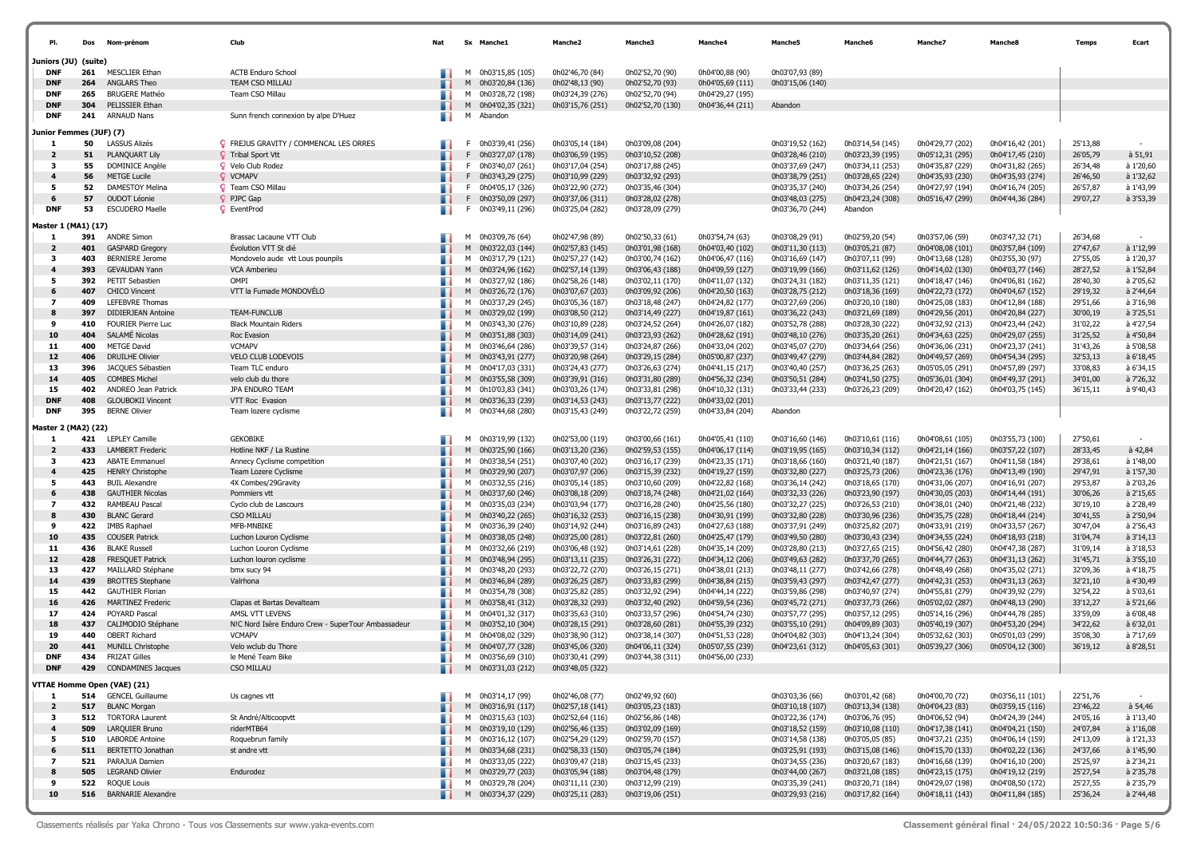| PI.                          | Dos        | Nom-prénom                                       | Club                                               | Nat | Sx Manche1                               |                  | Manche <sub>2</sub>                  | Manche3                              | Manche4                              | Manche5                              | Manche6                              | Manche7                              | Manche8                              | Temps                | Ecart                  |
|------------------------------|------------|--------------------------------------------------|----------------------------------------------------|-----|------------------------------------------|------------------|--------------------------------------|--------------------------------------|--------------------------------------|--------------------------------------|--------------------------------------|--------------------------------------|--------------------------------------|----------------------|------------------------|
| Juniors (JU) (suite)         |            |                                                  |                                                    |     |                                          |                  |                                      |                                      |                                      |                                      |                                      |                                      |                                      |                      |                        |
| <b>DNF</b>                   | 261        | <b>MESCLIER Ethan</b>                            | <b>ACTB Enduro School</b>                          |     | 0h03'15,85 (105)<br>м                    |                  | 0h02'46,70 (84)                      | 0h02'52,70 (90)                      | 0h04'00,88 (90)                      | 0h03'07,93 (89)                      |                                      |                                      |                                      |                      |                        |
| <b>DNF</b>                   | 264        | ANGLARS Theo                                     | TEAM CSO MILLAU                                    |     |                                          | 0h03'20,84 (136) | 0h02'48,13 (90)                      | 0h02'52,70 (93)                      | 0h04'05,69 (111)                     | 0h03'15,06 (140)                     |                                      |                                      |                                      |                      |                        |
| <b>DNF</b>                   | 265        | <b>BRUGERE Mathéo</b>                            | Team CSO Millau                                    |     | м                                        | 0h03'28,72 (198) | 0h03'24,39 (276)                     | 0h02'52,70 (94)                      | 0h04'29,27 (195)                     |                                      |                                      |                                      |                                      |                      |                        |
| <b>DNF</b>                   | 304        | PELISSIER Ethan                                  |                                                    |     | M 0h04'02,35 (321)                       |                  | 0h03'15,76 (251)                     | 0h02'52,70 (130)                     | 0h04'36,44 (211)                     | Abandon                              |                                      |                                      |                                      |                      |                        |
| <b>DNF</b>                   | 241        | <b>ARNAUD Nans</b>                               | Sunn french connexion by alpe D'Huez               | . . | м<br>Abandon                             |                  |                                      |                                      |                                      |                                      |                                      |                                      |                                      |                      |                        |
| Junior Femmes (JUF) (7)      |            |                                                  |                                                    |     |                                          |                  |                                      |                                      |                                      |                                      |                                      |                                      |                                      |                      |                        |
| 1                            | 50         | <b>LASSUS Alizés</b>                             | <b>Q</b> FREJUS GRAVITY / COMMENCAL LES ORRES      |     | 0h03'39,41 (256)<br>F.                   |                  | 0h03'05,14 (184)                     | 0h03'09,08 (204)                     |                                      | 0h03'19,52 (162)                     | 0h03'14,54 (145)                     | 0h04'29,77 (202)                     | 0h04'16,42 (201)                     | 25'13,88             |                        |
| $\overline{2}$               | 51         | PLANQUART Lily                                   | <b>Q</b> Tribal Sport Vtt                          |     | F 0h03'27,07 (178)                       |                  | 0h03'06,59 (195)                     | 0h03'10,52 (208)                     |                                      | 0h03'28,46 (210)                     | 0h03'23,39 (195)                     | 0h05'12,31 (295)                     | 0h04'17,45 (210)                     | 26'05,79             | à 51,91                |
| -3                           | 55         | DOMINICE Angèle                                  | <b>Q</b> Velo Club Rodez                           |     | F 0h03'40,07 (261)                       |                  | 0h03'17,04 (254)                     | 0h03'17,88 (245)                     |                                      | 0h03'37,69 (247)                     | 0h03'34,11 (253)                     | 0h04'35,87 (229)                     | 0h04'31,82 (265)                     | 26'34,48             | à 1'20,60              |
| 4                            | 56         | <b>METGE Lucile</b>                              | Q VCMAPV                                           |     | F 0h03'43,29 (275)                       |                  | 0h03'10,99 (229)                     | 0h03'32,92 (293)                     |                                      | 0h03'38,79 (251)                     | 0h03'28,65 (224)                     | 0h04'35,93 (230)                     | 0h04'35,93 (274)                     | 26'46,50             | à 1'32,62              |
| - 5<br>6                     | 52<br>57   | <b>DAMESTOY Melina</b><br>OUDOT Léonie           | <b>Q</b> Team CSO Millau                           |     | F 0h04'05,17 (326)                       |                  | 0h03'22,90 (272)                     | 0h03'35,46 (304)                     |                                      | 0h03'35,37 (240)<br>0h03'48,03 (275) | 0h03'34,26 (254)                     | 0h04'27,97 (194)                     | 0h04'16,74 (205)                     | 26'57,87             | à 1'43,99<br>à 3'53,39 |
| <b>DNF</b>                   | 53         | <b>ESCUDERO Maelle</b>                           | PJPC Gap<br><b>Q</b> EventProd                     | . . | F 0h03'50,09 (297)<br>0h03'49,11 (296)   |                  | 0h03'37,06 (311)<br>0h03'25,04 (282) | 0h03'28,02 (278)                     |                                      | 0h03'36,70 (244)                     | 0h04'23,24 (308)<br>Abandon          | 0h05'16,47 (299)                     | 0h04'44,36 (284)                     | 29'07,27             |                        |
| Master 1 (MA1) (17)          |            |                                                  |                                                    |     |                                          |                  |                                      | 0h03'28,09 (279)                     |                                      |                                      |                                      |                                      |                                      |                      |                        |
| 1                            | 391        | <b>ANDRE Simon</b>                               | Brassac Lacaune VTT Club                           |     | 0h03'09,76 (64)<br>м                     |                  | 0h02'47,98 (89)                      | 0h02'50,33 (61)                      | 0h03'54,74 (63)                      | 0h03'08,29 (91)                      | 0h02'59,20 (54)                      | 0h03'57,06 (59)                      | 0h03'47,32 (71)                      | 26'34,68             |                        |
| $\overline{2}$               | 401        | <b>GASPARD Gregory</b>                           | Évolution VTT St dié                               |     | M<br>0h03'22,03 (144)                    |                  | 0h02'57,83 (145)                     | 0h03'01,98 (168)                     | 0h04'03,40 (102)                     | 0h03'11,30 (113)                     | 0h03'05,21 (87)                      | 0h04'08,08 (101)                     | 0h03'57,84 (109)                     | 27'47,67             | à 1'12,99              |
| 3                            | 403        | <b>BERNIERE Jerome</b>                           | Mondovelo aude vtt Lous pounpils                   |     | м<br>0h03'17,79 (121)                    |                  | 0h02'57,27 (142)                     | 0h03'00,74 (162)                     | 0h04'06,47 (116)                     | 0h03'16,69 (147)                     | 0h03'07,11 (99)                      | 0h04'13,68 (128)                     | 0h03'55,30 (97)                      | 27'55,05             | à 1'20,37              |
| 4                            | 393        | <b>GEVAUDAN Yann</b>                             | VCA Amberieu                                       |     | M 0h03'24,96 (162)                       |                  | 0h02'57,14 (139)                     | 0h03'06,43 (188)                     | 0h04'09,59 (127)                     | 0h03'19,99 (166)                     | 0h03'11,62 (126)                     | 0h04'14,02 (130)                     | 0h04'03,77 (146)                     | 28'27,52             | à 1'52,84              |
| - 5                          | 392        | PETIT Sebastien                                  | OMPI                                               |     | M 0h03'27,92 (186)                       |                  | 0h02'58,26 (148)                     | 0h03'02,11 (170)                     | 0h04'11,07 (132)                     | 0h03'24,31 (182)                     | 0h03'11,35 (121)                     | 0h04'18,47 (146)                     | 0h04'06,81 (162)                     | 28'40,30             | à 2'05,62              |
| 6                            | 407        | <b>CHICO Vincent</b>                             | VTT la Fumade MONDOVÉLO                            |     | M 0h03'26,72 (176)                       |                  | 0h03'07,67 (203)                     | 0h03'09,92 (206)                     | 0h04'20,50 (163)                     | 0h03'28,75 (212)                     | 0h03'18,36 (169)                     | 0h04'22,73 (172)                     | 0h04'04,67 (152)                     | 29'19,32             | à 2'44,64              |
| $\overline{ }$               | 409        | LEFEBVRE Thomas                                  |                                                    |     | M 0h03'37,29 (245)                       |                  | 0h03'05,36 (187)                     | 0h03'18,48 (247)                     | 0h04'24,82 (177)                     | 0h03'27,69 (206)                     | 0h03'20,10 (180)                     | 0h04'25,08 (183)                     | 0h04'12,84 (188)                     | 29'51,66             | à 3'16,98              |
| 8                            | 397        | <b>DIDIERJEAN Antoine</b>                        | TEAM-FUNCLUB                                       |     | M 0h03'29,02 (199)                       |                  | 0h03'08,50 (212)                     | 0h03'14,49 (227)                     | 0h04'19,87 (161)                     | 0h03'36,22 (243)                     | 0h03'21,69 (189)                     | 0h04'29,56 (201)                     | 0h04'20,84 (227)                     | 30'00,19             | à 3'25,51              |
| 9                            | 410        | <b>FOURIER Pierre Luc</b>                        | <b>Black Mountain Riders</b>                       |     | M 0h03'43,30 (276)                       |                  | 0h03'10,89 (228)                     | 0h03'24,52 (264)                     | 0h04'26,07 (182)                     | 0h03'52,78 (288)                     | 0h03'28,30 (222)                     | 0h04'32,92 (213)                     | 0h04'23,44 (242)                     | 31'02,22             | à 4'27,54              |
| 10                           | 404        | SALAMÉ Nicolas                                   | Roc Evasion                                        |     | M 0h03'51,88 (303)                       |                  | 0h03'14,09 (241)                     | 0h03'23,93 (262)                     | 0h04'28,62 (191)                     | 0h03'48,10 (276)                     | 0h03'35,20 (261)                     | 0h04'34,63 (225)                     | 0h04'29,07 (255)                     | 31'25,52             | à 4'50,84              |
| 11<br>12                     | 400<br>406 | <b>METGE David</b><br><b>DRUILHE Olivier</b>     | <b>VCMAPV</b><br>VELO CLUB LODEVOIS                |     | M 0h03'46,64 (286)<br>M 0h03'43,91 (277) |                  | 0h03'39,57 (314)<br>0h03'20,98 (264) | 0h03'24,87 (266)<br>0h03'29,15 (284) | 0h04'33,04 (202)<br>0h05'00,87 (237) | 0h03'45,07 (270)<br>0h03'49,47 (279) | 0h03'34,64 (256)<br>0h03'44,84 (282) | 0h04'36,06 (231)<br>0h04'49,57 (269) | 0h04'23,37 (241)<br>0h04'54,34 (295) | 31'43,26<br>32'53,13 | à 5'08,58<br>à 6'18,45 |
| 13                           | 396        | JACQUES Sébastien                                | Team TLC enduro                                    |     | M 0h04'17,03 (331)                       |                  | 0h03'24,43 (277)                     | 0h03'26,63 (274)                     | 0h04'41,15 (217)                     | 0h03'40,40 (257)                     | 0h03'36,25 (263)                     | 0h05'05,05 (291)                     | 0h04'57,89 (297)                     | 33'08,83             | à 6'34,15              |
| 14                           | 405        | <b>COMBES Michel</b>                             | velo club du thore                                 |     | M 0h03'55,58 (309)                       |                  | 0h03'39,91 (316)                     | 0h03'31,80 (289)                     | 0h04'56,32 (234)                     | 0h03'50,51 (284)                     | 0h03'41,50 (275)                     | 0h05'36,01 (304)                     | 0h04'49,37 (291)                     | 34'01,00             | à 7'26,32              |
| 15                           | 402        | ANDREO Jean Patrick                              | JPA ENDURO TEAM                                    |     | M 0h10'03,83 (341)                       |                  | 0h03'03,26 (174)                     | 0h03'33,81 (298)                     | 0h04'10,32 (131)                     | 0h03'33,44 (233)                     | 0h03'26,23 (209)                     | 0h04'20,47 (162)                     | 0h04'03,75 (145)                     | 36'15,11             | à 9'40,43              |
| <b>DNF</b>                   | 408        | <b>GLOUBOKII Vincent</b>                         | VTT Roc Evasion                                    |     | M 0h03'36,33 (239)                       |                  | 0h03'14,53 (243)                     | 0h03'13,77 (222)                     | 0h04'33,02 (201)                     |                                      |                                      |                                      |                                      |                      |                        |
| <b>DNF</b>                   | 395        | <b>BERNE Olivier</b>                             | Team lozere cyclisme                               | . . | 0h03'44,68 (280)<br>м                    |                  | 0h03'15,43 (249)                     | 0h03'22,72 (259)                     | 0h04'33,84 (204)                     | Abandon                              |                                      |                                      |                                      |                      |                        |
| Master 2 (MA2) (22)          |            |                                                  |                                                    |     |                                          |                  |                                      |                                      |                                      |                                      |                                      |                                      |                                      |                      |                        |
| 1                            | 421        | <b>LEPLEY Camille</b>                            | <b>GEKOBIKE</b>                                    |     | 0h03'19,99 (132)<br>м                    |                  | 0h02'53,00 (119)                     | 0h03'00,66 (161)                     | 0h04'05,41 (110)                     | 0h03'16,60 (146)                     | 0h03'10,61 (116)                     | 0h04'08,61 (105)                     | 0h03'55,73 (100)                     | 27'50,61             |                        |
| $\overline{\mathbf{2}}$      | 433        | <b>LAMBERT Frederic</b>                          | Hotline NKF / La Rustine                           |     |                                          | 0h03'25,90 (166) | 0h03'13,20 (236)                     | 0h02'59,53 (155)                     | 0h04'06,17 (114)                     | 0h03'19,95 (165)                     | 0h03'10,34 (112)                     | 0h04'21,14 (166)                     | 0h03'57,22 (107)                     | 28'33,45             | à 42,84                |
| 3                            | 423        | <b>ABATE Emmanuel</b>                            | Annecy Cyclisme competition                        |     | 0h03'38,54 (251)<br>м                    |                  | 0h03'07,40 (202)                     | 0h03'16,17 (239)                     | 0h04'23,35 (171)                     | 0h03'18,66 (160)                     | 0h03'21,40 (187)                     | 0h04'21,51 (167)                     | 0h04'11,58 (184)                     | 29'38,61             | à 1'48,00              |
| 4                            | 425        | <b>HENRY Christophe</b>                          | Team Lozere Cyclisme                               |     | M 0h03'29,90 (207)                       |                  | 0h03'07,97 (206)                     | 0h03'15,39 (232)                     | 0h04'19,27 (159)                     | 0h03'32,80 (227)                     | 0h03'25,73 (206)                     | 0h04'23,36 (176)                     | 0h04'13,49 (190)                     | 29'47,91             | à 1'57,30              |
| - 5                          | 443        | <b>BUIL Alexandre</b>                            | 4X Combes/29Gravity                                |     | 0h03'32,55 (216)<br>м                    |                  | 0h03'05,14 (185)                     | 0h03'10,60 (209)                     | 0h04'22,82 (168)                     | 0h03'36,14 (242)                     | 0h03'18,65 (170)                     | 0h04'31,06 (207)                     | 0h04'16,91 (207)                     | 29'53,87             | à 2'03,26              |
| 6                            | 438        | <b>GAUTHIER Nicolas</b>                          | Pommiers vtt                                       |     | M 0h03'37,60 (246)                       |                  | 0h03'08,18 (209)                     | 0h03'18,74 (248)                     | 0h04'21,02 (164)                     | 0h03'32,33 (226)                     | 0h03'23,90 (197)                     | 0h04'30,05 (203)                     | 0h04'14,44 (191)                     | 30'06,26             | à 2'15,65              |
| 7                            | 432        | RAMBEAU Pascal                                   | Cyclo club de Lascours                             |     | M 0h03'35,03 (234)                       |                  | 0h03'03,94 (177)                     | 0h03'16,28 (240)                     | 0h04'25,56 (180)                     | 0h03'32,27 (225)                     | 0h03'26,53 (210)                     | 0h04'38,01 (240)                     | 0h04'21,48 (232)                     | 30'19,10             | à 2'28,49              |
| 8<br>9                       | 430<br>422 | <b>BLANC Gerard</b>                              | <b>CSO MILLAU</b><br>MFB-MNBIKE                    |     | M 0h03'40,22 (265)<br>м                  |                  | 0h03'16,32 (253)                     | 0h03'16,15 (238)                     | 0h04'30,91 (199)                     | 0h03'32,80 (228)                     | 0h03'30,96 (236)                     | 0h04'35,75 (228)<br>0h04'33,91 (219) | 0h04'18,44 (214)                     | 30'41,55             | à 2'50,94<br>à 2'56,43 |
| 10                           | 435        | <b>IMBS Raphael</b><br><b>COUSER Patrick</b>     | Luchon Louron Cyclisme                             |     | 0h03'36,39 (240)<br>M 0h03'38,05 (248)   |                  | 0h03'14,92 (244)<br>0h03'25,00 (281) | 0h03'16,89 (243)<br>0h03'22,81 (260) | 0h04'27,63 (188)<br>0h04'25,47 (179) | 0h03'37,91 (249)<br>0h03'49,50 (280) | 0h03'25,82 (207)<br>0h03'30,43 (234) | 0h04'34,55 (224)                     | 0h04'33,57 (267)<br>0h04'18,93 (218) | 30'47,04<br>31'04,74 | à 3'14,13              |
| 11                           | 436        | <b>BLAKE Russell</b>                             | Luchon Louron Cyclisme                             |     | M 0h03'32,66 (219)                       |                  | 0h03'06,48 (192)                     | 0h03'14,61 (228)                     | 0h04'35,14 (209)                     | 0h03'28,80 (213)                     | 0h03'27,65 (215)                     | 0h04'56,42 (280)                     | 0h04'47,38 (287)                     | 31'09,14             | à 3'18,53              |
| 12                           | 428        | FRESQUET Patrick                                 | Luchon louron cyclisme                             |     | M 0h03'48,94 (295)                       |                  | 0h03'13,11 (235)                     | 0h03'26,31 (272)                     | 0h04'34,12 (206)                     | 0h03'49,63 (282)                     | 0h03'37,70 (265)                     | 0h04'44,77 (263)                     | 0h04'31,13 (262)                     | 31'45,71             | à 3'55,10              |
| 13                           | 427        | <b>MAILLARD Stéphane</b>                         | bmx sucy 94                                        |     | 0h03'48,20 (293)<br>M                    |                  | 0h03'22,72 (270)                     | 0h03'26,15 (271)                     | 0h04'38,01 (213)                     | 0h03'48,11 (277)                     | 0h03'42,66 (278)                     | 0h04'48,49 (268)                     | 0h04'35,02 (271)                     | 32'09,36             | à 4'18,75              |
| 14                           | 439        | <b>BROTTES Stephane</b>                          | Valrhona                                           |     | M 0h03'46,84 (289)                       |                  | 0h03'26,25 (287)                     | 0h03'33,83 (299)                     | 0h04'38,84 (215)                     | 0h03'59,43 (297)                     | 0h03'42,47 (277)                     | 0h04'42,31 (253)                     | 0h04'31,13 (263)                     | 32'21,10             | à 4'30,49              |
| 15                           | 442        | <b>GAUTHIER Florian</b>                          |                                                    |     | M 0h03'54,78 (308)                       |                  | 0h03'25,82 (285)                     | 0h03'32,92 (294)                     | 0h04'44,14 (222)                     | 0h03'59,86 (298)                     | 0h03'40,97 (274)                     | 0h04'55,81 (279)                     | 0h04'39,92 (279)                     | 32'54,22             | à 5'03,61              |
| 16                           | 426        | <b>MARTINEZ Frederic</b>                         | Clapas et Bartas Devalteam                         |     | M 0h03'58,41 (312)                       |                  | 0h03'28,32 (293)                     | 0h03'32,40 (292)                     | 0h04'59,54 (236)                     | 0h03'45,72 (271)                     | 0h03'37,73 (266)                     | 0h05'02,02 (287)                     | 0h04'48,13 (290)                     | 33'12,27             | à 5'21,66              |
| 17                           | 424        | POYARD Pascal                                    | AMSL VTT LEVENS                                    |     | M 0h04'01,32 (317)                       |                  | 0h03'35,63 (310)                     | 0h03'33,57 (296)                     | 0h04'54,74 (230)                     | 0h03'57,77 (295)                     | 0h03'57,12 (295)                     | 0h05'14,16 (296)                     | 0h04'44,78 (285)                     | 33'59,09             | à 6'08,48              |
| 18                           | 437        | CALIMODIO Stéphane                               | N!C Nord Isère Enduro Crew - SuperTour Ambassadeur |     | M 0h03'52,10 (304)                       |                  | 0h03'28,15 (291)                     | 0h03'28,60 (281)                     | 0h04'55,39 (232)                     | 0h03'55,10 (291)                     | 0h04'09,89 (303)                     | 0h05'40,19 (307)                     | 0h04'53,20 (294)                     | 34'22,62             | à 6'32,01              |
| 19                           | 440        | <b>OBERT Richard</b>                             | <b>VCMAPV</b>                                      |     | M 0h04'08,02 (329)                       |                  | 0h03'38,90 (312)                     | 0h03'38,14 (307)                     | 0h04'51,53 (228)                     | 0h04'04,82 (303)                     | 0h04'13,24 (304)                     | 0h05'32,62 (303)                     | 0h05'01,03 (299)                     | 35'08,30             | à 7'17,69              |
| 20<br><b>DNF</b>             | 441<br>434 | <b>MUNILL Christophe</b><br><b>FRIZAT Gilles</b> | Velo wclub du Thore                                |     | M 0h04'07,77 (328)                       |                  | 0h03'45,06 (320)<br>0h03'30,41 (299) | 0h04'06,11 (324)                     | 0h05'07,55 (239)                     | 0h04'23,61 (312)                     | 0h04'05,63 (301)                     | 0h05'39,27 (306)                     | 0h05'04,12 (300)                     | 36'19,12             | à 8'28,51              |
| <b>DNF</b>                   | 429        | <b>CONDAMINES Jacques</b>                        | le Mené Team Bike<br>CSO MILLAU                    |     | M 0h03'56,69 (310)<br>M                  |                  |                                      | 0h03'44,38 (311)                     | 0h04'56,00 (233)                     |                                      |                                      |                                      |                                      |                      |                        |
|                              |            |                                                  |                                                    |     | 0h03'31,03 (212)                         |                  | 0h03'48,05 (322)                     |                                      |                                      |                                      |                                      |                                      |                                      |                      |                        |
|                              |            | VTTAE Homme Open (VAE) (21)                      |                                                    |     |                                          |                  |                                      |                                      |                                      |                                      |                                      |                                      |                                      |                      |                        |
| 1                            | 514        | <b>GENCEL Guillaume</b>                          | Us cagnes vtt                                      | . . | M 0h03'14,17 (99)                        |                  | 0h02'46,08 (77)                      | 0h02'49,92 (60)                      |                                      | 0h03'03,36 (66)                      | 0h03'01,42 (68)                      | 0h04'00,70 (72)                      | 0h03'56,11 (101)                     | 22'51,76             | $\sim$                 |
| $\overline{\mathbf{2}}$      | 517        | <b>BLANC Morgan</b>                              |                                                    |     | M 0h03'16,91 (117)                       |                  | 0h02'57,18 (141)                     | 0h03'05,23 (183)                     |                                      | 0h03'10,18 (107)                     | 0h03'13,34 (138)                     | 0h04'04,23 (83)                      | 0h03'59,15 (116)                     | 23'46,22             | $a$ 54,46              |
| 3                            |            | 512 TORTORA Laurent                              | St André/Alticoopvtt                               |     | M 0h03'15,63 (103)                       |                  | 0h02'52,64 (116)                     | 0h02'56,86 (148)                     |                                      | 0h03'22,36 (174)                     | 0h03'06,76 (95)                      | 0h04'06,52 (94)                      | 0h04'24,39 (244)                     | 24'05,16             | à 1'13,40              |
| $\overline{\mathbf{4}}$<br>5 | 509<br>510 | LARQUIER Bruno<br>LABORDE Antoine                | riderMTB64<br>Roquebrun family                     |     | M 0h03'19,10 (129)                       |                  | 0h02'56,46 (135)<br>0h02'54,29 (129) | 0h03'02,09 (169)                     |                                      | 0h03'18,52 (159)<br>0h03'14,58 (138) | 0h03'10,08 (110)                     | 0h04'17,38 (141)                     | 0h04'04,21 (150)<br>0h04'06,14 (159) | 24'07,84             | à 1'16,08<br>à 1'21,33 |
| 6                            | 511        | BERTETTO Jonathan                                | st andre vtt                                       |     | M 0h03'16,12 (107)<br>M 0h03'34,68 (231) |                  | 0h02'58,33 (150)                     | 0h02'59,70 (157)<br>0h03'05,74 (184) |                                      | 0h03'25,91 (193)                     | 0h03'05,05 (85)<br>0h03'15,08 (146)  | 0h04'37,21 (235)<br>0h04'15,70 (133) | 0h04'02,22 (136)                     | 24'13,09<br>24'37,66 | à 1'45,90              |
| 7                            | 521        | PARAJUA Damien                                   |                                                    |     | M 0h03'33,05 (222)                       |                  | 0h03'09,47 (218)                     | 0h03'15,45 (233)                     |                                      | 0h03'34,55 (236)                     | 0h03'20,67 (183)                     | 0h04'16,68 (139)                     | 0h04'16,10 (200)                     | 25'25,97             | à 2'34,21              |
| 8                            | 505        | <b>LEGRAND Olivier</b>                           | Endurodez                                          |     | M 0h03'29,77 (203)                       |                  | 0h03'05,94 (188)                     | 0h03'04,48 (179)                     |                                      | 0h03'44,00 (267)                     | 0h03'21,08 (185)                     | 0h04'23,15 (175)                     | 0h04'19,12 (219)                     | 25'27,54             | à 2'35,78              |
| 9                            | 522        | <b>ROQUE Louis</b>                               |                                                    |     | M 0h03'29,78 (204)                       |                  | 0h03'11,11 (230)                     | 0h03'12,99 (219)                     |                                      | 0h03'35,39 (241)                     | 0h03'20,71 (184)                     | 0h04'29,07 (198)                     | 0h04'08,50 (172)                     | 25'27,55             | à 2'35,79              |
| 10                           |            | 516 BARNARIE Alexandre                           |                                                    |     | M 0h03'34,37 (229)                       |                  | 0h03'25,11 (283)                     | 0h03'19,06 (251)                     |                                      | 0h03'29,93 (216)                     | 0h03'17,82 (164)                     | 0h04'18,11 (143)                     | 0h04'11,84 (185)                     | 25'36,24             | à 2'44,48              |
|                              |            |                                                  |                                                    |     |                                          |                  |                                      |                                      |                                      |                                      |                                      |                                      |                                      |                      |                        |